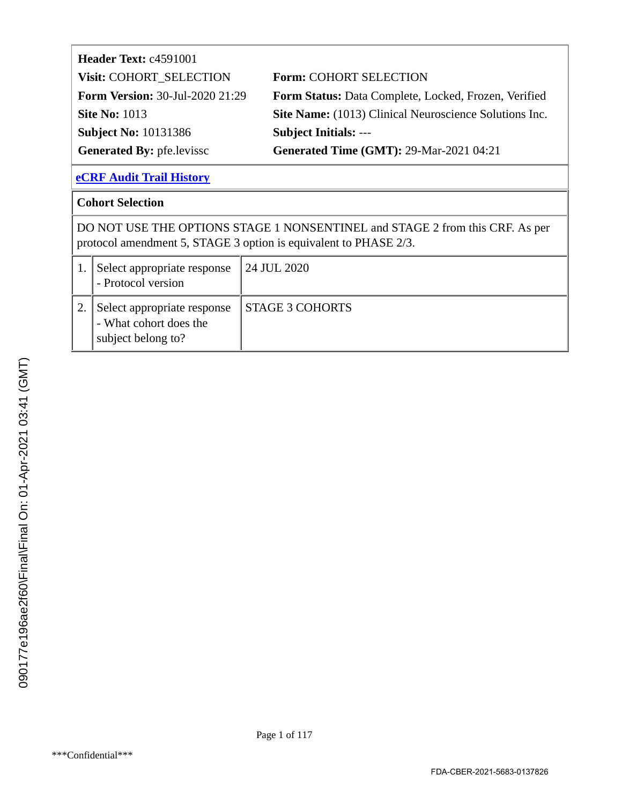| Header Text: c4591001                  |                                                        |
|----------------------------------------|--------------------------------------------------------|
| Visit: COHORT SELECTION                | <b>Form: COHORT SELECTION</b>                          |
| <b>Form Version: 30-Jul-2020 21:29</b> | Form Status: Data Complete, Locked, Frozen, Verified   |
| <b>Site No: 1013</b>                   | Site Name: (1013) Clinical Neuroscience Solutions Inc. |
| <b>Subject No: 10131386</b>            | <b>Subject Initials: ---</b>                           |
| <b>Generated By: pfe.levissc</b>       | <b>Generated Time (GMT): 29-Mar-2021 04:21</b>         |

#### **Cohort Selection**

DO NOT USE THE OPTIONS STAGE 1 NONSENTINEL and STAGE 2 from this CRF. As per protocol amendment 5, STAGE 3 option is equivalent to PHASE 2/3.

| Select appropriate response<br>- Protocol version                           | 24 JUL 2020            |
|-----------------------------------------------------------------------------|------------------------|
| Select appropriate response<br>- What cohort does the<br>subject belong to? | <b>STAGE 3 COHORTS</b> |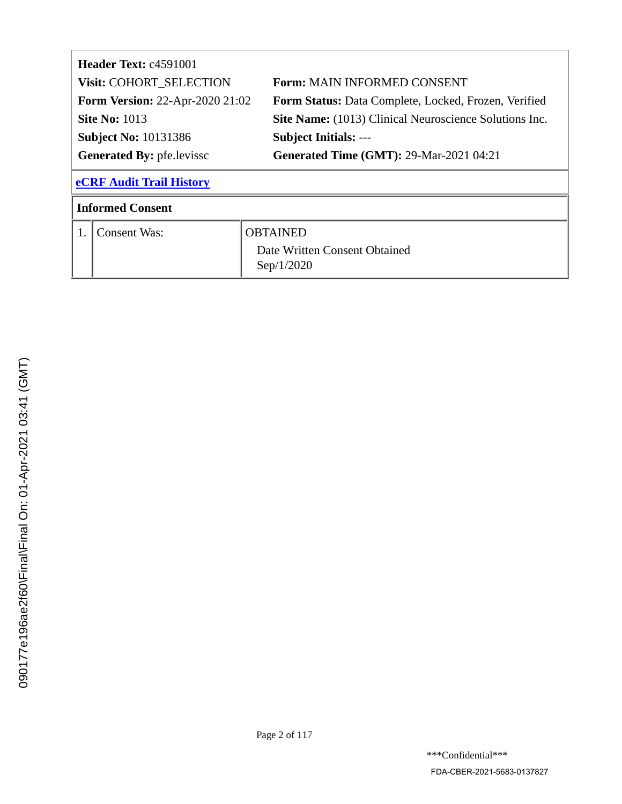| <b>Header Text: c4591001</b>     |                                        |                                                        |  |
|----------------------------------|----------------------------------------|--------------------------------------------------------|--|
|                                  | Visit: COHORT_SELECTION                | <b>Form: MAIN INFORMED CONSENT</b>                     |  |
|                                  | <b>Form Version: 22-Apr-2020 21:02</b> | Form Status: Data Complete, Locked, Frozen, Verified   |  |
|                                  | <b>Site No: 1013</b>                   | Site Name: (1013) Clinical Neuroscience Solutions Inc. |  |
|                                  | <b>Subject No: 10131386</b>            | <b>Subject Initials: ---</b>                           |  |
| <b>Generated By: pfe.levissc</b> |                                        | <b>Generated Time (GMT): 29-Mar-2021 04:21</b>         |  |
|                                  | <b>eCRF Audit Trail History</b>        |                                                        |  |
| <b>Informed Consent</b>          |                                        |                                                        |  |
|                                  | <b>Consent Was:</b>                    | <b>OBTAINED</b>                                        |  |
|                                  |                                        | Date Written Consent Obtained                          |  |
|                                  |                                        | Sep/1/2020                                             |  |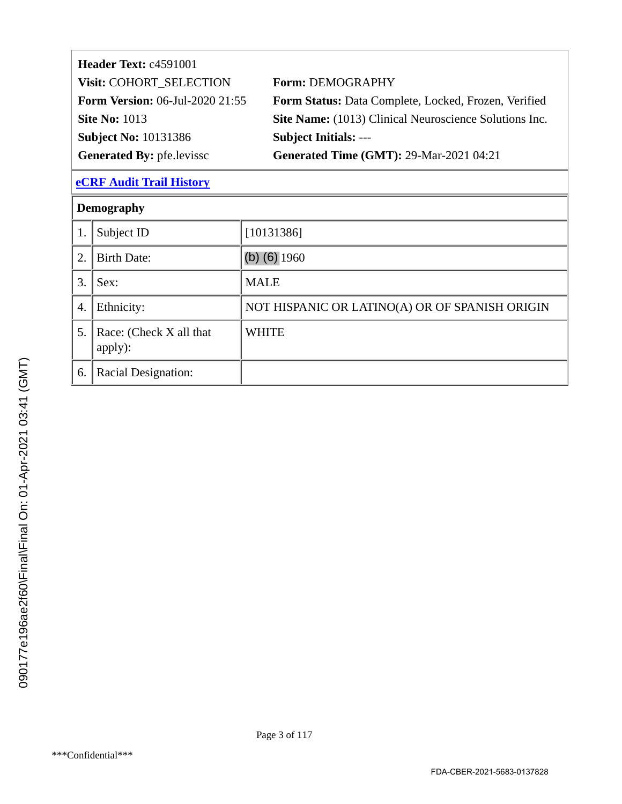| Header Text: c4591001                  |                                                        |
|----------------------------------------|--------------------------------------------------------|
| Visit: COHORT_SELECTION                | <b>Form: DEMOGRAPHY</b>                                |
| <b>Form Version:</b> 06-Jul-2020 21:55 | Form Status: Data Complete, Locked, Frozen, Verified   |
| <b>Site No: 1013</b>                   | Site Name: (1013) Clinical Neuroscience Solutions Inc. |
| <b>Subject No: 10131386</b>            | <b>Subject Initials: ---</b>                           |
| <b>Generated By: pfe.levissc</b>       | <b>Generated Time (GMT): 29-Mar-2021 04:21</b>         |

| Subject ID                         |                                                |
|------------------------------------|------------------------------------------------|
|                                    | [10131386]                                     |
| <b>Birth Date:</b>                 | (b) $(6)$ 1960                                 |
| Sex:                               | <b>MALE</b>                                    |
| Ethnicity:                         | NOT HISPANIC OR LATINO(A) OR OF SPANISH ORIGIN |
| Race: (Check X all that<br>apply): | <b>WHITE</b>                                   |
| Racial Designation:                |                                                |
|                                    |                                                |
|                                    |                                                |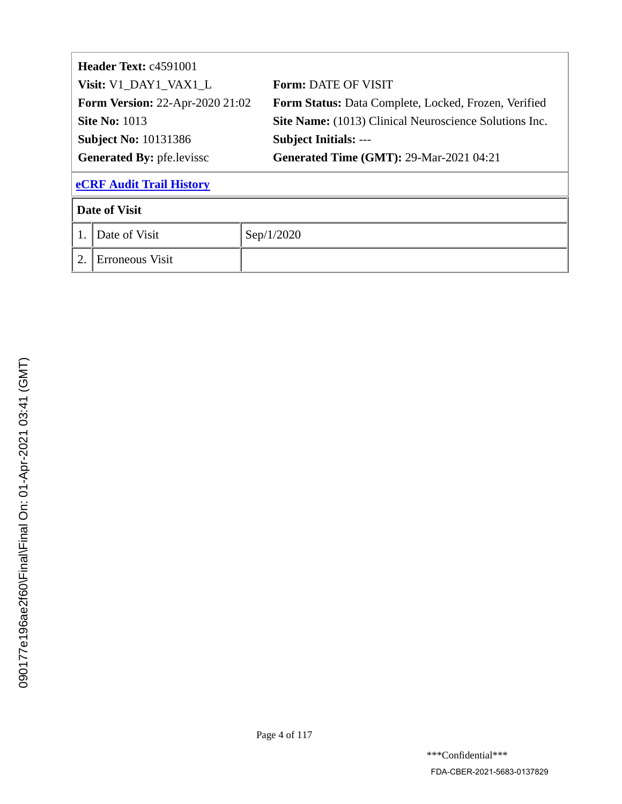|                                  | <b>Header Text: c4591001</b>           |                                                               |
|----------------------------------|----------------------------------------|---------------------------------------------------------------|
|                                  | Visit: V1_DAY1_VAX1_L                  | <b>Form: DATE OF VISIT</b>                                    |
|                                  | <b>Form Version: 22-Apr-2020 21:02</b> | Form Status: Data Complete, Locked, Frozen, Verified          |
|                                  | <b>Site No: 1013</b>                   | <b>Site Name:</b> (1013) Clinical Neuroscience Solutions Inc. |
|                                  | <b>Subject No: 10131386</b>            | <b>Subject Initials: ---</b>                                  |
| <b>Generated By: pfe.levissc</b> |                                        | <b>Generated Time (GMT): 29-Mar-2021 04:21</b>                |
| <b>eCRF Audit Trail History</b>  |                                        |                                                               |
| <b>Date of Visit</b>             |                                        |                                                               |
| 1.                               | Date of Visit                          | Sep/1/2020                                                    |
| 2.                               | Erroneous Visit                        |                                                               |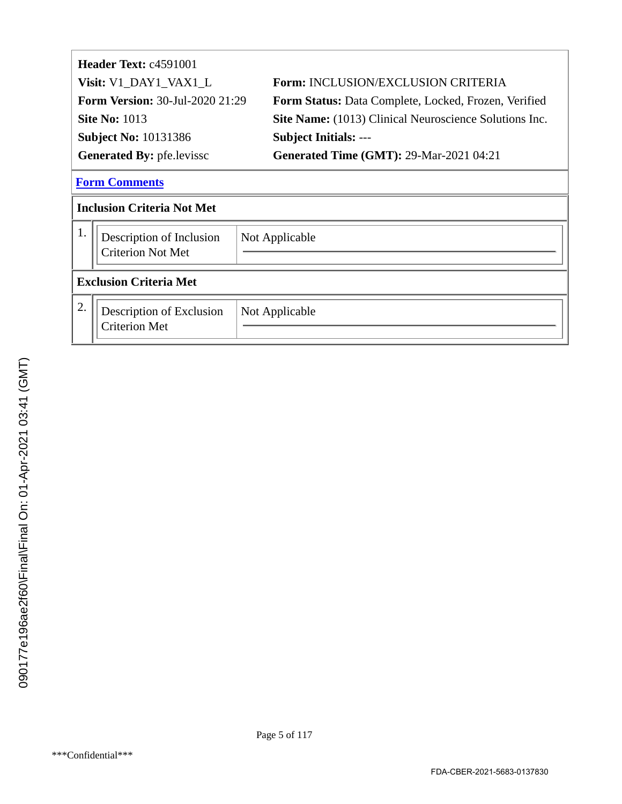|                                   | Header Text: c4591001                                |                                                               |  |
|-----------------------------------|------------------------------------------------------|---------------------------------------------------------------|--|
|                                   | Visit: V1_DAY1_VAX1_L                                | <b>Form: INCLUSION/EXCLUSION CRITERIA</b>                     |  |
|                                   | <b>Form Version: 30-Jul-2020 21:29</b>               | Form Status: Data Complete, Locked, Frozen, Verified          |  |
|                                   | <b>Site No: 1013</b>                                 | <b>Site Name:</b> (1013) Clinical Neuroscience Solutions Inc. |  |
|                                   | <b>Subject No: 10131386</b>                          | <b>Subject Initials: ---</b>                                  |  |
| <b>Generated By: pfe.levissc</b>  |                                                      | <b>Generated Time (GMT): 29-Mar-2021 04:21</b>                |  |
|                                   | <b>Form Comments</b>                                 |                                                               |  |
| <b>Inclusion Criteria Not Met</b> |                                                      |                                                               |  |
| 1.                                | Description of Inclusion<br><b>Criterion Not Met</b> | Not Applicable                                                |  |
| <b>Exclusion Criteria Met</b>     |                                                      |                                                               |  |
| 2.                                | Description of Exclusion<br><b>Criterion Met</b>     | Not Applicable                                                |  |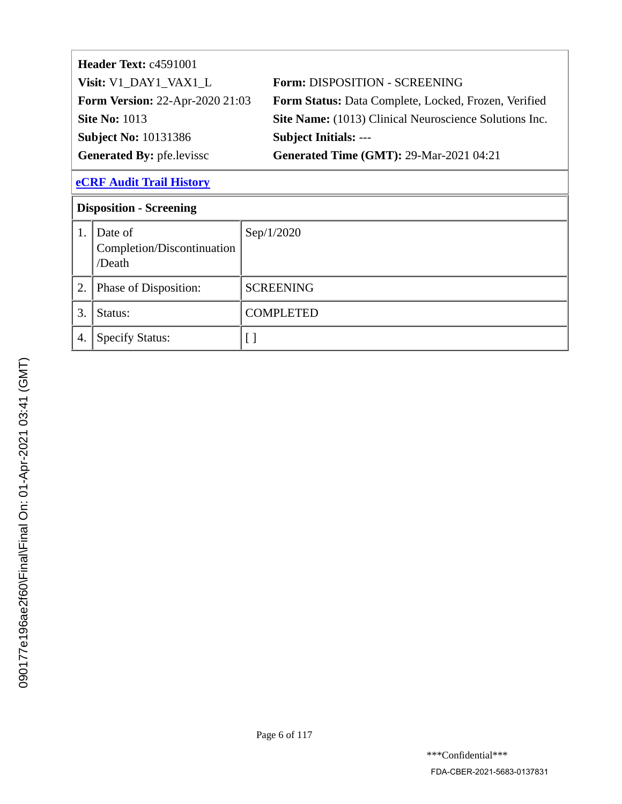| Header Text: c4591001                  |                                                               |
|----------------------------------------|---------------------------------------------------------------|
| Visit: V1 DAY1 VAX1 L                  | Form: DISPOSITION - SCREENING                                 |
| <b>Form Version: 22-Apr-2020 21:03</b> | Form Status: Data Complete, Locked, Frozen, Verified          |
| <b>Site No: 1013</b>                   | <b>Site Name:</b> (1013) Clinical Neuroscience Solutions Inc. |
| <b>Subject No: 10131386</b>            | <b>Subject Initials: ---</b>                                  |
| <b>Generated By: pfe.levissc</b>       | <b>Generated Time (GMT): 29-Mar-2021 04:21</b>                |

| <b>Disposition - Screening</b> |                                                 |                  |
|--------------------------------|-------------------------------------------------|------------------|
| 1.                             | Date of<br>Completion/Discontinuation<br>/Death | Sep/1/2020       |
| 2.                             | Phase of Disposition:                           | <b>SCREENING</b> |
| 3.                             | Status:                                         | <b>COMPLETED</b> |
| 4.                             | <b>Specify Status:</b>                          |                  |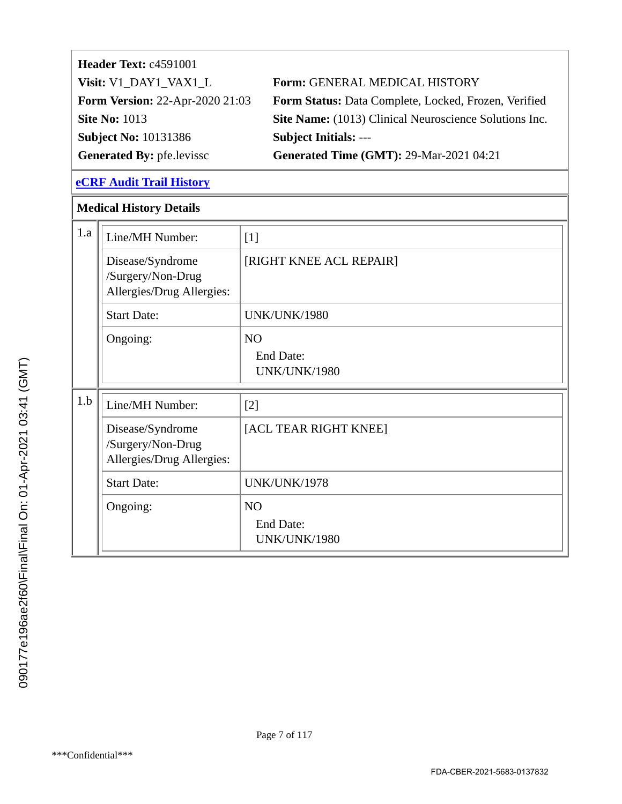| <b>Header Text: c4591001</b>           |                                                             |
|----------------------------------------|-------------------------------------------------------------|
| Visit: V1 DAY1 VAX1 L                  | Form: GENERAL MEDICAL HISTORY                               |
| <b>Form Version: 22-Apr-2020 21:03</b> | <b>Form Status:</b> Data Complete, Locked, Frozen, Verified |
| <b>Site No: 1013</b>                   | Site Name: (1013) Clinical Neuroscience Solutions Inc.      |
| <b>Subject No: 10131386</b>            | <b>Subject Initials: ---</b>                                |
| <b>Generated By: pfe.levissc</b>       | <b>Generated Time (GMT): 29-Mar-2021 04:21</b>              |

#### **Medical History Details**

| 1.a | Line/MH Number:                                                    | $[1]$                                                     |
|-----|--------------------------------------------------------------------|-----------------------------------------------------------|
|     | Disease/Syndrome<br>/Surgery/Non-Drug<br>Allergies/Drug Allergies: | [RIGHT KNEE ACL REPAIR]                                   |
|     | <b>Start Date:</b>                                                 | <b>UNK/UNK/1980</b>                                       |
|     | Ongoing:                                                           | <b>NO</b><br>End Date:<br><b>UNK/UNK/1980</b>             |
| 1.b | Line/MH Number:                                                    | $[2]$                                                     |
|     | Disease/Syndrome<br>/Surgery/Non-Drug<br>Allergies/Drug Allergies: | [ACL TEAR RIGHT KNEE]                                     |
|     | <b>Start Date:</b>                                                 | UNK/UNK/1978                                              |
|     | Ongoing:                                                           | N <sub>O</sub><br><b>End Date:</b><br><b>UNK/UNK/1980</b> |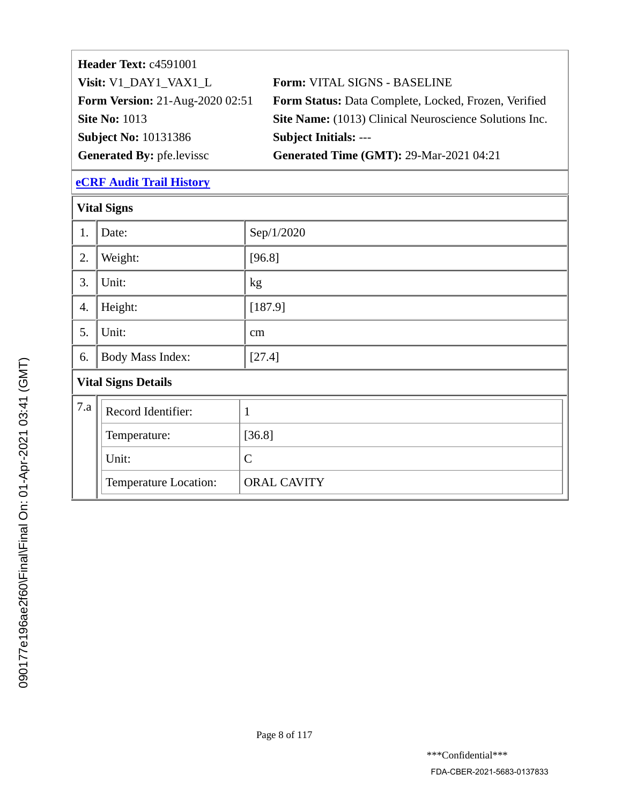| Header Text: c4591001                  |                                                               |
|----------------------------------------|---------------------------------------------------------------|
| Visit: V1_DAY1_VAX1_L                  | Form: VITAL SIGNS - BASELINE                                  |
| <b>Form Version: 21-Aug-2020 02:51</b> | Form Status: Data Complete, Locked, Frozen, Verified          |
| <b>Site No: 1013</b>                   | <b>Site Name:</b> (1013) Clinical Neuroscience Solutions Inc. |
| <b>Subject No: 10131386</b>            | <b>Subject Initials: ---</b>                                  |
| <b>Generated By: pfe.levissc</b>       | <b>Generated Time (GMT): 29-Mar-2021 04:21</b>                |

| <b>Vital Signs</b>         |                       |                    |
|----------------------------|-----------------------|--------------------|
| 1.                         | Date:                 | Sep/1/2020         |
| 2.                         | Weight:               | [96.8]             |
| 3.                         | Unit:                 | kg                 |
| 4.                         | Height:               | [187.9]            |
| 5.                         | Unit:                 | cm                 |
| 6.                         | Body Mass Index:      | [27.4]             |
| <b>Vital Signs Details</b> |                       |                    |
| 7.a                        | Record Identifier:    | $\mathbf{1}$       |
|                            | Temperature:          | [36.8]             |
|                            | Unit:                 | $\mathcal{C}$      |
|                            | Temperature Location: | <b>ORAL CAVITY</b> |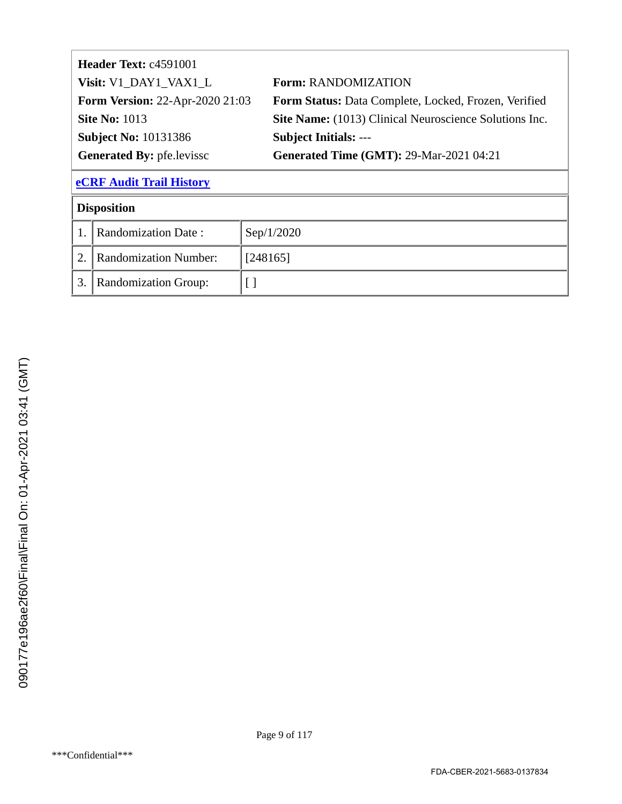| <b>Header Text: c4591001</b>           |                                                        |
|----------------------------------------|--------------------------------------------------------|
| Visit: V1_DAY1_VAX1_L                  | <b>Form: RANDOMIZATION</b>                             |
| <b>Form Version: 22-Apr-2020 21:03</b> | Form Status: Data Complete, Locked, Frozen, Verified   |
| <b>Site No: 1013</b>                   | Site Name: (1013) Clinical Neuroscience Solutions Inc. |
| <b>Subject No: 10131386</b>            | <b>Subject Initials: ---</b>                           |
| <b>Generated By: pfe.levissc</b>       | <b>Generated Time (GMT): 29-Mar-2021 04:21</b>         |
|                                        |                                                        |

# **Disposition**

| <b>Randomization Date:</b>   | $\text{Sep}/1/2020$ |
|------------------------------|---------------------|
| <b>Randomization Number:</b> | [248165]            |
| <b>Randomization Group:</b>  |                     |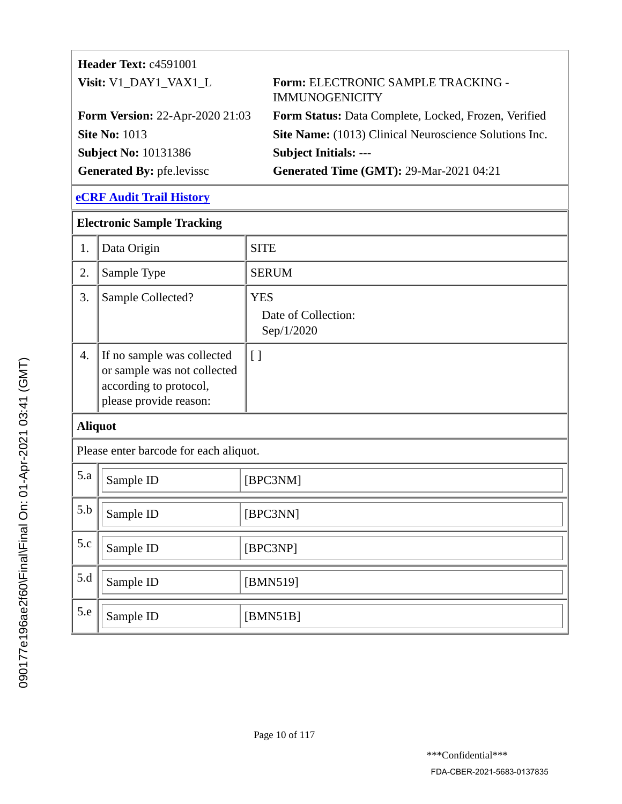| Header Text: c4591001                  |                                                             |
|----------------------------------------|-------------------------------------------------------------|
| Visit: V1_DAY1_VAX1_L                  | Form: ELECTRONIC SAMPLE TRACKING -<br><b>IMMUNOGENICITY</b> |
| <b>Form Version: 22-Apr-2020 21:03</b> | Form Status: Data Complete, Locked, Frozen, Verified        |
| <b>Site No: 1013</b>                   | Site Name: (1013) Clinical Neuroscience Solutions Inc.      |
| <b>Subject No: 10131386</b>            | <b>Subject Initials: ---</b>                                |
| Generated By: pfe.levissc              | <b>Generated Time (GMT): 29-Mar-2021 04:21</b>              |

| <b>Electronic Sample Tracking</b>      |                                                                                                               |                                                 |
|----------------------------------------|---------------------------------------------------------------------------------------------------------------|-------------------------------------------------|
| 1.                                     | Data Origin                                                                                                   | <b>SITE</b>                                     |
| 2.                                     | Sample Type                                                                                                   | <b>SERUM</b>                                    |
| 3.                                     | Sample Collected?                                                                                             | <b>YES</b><br>Date of Collection:<br>Sep/1/2020 |
| $\overline{4}$ .                       | If no sample was collected<br>or sample was not collected<br>according to protocol,<br>please provide reason: | [ ]                                             |
| <b>Aliquot</b>                         |                                                                                                               |                                                 |
| Please enter barcode for each aliquot. |                                                                                                               |                                                 |
| 5.a                                    | Sample ID                                                                                                     | [BPC3NM]                                        |
| 5.b                                    | Sample ID                                                                                                     | [BPC3NN]                                        |
| 5.c                                    | Sample ID                                                                                                     | [BPC3NP]                                        |
| 5.d                                    | Sample ID                                                                                                     | [BMN519]                                        |
| 5.e                                    | Sample ID                                                                                                     | [BMN51B]                                        |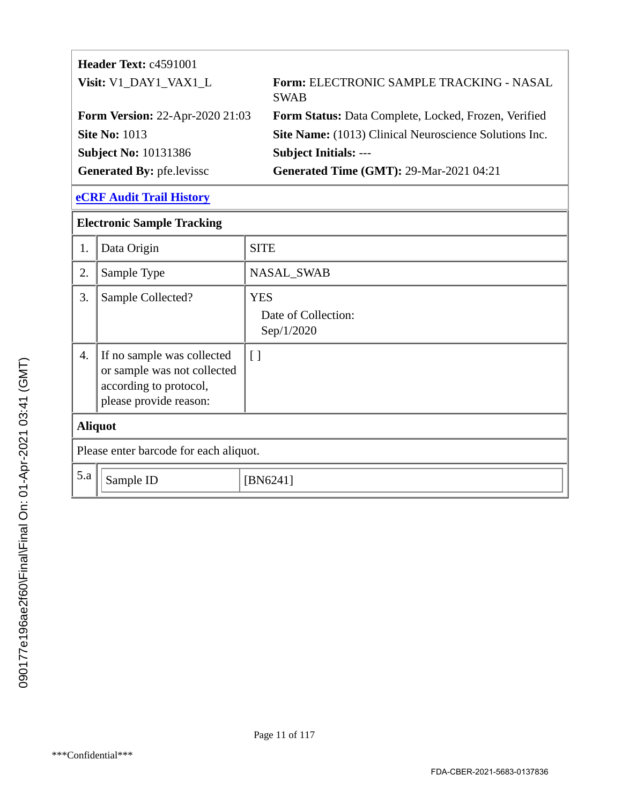| Header Text: c4591001                  |                                                         |
|----------------------------------------|---------------------------------------------------------|
| Visit: V1_DAY1_VAX1_L                  | Form: ELECTRONIC SAMPLE TRACKING - NASAL<br><b>SWAB</b> |
| <b>Form Version: 22-Apr-2020 21:03</b> | Form Status: Data Complete, Locked, Frozen, Verified    |
| <b>Site No: 1013</b>                   | Site Name: (1013) Clinical Neuroscience Solutions Inc.  |
| <b>Subject No: 10131386</b>            | <b>Subject Initials: ---</b>                            |
| <b>Generated By: pfe.levissc</b>       | <b>Generated Time (GMT): 29-Mar-2021 04:21</b>          |

| <b>Electronic Sample Tracking</b>      |                                                                                                               |                                                 |
|----------------------------------------|---------------------------------------------------------------------------------------------------------------|-------------------------------------------------|
| 1.                                     | Data Origin                                                                                                   | <b>SITE</b>                                     |
| 2.                                     | Sample Type                                                                                                   | NASAL_SWAB                                      |
| 3.                                     | Sample Collected?                                                                                             | <b>YES</b><br>Date of Collection:<br>Sep/1/2020 |
| 4.                                     | If no sample was collected<br>or sample was not collected<br>according to protocol,<br>please provide reason: | $\lceil$                                        |
| <b>Aliquot</b>                         |                                                                                                               |                                                 |
| Please enter barcode for each aliquot. |                                                                                                               |                                                 |
| 5.a                                    | Sample ID                                                                                                     | [BN6241]                                        |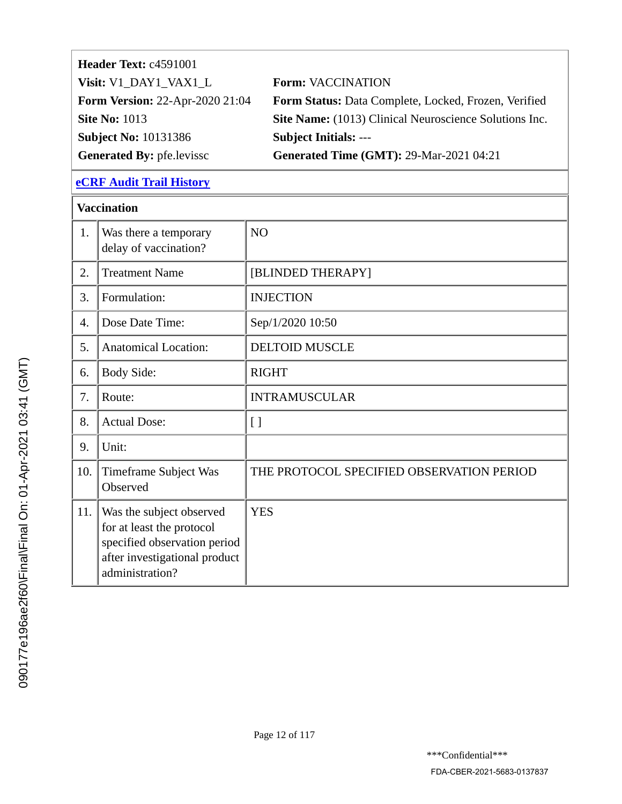| Header Text: c4591001                  |                                                               |
|----------------------------------------|---------------------------------------------------------------|
| Visit: V1_DAY1_VAX1_L                  | <b>Form: VACCINATION</b>                                      |
| <b>Form Version: 22-Apr-2020 21:04</b> | Form Status: Data Complete, Locked, Frozen, Verified          |
| <b>Site No: 1013</b>                   | <b>Site Name:</b> (1013) Clinical Neuroscience Solutions Inc. |
| <b>Subject No: 10131386</b>            | <b>Subject Initials: ---</b>                                  |
| <b>Generated By: pfe.levissc</b>       | <b>Generated Time (GMT): 29-Mar-2021 04:21</b>                |

|     | <b>Vaccination</b>                                                                                                                        |                                           |  |
|-----|-------------------------------------------------------------------------------------------------------------------------------------------|-------------------------------------------|--|
| 1.  | Was there a temporary<br>delay of vaccination?                                                                                            | NO                                        |  |
| 2.  | <b>Treatment Name</b>                                                                                                                     | [BLINDED THERAPY]                         |  |
| 3.  | Formulation:                                                                                                                              | <b>INJECTION</b>                          |  |
| 4.  | Dose Date Time:                                                                                                                           | Sep/1/2020 10:50                          |  |
| 5.  | <b>Anatomical Location:</b>                                                                                                               | <b>DELTOID MUSCLE</b>                     |  |
| 6.  | <b>Body Side:</b>                                                                                                                         | <b>RIGHT</b>                              |  |
| 7.  | Route:                                                                                                                                    | <b>INTRAMUSCULAR</b>                      |  |
| 8.  | <b>Actual Dose:</b>                                                                                                                       | $\left[ \ \right]$                        |  |
| 9.  | Unit:                                                                                                                                     |                                           |  |
| 10. | Timeframe Subject Was<br>Observed                                                                                                         | THE PROTOCOL SPECIFIED OBSERVATION PERIOD |  |
| 11. | Was the subject observed<br>for at least the protocol<br>specified observation period<br>after investigational product<br>administration? | <b>YES</b>                                |  |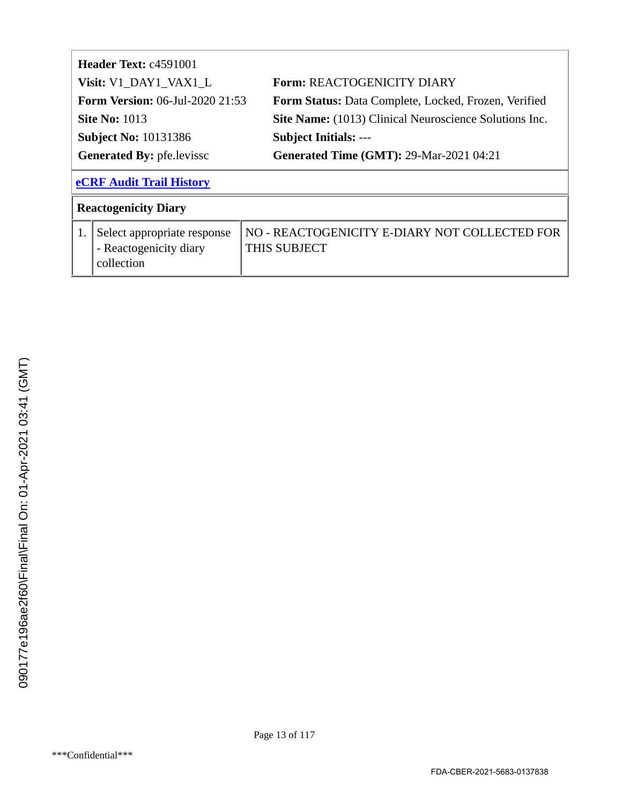|                                        | Header Text: c4591001           |                                                               |
|----------------------------------------|---------------------------------|---------------------------------------------------------------|
| Visit: V1_DAY1_VAX1_L                  |                                 | <b>Form: REACTOGENICITY DIARY</b>                             |
| <b>Form Version:</b> 06-Jul-2020 21:53 |                                 | Form Status: Data Complete, Locked, Frozen, Verified          |
| <b>Site No: 1013</b>                   |                                 | <b>Site Name:</b> (1013) Clinical Neuroscience Solutions Inc. |
| <b>Subject No: 10131386</b>            |                                 | <b>Subject Initials: ---</b>                                  |
| <b>Generated By: pfe.levissc</b>       |                                 | <b>Generated Time (GMT): 29-Mar-2021 04:21</b>                |
|                                        |                                 |                                                               |
|                                        | <b>eCRF Audit Trail History</b> |                                                               |
|                                        | <b>Reactogenicity Diary</b>     |                                                               |
| 1.                                     | Select appropriate response     | NO - REACTOGENICITY E-DIARY NOT COLLECTED FOR                 |
|                                        | - Reactogenicity diary          | THIS SUBJECT                                                  |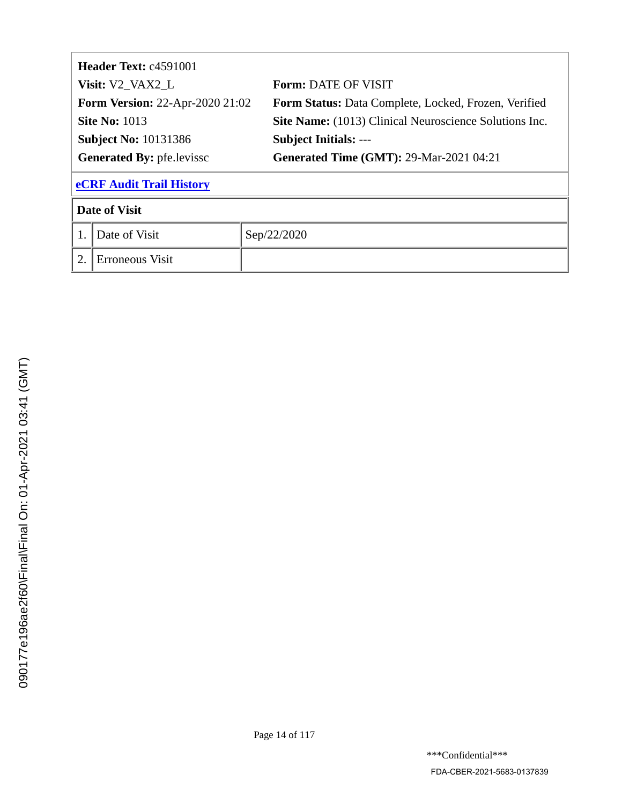| <b>Header Text: c4591001</b>           |                 |                                                             |  |
|----------------------------------------|-----------------|-------------------------------------------------------------|--|
| Visit: V2_VAX2_L                       |                 | <b>Form: DATE OF VISIT</b>                                  |  |
| <b>Form Version: 22-Apr-2020 21:02</b> |                 | <b>Form Status:</b> Data Complete, Locked, Frozen, Verified |  |
| <b>Site No: 1013</b>                   |                 | Site Name: (1013) Clinical Neuroscience Solutions Inc.      |  |
| <b>Subject No: 10131386</b>            |                 | <b>Subject Initials: ---</b>                                |  |
| <b>Generated By: pfe.levissc</b>       |                 | <b>Generated Time (GMT): 29-Mar-2021 04:21</b>              |  |
| <b>eCRF Audit Trail History</b>        |                 |                                                             |  |
| <b>Date of Visit</b>                   |                 |                                                             |  |
|                                        | Date of Visit   | Sep/22/2020                                                 |  |
| 2.                                     | Erroneous Visit |                                                             |  |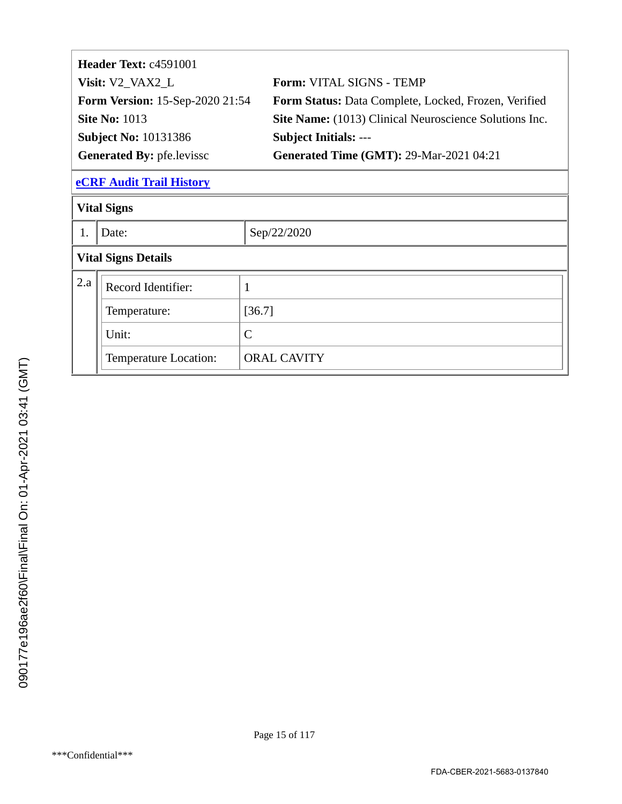| Form: VITAL SIGNS - TEMP                                      |
|---------------------------------------------------------------|
| Form Status: Data Complete, Locked, Frozen, Verified          |
| <b>Site Name:</b> (1013) Clinical Neuroscience Solutions Inc. |
| <b>Subject Initials: ---</b>                                  |
| <b>Generated Time (GMT): 29-Mar-2021 04:21</b>                |
|                                                               |

|                            | <b>Vital Signs</b>    |                    |  |  |  |
|----------------------------|-----------------------|--------------------|--|--|--|
|                            | Date:                 | Sep/22/2020        |  |  |  |
| <b>Vital Signs Details</b> |                       |                    |  |  |  |
| 2.a<br>Record Identifier:  |                       |                    |  |  |  |
|                            | Temperature:          | [36.7]             |  |  |  |
| Unit:<br>$\mathcal{C}$     |                       |                    |  |  |  |
|                            | Temperature Location: | <b>ORAL CAVITY</b> |  |  |  |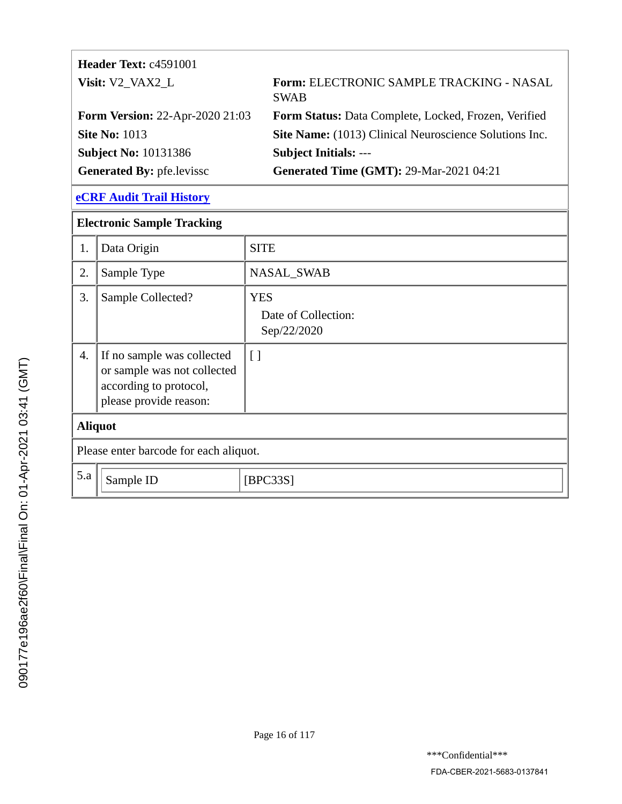| <b>Header Text: c4591001</b>           |                                                         |
|----------------------------------------|---------------------------------------------------------|
| Visit: V2_VAX2_L                       | Form: ELECTRONIC SAMPLE TRACKING - NASAL<br><b>SWAB</b> |
| <b>Form Version: 22-Apr-2020 21:03</b> | Form Status: Data Complete, Locked, Frozen, Verified    |
| <b>Site No: 1013</b>                   | Site Name: (1013) Clinical Neuroscience Solutions Inc.  |
| <b>Subject No: 10131386</b>            | <b>Subject Initials: ---</b>                            |
| <b>Generated By: pfe.levissc</b>       | <b>Generated Time (GMT): 29-Mar-2021 04:21</b>          |

|                | <b>Electronic Sample Tracking</b>                                                                             |                                                  |  |  |
|----------------|---------------------------------------------------------------------------------------------------------------|--------------------------------------------------|--|--|
| 1.             | Data Origin                                                                                                   | <b>SITE</b>                                      |  |  |
| 2.             | Sample Type                                                                                                   | NASAL_SWAB                                       |  |  |
| 3.             | Sample Collected?                                                                                             | <b>YES</b><br>Date of Collection:<br>Sep/22/2020 |  |  |
| 4.             | If no sample was collected<br>or sample was not collected<br>according to protocol,<br>please provide reason: | $\lceil$                                         |  |  |
| <b>Aliquot</b> |                                                                                                               |                                                  |  |  |
|                | Please enter barcode for each aliquot.                                                                        |                                                  |  |  |
| 5.a            | Sample ID                                                                                                     | [BPC33S]                                         |  |  |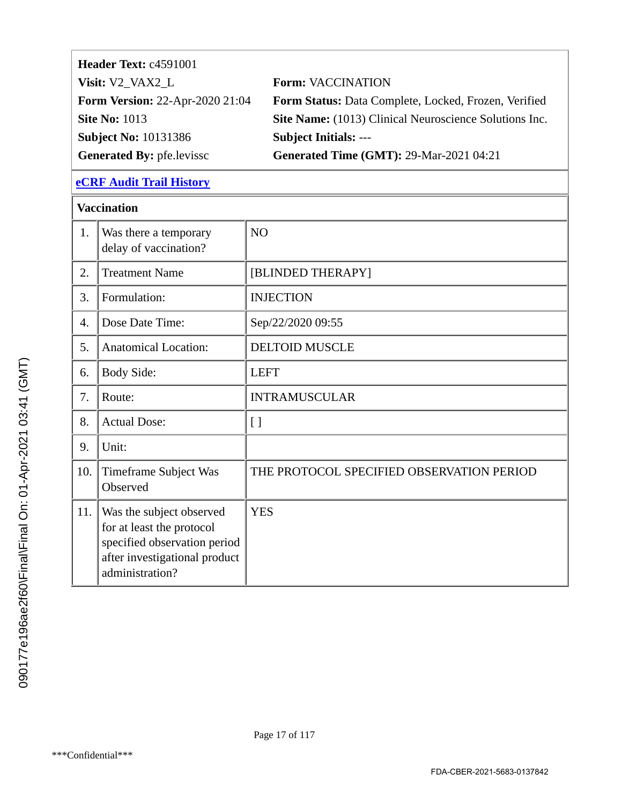| Header Text: c4591001                  |                                                               |
|----------------------------------------|---------------------------------------------------------------|
| Visit: V2_VAX2_L                       | <b>Form: VACCINATION</b>                                      |
| <b>Form Version: 22-Apr-2020 21:04</b> | Form Status: Data Complete, Locked, Frozen, Verified          |
| <b>Site No: 1013</b>                   | <b>Site Name:</b> (1013) Clinical Neuroscience Solutions Inc. |
| <b>Subject No: 10131386</b>            | <b>Subject Initials: ---</b>                                  |
| <b>Generated By: pfe.levissc</b>       | <b>Generated Time (GMT): 29-Mar-2021 04:21</b>                |

|     | <b>Vaccination</b>                                                                                                                        |                                           |
|-----|-------------------------------------------------------------------------------------------------------------------------------------------|-------------------------------------------|
| 1.  | Was there a temporary<br>delay of vaccination?                                                                                            | NO                                        |
| 2.  | <b>Treatment Name</b>                                                                                                                     | [BLINDED THERAPY]                         |
| 3.  | Formulation:                                                                                                                              | <b>INJECTION</b>                          |
| 4.  | Dose Date Time:                                                                                                                           | Sep/22/2020 09:55                         |
| 5.  | <b>Anatomical Location:</b>                                                                                                               | <b>DELTOID MUSCLE</b>                     |
| 6.  | Body Side:                                                                                                                                | <b>LEFT</b>                               |
| 7.  | Route:                                                                                                                                    | <b>INTRAMUSCULAR</b>                      |
| 8.  | <b>Actual Dose:</b>                                                                                                                       | $\left[\right]$                           |
| 9.  | Unit:                                                                                                                                     |                                           |
| 10. | Timeframe Subject Was<br>Observed                                                                                                         | THE PROTOCOL SPECIFIED OBSERVATION PERIOD |
| 11. | Was the subject observed<br>for at least the protocol<br>specified observation period<br>after investigational product<br>administration? | <b>YES</b>                                |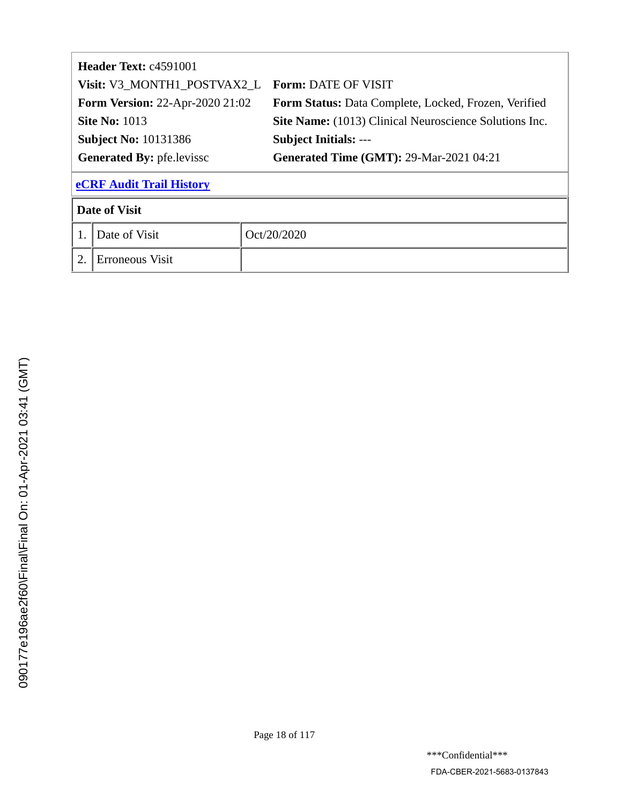| <b>Header Text: c4591001</b>     |                                        |                                                        |  |  |
|----------------------------------|----------------------------------------|--------------------------------------------------------|--|--|
|                                  | Visit: V3_MONTH1_POSTVAX2 L            | <b>Form: DATE OF VISIT</b>                             |  |  |
|                                  | <b>Form Version: 22-Apr-2020 21:02</b> | Form Status: Data Complete, Locked, Frozen, Verified   |  |  |
|                                  | <b>Site No: 1013</b>                   | Site Name: (1013) Clinical Neuroscience Solutions Inc. |  |  |
| <b>Subject No: 10131386</b>      |                                        | <b>Subject Initials: ---</b>                           |  |  |
| <b>Generated By: pfe.levissc</b> |                                        | <b>Generated Time (GMT): 29-Mar-2021 04:21</b>         |  |  |
|                                  | <b>eCRF Audit Trail History</b>        |                                                        |  |  |
|                                  | <b>Date of Visit</b>                   |                                                        |  |  |
|                                  | Date of Visit                          | Oct/20/2020                                            |  |  |
| 2.                               | Erroneous Visit                        |                                                        |  |  |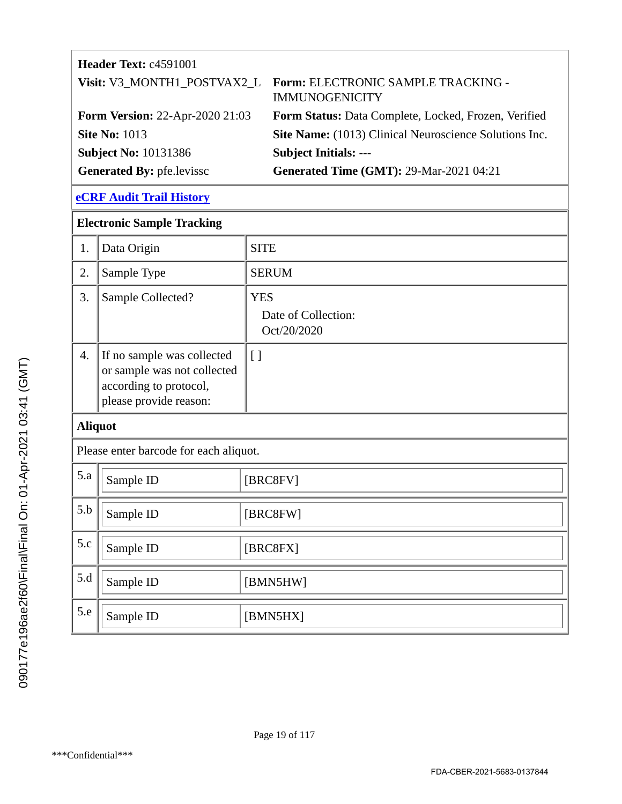# **Header Text:** c4591001 **Visit:** V3\_MONTH1\_POSTVAX2\_L **Form:** ELECTRONIC SAMPLE TRACKING - IMMUNOGENICITY **Form Version:** 22-Apr-2020 21:03 **Form Status:** Data Complete, Locked, Frozen, Verified **Site No: 1013 Site Name:** (1013) Clinical Neuroscience Solutions Inc. **Subject No:** 10131386 **Subject Initials:** --- Generated By: pfe.levissc **Generated Time (GMT): 29-Mar-2021 04:21**

| <b>Electronic Sample Tracking</b>      |                                                                                                               |                                                  |  |  |
|----------------------------------------|---------------------------------------------------------------------------------------------------------------|--------------------------------------------------|--|--|
| 1.                                     | Data Origin                                                                                                   | <b>SITE</b>                                      |  |  |
| 2.                                     | Sample Type                                                                                                   | <b>SERUM</b>                                     |  |  |
| 3.                                     | Sample Collected?                                                                                             | <b>YES</b><br>Date of Collection:<br>Oct/20/2020 |  |  |
| $\overline{4}$ .                       | If no sample was collected<br>or sample was not collected<br>according to protocol,<br>please provide reason: | [ ]                                              |  |  |
| <b>Aliquot</b>                         |                                                                                                               |                                                  |  |  |
| Please enter barcode for each aliquot. |                                                                                                               |                                                  |  |  |
| 5.a                                    | Sample ID                                                                                                     | [BRC8FV]                                         |  |  |
| 5.b                                    | Sample ID                                                                                                     | [BRC8FW]                                         |  |  |
| 5.c                                    | Sample ID                                                                                                     | [BRC8FX]                                         |  |  |
| 5.d                                    | Sample ID                                                                                                     | [BMN5HW]                                         |  |  |
| 5.e                                    | Sample ID                                                                                                     | [BMN5HX]                                         |  |  |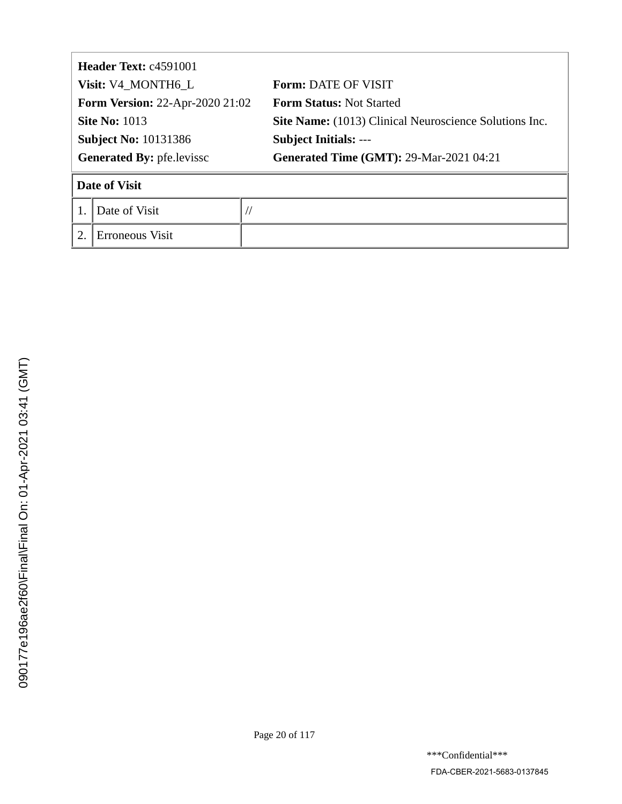| <b>Header Text: c4591001</b>           |                    |  |                                                        |  |
|----------------------------------------|--------------------|--|--------------------------------------------------------|--|
|                                        | Visit: V4_MONTH6_L |  | <b>Form: DATE OF VISIT</b>                             |  |
| <b>Form Version: 22-Apr-2020 21:02</b> |                    |  | <b>Form Status: Not Started</b>                        |  |
| <b>Site No: 1013</b>                   |                    |  | Site Name: (1013) Clinical Neuroscience Solutions Inc. |  |
| <b>Subject No: 10131386</b>            |                    |  | <b>Subject Initials: ---</b>                           |  |
| <b>Generated By: pfe.levissc</b>       |                    |  | <b>Generated Time (GMT): 29-Mar-2021 04:21</b>         |  |
|                                        | Date of Visit      |  |                                                        |  |
|                                        | Date of Visit      |  |                                                        |  |
| $\overline{2}$                         | Erroneous Visit    |  |                                                        |  |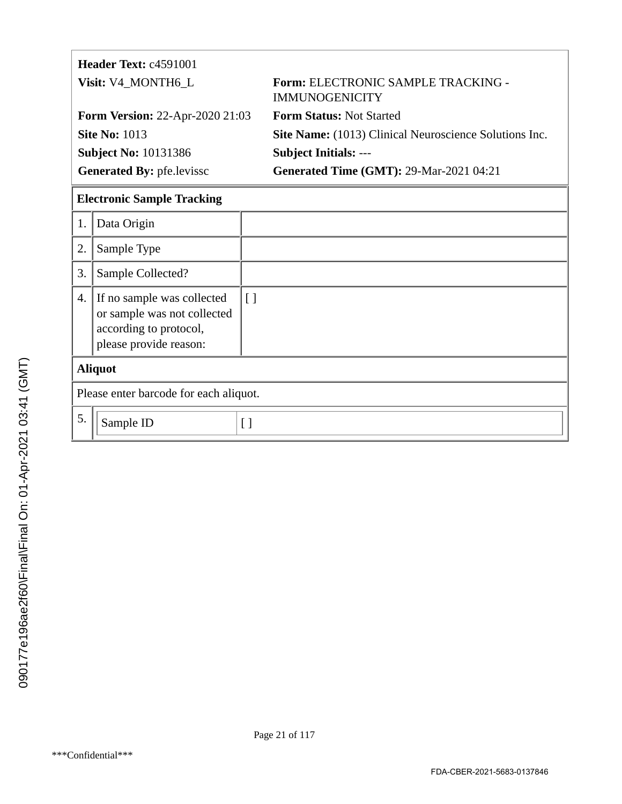|                                  | Header Text: c4591001                                                                                         |          |                                                                    |  |
|----------------------------------|---------------------------------------------------------------------------------------------------------------|----------|--------------------------------------------------------------------|--|
| Visit: V4_MONTH6_L               |                                                                                                               |          | <b>Form: ELECTRONIC SAMPLE TRACKING -</b><br><b>IMMUNOGENICITY</b> |  |
|                                  | <b>Form Version: 22-Apr-2020 21:03</b>                                                                        |          | <b>Form Status: Not Started</b>                                    |  |
|                                  | <b>Site No: 1013</b>                                                                                          |          | <b>Site Name:</b> (1013) Clinical Neuroscience Solutions Inc.      |  |
|                                  | <b>Subject No: 10131386</b>                                                                                   |          | <b>Subject Initials: ---</b>                                       |  |
| <b>Generated By: pfe.levissc</b> |                                                                                                               |          | <b>Generated Time (GMT): 29-Mar-2021 04:21</b>                     |  |
|                                  | <b>Electronic Sample Tracking</b>                                                                             |          |                                                                    |  |
| 1.                               | Data Origin                                                                                                   |          |                                                                    |  |
| 2.                               | Sample Type                                                                                                   |          |                                                                    |  |
| 3.                               | Sample Collected?                                                                                             |          |                                                                    |  |
| 4.                               | If no sample was collected<br>or sample was not collected<br>according to protocol,<br>please provide reason: | $\lceil$ |                                                                    |  |
|                                  | <b>Aliquot</b>                                                                                                |          |                                                                    |  |
|                                  | Please enter barcode for each aliquot.                                                                        |          |                                                                    |  |

| Please enter barcode for each aliquot. |  |  |
|----------------------------------------|--|--|
| sample ID                              |  |  |
|                                        |  |  |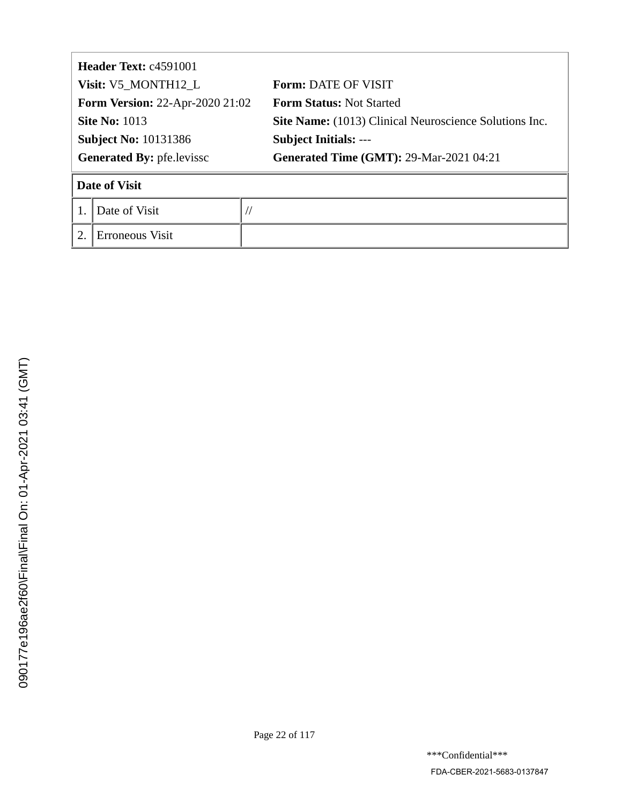| <b>Header Text: c4591001</b>           |                 |  |                                                        |  |
|----------------------------------------|-----------------|--|--------------------------------------------------------|--|
| Visit: V5_MONTH12_L                    |                 |  | <b>Form: DATE OF VISIT</b>                             |  |
| <b>Form Version: 22-Apr-2020 21:02</b> |                 |  | <b>Form Status: Not Started</b>                        |  |
| <b>Site No: 1013</b>                   |                 |  | Site Name: (1013) Clinical Neuroscience Solutions Inc. |  |
| <b>Subject No: 10131386</b>            |                 |  | <b>Subject Initials: ---</b>                           |  |
| <b>Generated By: pfe.levissc</b>       |                 |  | <b>Generated Time (GMT): 29-Mar-2021 04:21</b>         |  |
|                                        | Date of Visit   |  |                                                        |  |
|                                        | Date of Visit   |  |                                                        |  |
| $\overline{2}$                         | Erroneous Visit |  |                                                        |  |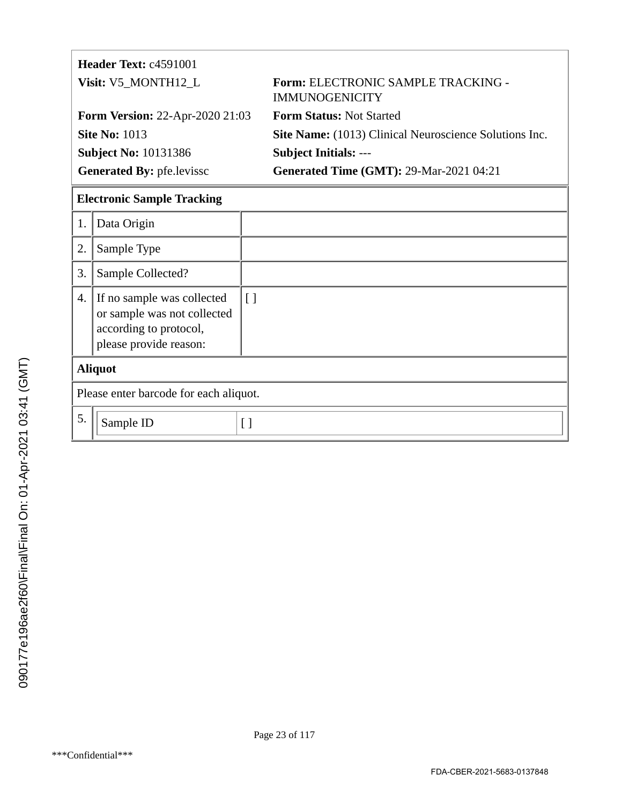|                     | Header Text: c4591001                                                                                         |                                        |                                                             |  |  |
|---------------------|---------------------------------------------------------------------------------------------------------------|----------------------------------------|-------------------------------------------------------------|--|--|
| Visit: V5_MONTH12_L |                                                                                                               |                                        | Form: ELECTRONIC SAMPLE TRACKING -<br><b>IMMUNOGENICITY</b> |  |  |
|                     | <b>Form Version: 22-Apr-2020 21:03</b>                                                                        |                                        | <b>Form Status: Not Started</b>                             |  |  |
|                     | <b>Site No: 1013</b>                                                                                          |                                        | Site Name: (1013) Clinical Neuroscience Solutions Inc.      |  |  |
|                     | <b>Subject No: 10131386</b>                                                                                   |                                        | <b>Subject Initials: ---</b>                                |  |  |
|                     | Generated By: pfe.levissc                                                                                     |                                        | <b>Generated Time (GMT): 29-Mar-2021 04:21</b>              |  |  |
|                     | <b>Electronic Sample Tracking</b>                                                                             |                                        |                                                             |  |  |
| 1.                  | Data Origin                                                                                                   |                                        |                                                             |  |  |
| 2.                  | Sample Type                                                                                                   |                                        |                                                             |  |  |
| 3.                  | Sample Collected?                                                                                             |                                        |                                                             |  |  |
| 4.                  | If no sample was collected<br>or sample was not collected<br>according to protocol,<br>please provide reason: | $\Box$                                 |                                                             |  |  |
|                     | <b>Aliquot</b>                                                                                                |                                        |                                                             |  |  |
|                     |                                                                                                               | Please enter barcode for each aliquot. |                                                             |  |  |

| Please enter barcode for each aliquot. |  |  |
|----------------------------------------|--|--|
| sample ID                              |  |  |
|                                        |  |  |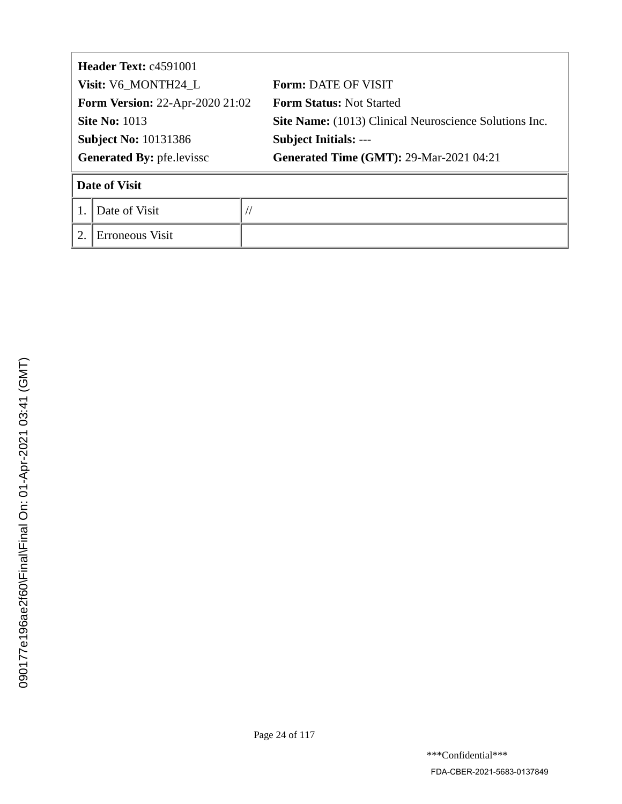| <b>Header Text: c4591001</b>           |                 |  |                                                        |
|----------------------------------------|-----------------|--|--------------------------------------------------------|
| Visit: V6_MONTH24_L                    |                 |  | <b>Form: DATE OF VISIT</b>                             |
| <b>Form Version: 22-Apr-2020 21:02</b> |                 |  | <b>Form Status: Not Started</b>                        |
| <b>Site No: 1013</b>                   |                 |  | Site Name: (1013) Clinical Neuroscience Solutions Inc. |
| <b>Subject No: 10131386</b>            |                 |  | <b>Subject Initials: ---</b>                           |
| <b>Generated By: pfe.levissc</b>       |                 |  | <b>Generated Time (GMT): 29-Mar-2021 04:21</b>         |
|                                        | Date of Visit   |  |                                                        |
|                                        | Date of Visit   |  |                                                        |
| $\overline{2}$                         | Erroneous Visit |  |                                                        |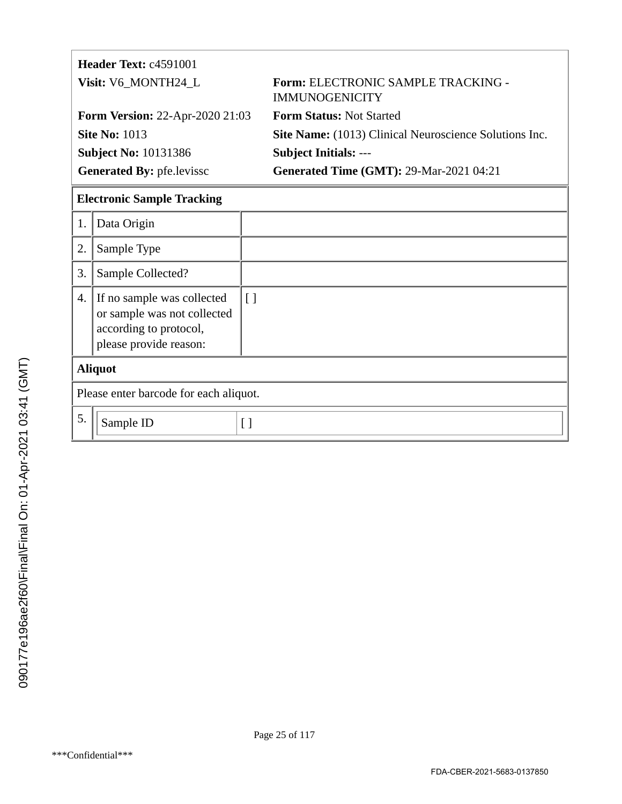|                     | Header Text: c4591001                                                                                         |          |                                                             |
|---------------------|---------------------------------------------------------------------------------------------------------------|----------|-------------------------------------------------------------|
| Visit: V6_MONTH24_L |                                                                                                               |          | Form: ELECTRONIC SAMPLE TRACKING -<br><b>IMMUNOGENICITY</b> |
|                     | <b>Form Version: 22-Apr-2020 21:03</b>                                                                        |          | <b>Form Status: Not Started</b>                             |
|                     | <b>Site No: 1013</b>                                                                                          |          | Site Name: (1013) Clinical Neuroscience Solutions Inc.      |
|                     | <b>Subject No: 10131386</b>                                                                                   |          | <b>Subject Initials: ---</b>                                |
|                     | <b>Generated By: pfe.levissc</b>                                                                              |          | <b>Generated Time (GMT): 29-Mar-2021 04:21</b>              |
|                     | <b>Electronic Sample Tracking</b>                                                                             |          |                                                             |
| 1.                  | Data Origin                                                                                                   |          |                                                             |
| 2.                  | Sample Type                                                                                                   |          |                                                             |
| 3.                  | Sample Collected?                                                                                             |          |                                                             |
| 4.                  | If no sample was collected<br>or sample was not collected<br>according to protocol,<br>please provide reason: | $\lceil$ |                                                             |
|                     | <b>Aliquot</b>                                                                                                |          |                                                             |
|                     | Please enter barcode for each aliquot.                                                                        |          |                                                             |

 $5. \n\text{Sample ID}$  [ ]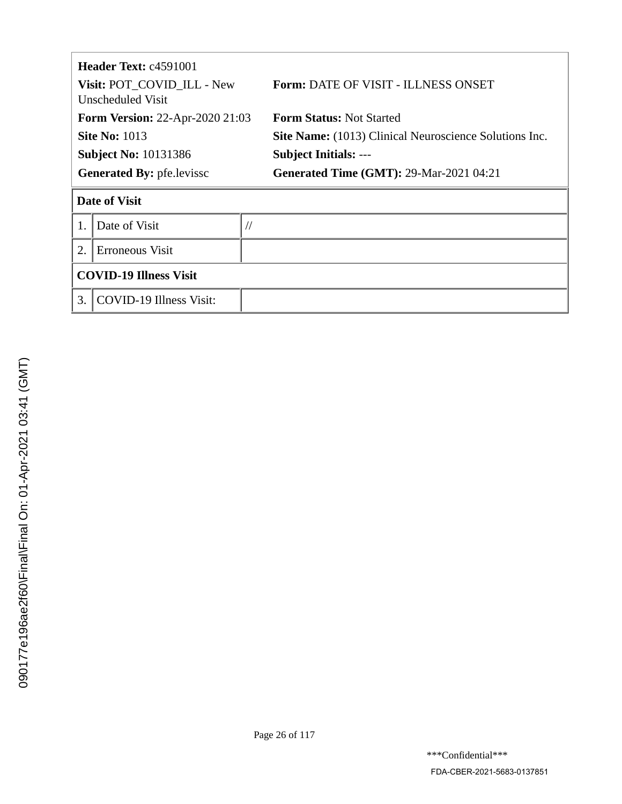| <b>Header Text: c4591001</b><br>Visit: POT_COVID_ILL - New<br>Unscheduled Visit |                                |               | <b>Form: DATE OF VISIT - ILLNESS ONSET</b>                    |  |
|---------------------------------------------------------------------------------|--------------------------------|---------------|---------------------------------------------------------------|--|
| <b>Form Version: 22-Apr-2020 21:03</b>                                          |                                |               | <b>Form Status: Not Started</b>                               |  |
| <b>Site No: 1013</b>                                                            |                                |               | <b>Site Name:</b> (1013) Clinical Neuroscience Solutions Inc. |  |
| <b>Subject No: 10131386</b>                                                     |                                |               | <b>Subject Initials: ---</b>                                  |  |
| <b>Generated By: pfe.levissc</b>                                                |                                |               | <b>Generated Time (GMT): 29-Mar-2021 04:21</b>                |  |
|                                                                                 | <b>Date of Visit</b>           |               |                                                               |  |
| 1.                                                                              | Date of Visit                  | $\frac{1}{2}$ |                                                               |  |
| 2.<br>Erroneous Visit                                                           |                                |               |                                                               |  |
|                                                                                 | <b>COVID-19 Illness Visit</b>  |               |                                                               |  |
| 3.                                                                              | <b>COVID-19 Illness Visit:</b> |               |                                                               |  |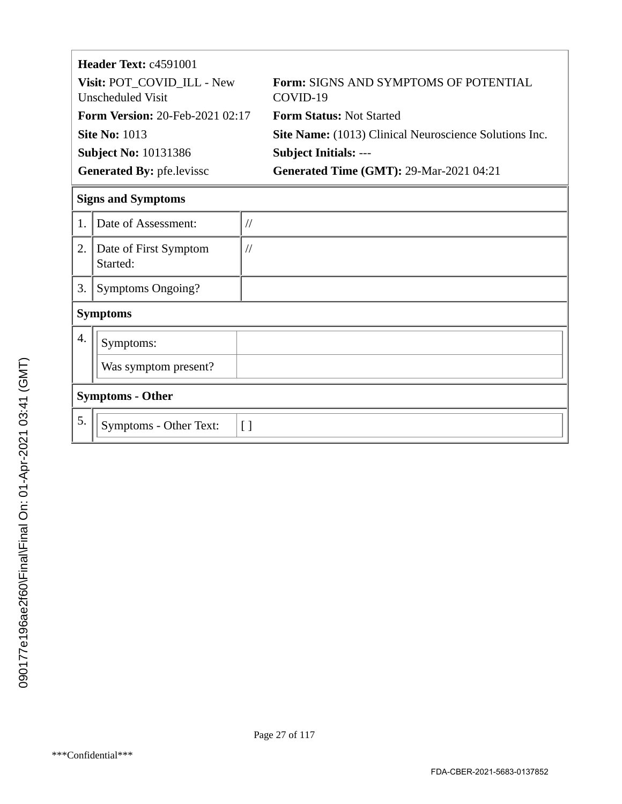|                            | Header Text: c4591001                  |               |                                                               |  |
|----------------------------|----------------------------------------|---------------|---------------------------------------------------------------|--|
| Visit: POT_COVID_ILL - New |                                        |               | <b>Form: SIGNS AND SYMPTOMS OF POTENTIAL</b>                  |  |
|                            | Unscheduled Visit                      |               | COVID-19                                                      |  |
|                            | <b>Form Version: 20-Feb-2021 02:17</b> |               | <b>Form Status: Not Started</b>                               |  |
|                            | <b>Site No: 1013</b>                   |               | <b>Site Name:</b> (1013) Clinical Neuroscience Solutions Inc. |  |
|                            | <b>Subject No: 10131386</b>            |               | <b>Subject Initials: ---</b>                                  |  |
|                            | <b>Generated By: pfe.levissc</b>       |               | <b>Generated Time (GMT): 29-Mar-2021 04:21</b>                |  |
|                            | <b>Signs and Symptoms</b>              |               |                                                               |  |
| $\mathbf{1}$               | Date of Assessment:                    | $\frac{1}{2}$ |                                                               |  |
| 2.                         | Date of First Symptom                  | $\frac{1}{2}$ |                                                               |  |
|                            | Started:                               |               |                                                               |  |
| 3.                         | <b>Symptoms Ongoing?</b>               |               |                                                               |  |
|                            | <b>Symptoms</b>                        |               |                                                               |  |
| 4.                         | Symptoms:                              |               |                                                               |  |
|                            | Was symptom present?                   |               |                                                               |  |

# **Symptoms - Other**

| 5. | 'Symptoms - Other Text: |  |
|----|-------------------------|--|
|    |                         |  |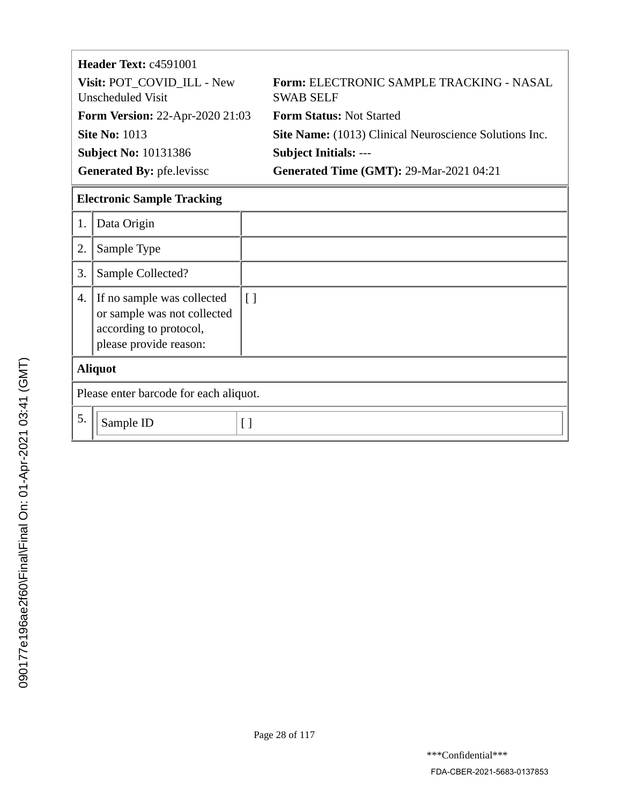| Header Text: c4591001                           |                                                               |
|-------------------------------------------------|---------------------------------------------------------------|
| Visit: POT_COVID_ILL - New<br>Unscheduled Visit | Form: ELECTRONIC SAMPLE TRACKING - NASAL<br><b>SWAB SELF</b>  |
| <b>Form Version: 22-Apr-2020 21:03</b>          | <b>Form Status: Not Started</b>                               |
| <b>Site No: 1013</b>                            | <b>Site Name:</b> (1013) Clinical Neuroscience Solutions Inc. |
| <b>Subject No: 10131386</b>                     | <b>Subject Initials: ---</b>                                  |
| <b>Generated By: pfe.levissc</b>                | <b>Generated Time (GMT): 29-Mar-2021 04:21</b>                |

# **Electronic Sample Tracking**

| 1.             | Data Origin                                                                                                   |                   |  |
|----------------|---------------------------------------------------------------------------------------------------------------|-------------------|--|
| 2.             | Sample Type                                                                                                   |                   |  |
| 3.             | Sample Collected?                                                                                             |                   |  |
| 4.             | If no sample was collected<br>or sample was not collected<br>according to protocol,<br>please provide reason: | $\lfloor \rfloor$ |  |
| <b>Aliquot</b> |                                                                                                               |                   |  |
|                | Please enter barcode for each aliquot.                                                                        |                   |  |
| 5.             | Sample ID                                                                                                     | Γl                |  |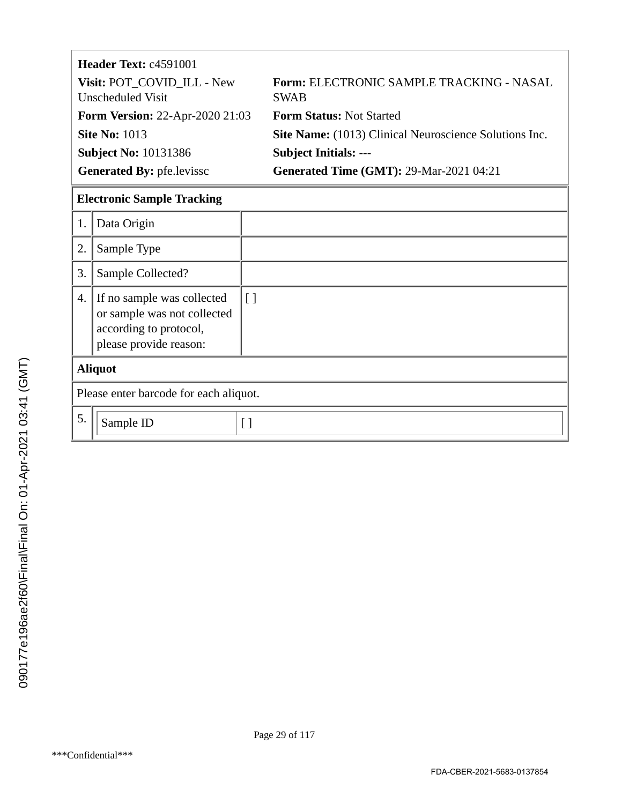| Header Text: c4591001                           |                                                         |
|-------------------------------------------------|---------------------------------------------------------|
| Visit: POT_COVID_ILL - New<br>Unscheduled Visit | Form: ELECTRONIC SAMPLE TRACKING - NASAL<br><b>SWAB</b> |
| <b>Form Version: 22-Apr-2020 21:03</b>          | <b>Form Status: Not Started</b>                         |
| <b>Site No: 1013</b>                            | Site Name: (1013) Clinical Neuroscience Solutions Inc.  |
| <b>Subject No: 10131386</b>                     | <b>Subject Initials: ---</b>                            |
| <b>Generated By: pfe.levissc</b>                | <b>Generated Time (GMT): 29-Mar-2021 04:21</b>          |

## **Electronic Sample Tracking**

| 1.             | Data Origin                                                                                                   |                   |  |
|----------------|---------------------------------------------------------------------------------------------------------------|-------------------|--|
| 2.             | Sample Type                                                                                                   |                   |  |
| 3.             | Sample Collected?                                                                                             |                   |  |
| 4.             | If no sample was collected<br>or sample was not collected<br>according to protocol,<br>please provide reason: | $\lfloor \rfloor$ |  |
| <b>Aliquot</b> |                                                                                                               |                   |  |
|                | Please enter barcode for each aliquot.                                                                        |                   |  |
| 5.             | Sample ID                                                                                                     | [ ]               |  |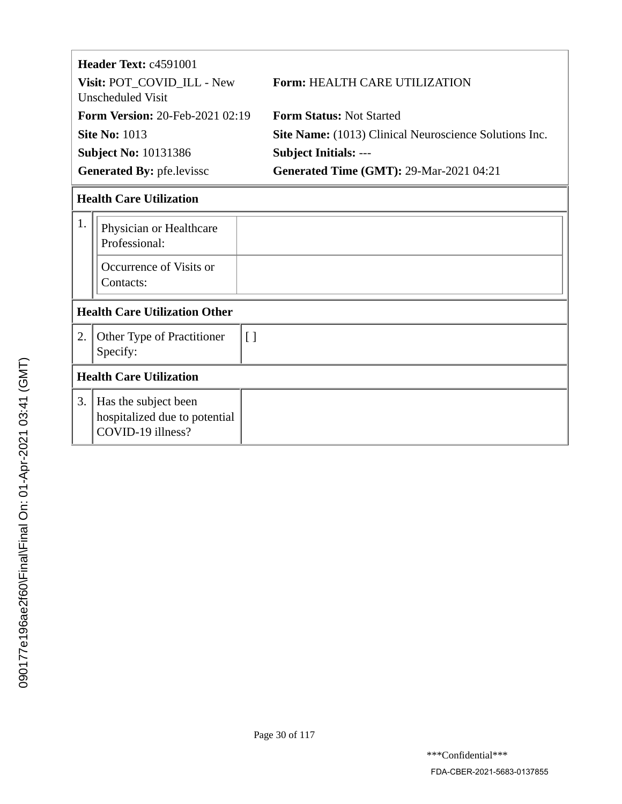|                                   | Header Text: c4591001                    |                                                               |  |
|-----------------------------------|------------------------------------------|---------------------------------------------------------------|--|
|                                   | Visit: POT_COVID_ILL - New               | <b>Form: HEALTH CARE UTILIZATION</b>                          |  |
|                                   | Unscheduled Visit                        |                                                               |  |
|                                   | <b>Form Version: 20-Feb-2021 02:19</b>   | <b>Form Status: Not Started</b>                               |  |
|                                   | <b>Site No: 1013</b>                     | <b>Site Name:</b> (1013) Clinical Neuroscience Solutions Inc. |  |
|                                   | <b>Subject No: 10131386</b>              | <b>Subject Initials: ---</b>                                  |  |
| <b>Generated By: pfe. levissc</b> |                                          | <b>Generated Time (GMT): 29-Mar-2021 04:21</b>                |  |
|                                   | <b>Health Care Utilization</b>           |                                                               |  |
| 1.                                | Physician or Healthcare<br>Professional: |                                                               |  |
|                                   | Occurrence of Visits or<br>Contacts:     |                                                               |  |
|                                   | <b>Health Care Utilization Other</b>     |                                                               |  |
|                                   |                                          |                                                               |  |

| <b>Other Type of Practitioner</b><br>Specify:                                 |  |  |
|-------------------------------------------------------------------------------|--|--|
| <b>Health Care Utilization</b>                                                |  |  |
| 3. Has the subject been<br>hospitalized due to potential<br>COVID-19 illness? |  |  |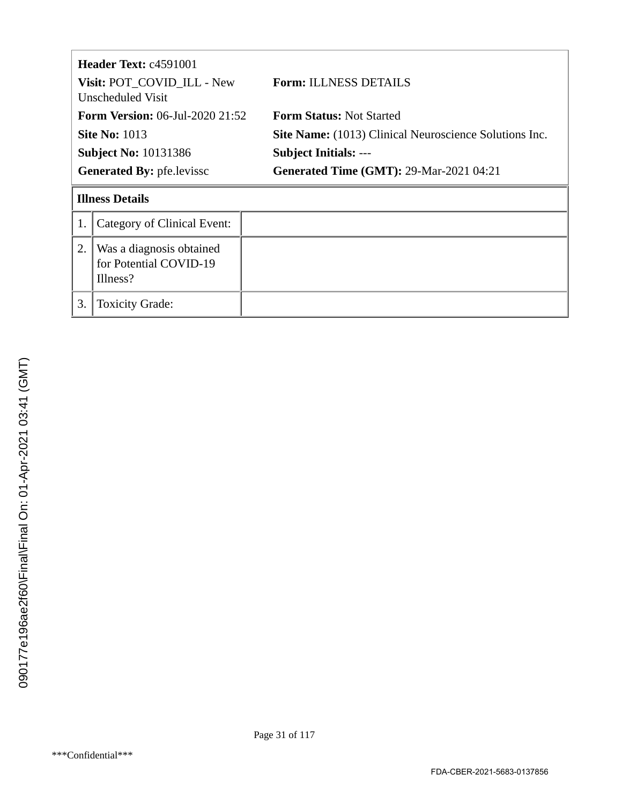| <b>Header Text: c4591001</b><br>Visit: POT_COVID_ILL - New<br>Unscheduled Visit |                                                                | <b>Form: ILLNESS DETAILS</b>                                  |
|---------------------------------------------------------------------------------|----------------------------------------------------------------|---------------------------------------------------------------|
| <b>Form Version:</b> 06-Jul-2020 21:52                                          |                                                                | <b>Form Status: Not Started</b>                               |
| <b>Site No: 1013</b>                                                            |                                                                | <b>Site Name:</b> (1013) Clinical Neuroscience Solutions Inc. |
| <b>Subject No: 10131386</b>                                                     |                                                                | <b>Subject Initials: ---</b>                                  |
| <b>Generated By: pfe.levissc</b>                                                |                                                                | <b>Generated Time (GMT): 29-Mar-2021 04:21</b>                |
|                                                                                 | <b>Illness Details</b>                                         |                                                               |
| 1.                                                                              | Category of Clinical Event:                                    |                                                               |
| 2.                                                                              | Was a diagnosis obtained<br>for Potential COVID-19<br>Illness? |                                                               |
| 3.                                                                              | <b>Toxicity Grade:</b>                                         |                                                               |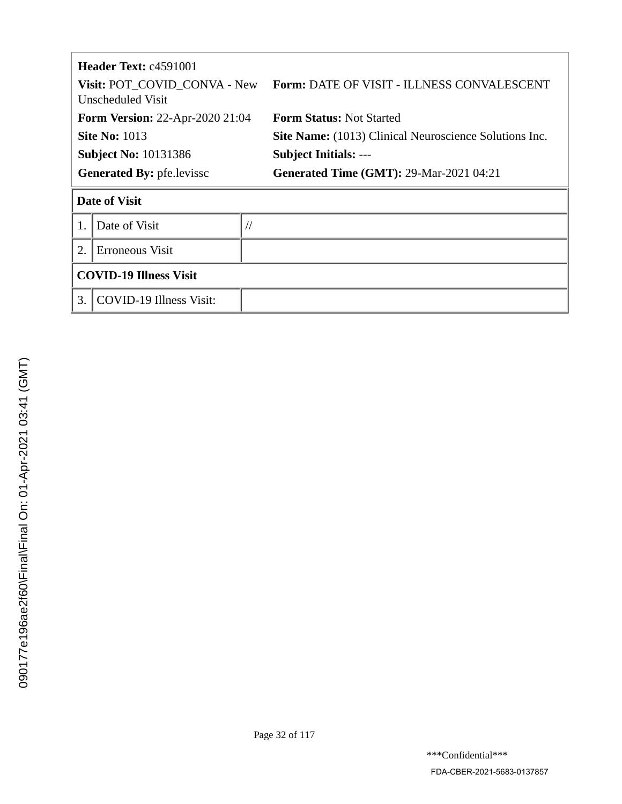| <b>Header Text: c4591001</b><br>Visit: POT COVID CONVA - New<br>Unscheduled Visit |                                | Form: DATE OF VISIT - ILLNESS CONVALESCENT             |
|-----------------------------------------------------------------------------------|--------------------------------|--------------------------------------------------------|
| <b>Form Version: 22-Apr-2020 21:04</b>                                            |                                | <b>Form Status: Not Started</b>                        |
| <b>Site No: 1013</b>                                                              |                                | Site Name: (1013) Clinical Neuroscience Solutions Inc. |
| <b>Subject No: 10131386</b>                                                       |                                | <b>Subject Initials: ---</b>                           |
| <b>Generated By: pfe.levissc</b>                                                  |                                | <b>Generated Time (GMT): 29-Mar-2021 04:21</b>         |
| <b>Date of Visit</b>                                                              |                                |                                                        |
|                                                                                   | Date of Visit                  |                                                        |
| 2.                                                                                | Erroneous Visit                |                                                        |
| <b>COVID-19 Illness Visit</b>                                                     |                                |                                                        |
| 3.                                                                                | <b>COVID-19 Illness Visit:</b> |                                                        |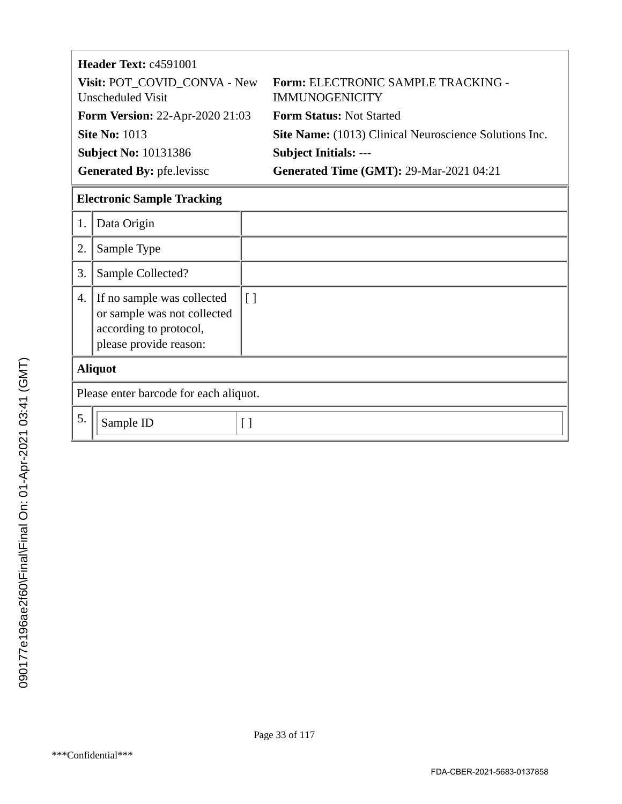| <b>Header Text: c4591001</b>                      |                                                             |  |
|---------------------------------------------------|-------------------------------------------------------------|--|
| Visit: POT COVID CONVA - New<br>Unscheduled Visit | Form: ELECTRONIC SAMPLE TRACKING -<br><b>IMMUNOGENICITY</b> |  |
| <b>Form Version: 22-Apr-2020 21:03</b>            | <b>Form Status: Not Started</b>                             |  |
| <b>Site No: 1013</b>                              | Site Name: (1013) Clinical Neuroscience Solutions Inc.      |  |
| <b>Subject No: 10131386</b>                       | <b>Subject Initials: ---</b>                                |  |
| <b>Generated By: pfe.levissc</b>                  | <b>Generated Time (GMT): 29-Mar-2021 04:21</b>              |  |

## **Electronic Sample Tracking**

| 1.                                     | Data Origin                                                                                                   |                   |
|----------------------------------------|---------------------------------------------------------------------------------------------------------------|-------------------|
| 2.                                     | Sample Type                                                                                                   |                   |
| 3.                                     | Sample Collected?                                                                                             |                   |
| 4.                                     | If no sample was collected<br>or sample was not collected<br>according to protocol,<br>please provide reason: | $\Box$            |
| <b>Aliquot</b>                         |                                                                                                               |                   |
| Please enter barcode for each aliquot. |                                                                                                               |                   |
| 5.                                     | Sample ID                                                                                                     | $\lceil$ $\rceil$ |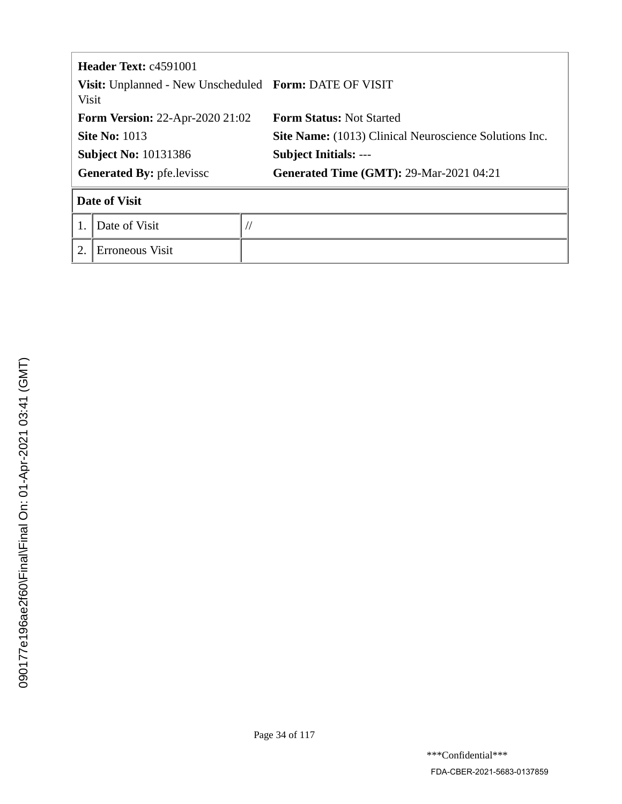| Header Text: c4591001<br>Visit: Unplanned - New Unscheduled Form: DATE OF VISIT<br><b>Visit</b> |                      |           |                                                        |
|-------------------------------------------------------------------------------------------------|----------------------|-----------|--------------------------------------------------------|
| <b>Form Version: 22-Apr-2020 21:02</b>                                                          |                      |           | <b>Form Status: Not Started</b>                        |
| <b>Site No: 1013</b>                                                                            |                      |           | Site Name: (1013) Clinical Neuroscience Solutions Inc. |
| <b>Subject No: 10131386</b>                                                                     |                      |           | <b>Subject Initials: ---</b>                           |
| <b>Generated By: pfe.levissc</b>                                                                |                      |           | <b>Generated Time (GMT): 29-Mar-2021 04:21</b>         |
|                                                                                                 | <b>Date of Visit</b> |           |                                                        |
|                                                                                                 | Date of Visit        | $\sqrt{}$ |                                                        |
|                                                                                                 | Erroneous Visit      |           |                                                        |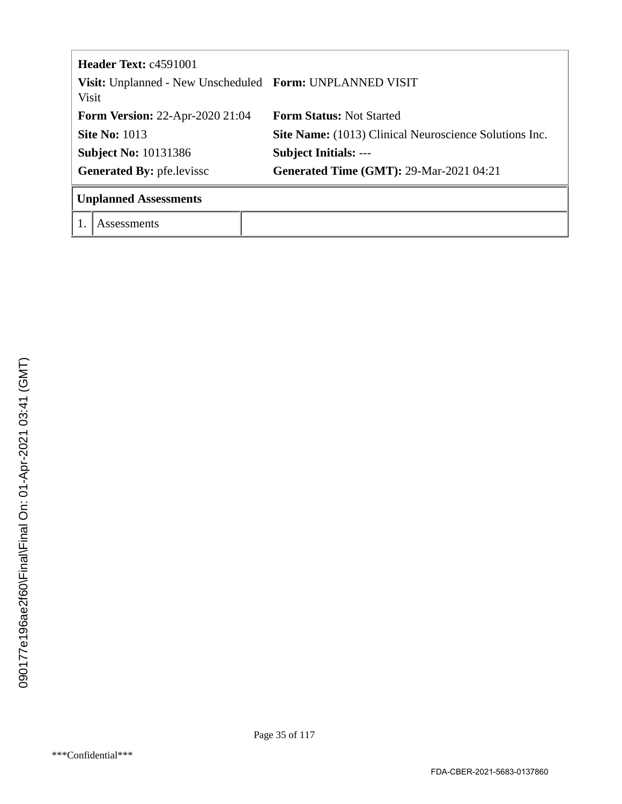|                                                                   | <b>Header Text: c4591001</b> |                                                        |  |  |
|-------------------------------------------------------------------|------------------------------|--------------------------------------------------------|--|--|
| Visit: Unplanned - New Unscheduled Form: UNPLANNED VISIT<br>Visit |                              |                                                        |  |  |
| <b>Form Version: 22-Apr-2020 21:04</b>                            |                              | <b>Form Status: Not Started</b>                        |  |  |
| <b>Site No: 1013</b>                                              |                              | Site Name: (1013) Clinical Neuroscience Solutions Inc. |  |  |
| <b>Subject No: 10131386</b>                                       |                              | <b>Subject Initials: ---</b>                           |  |  |
| <b>Generated By: pfe.levissc</b>                                  |                              | <b>Generated Time (GMT): 29-Mar-2021 04:21</b>         |  |  |
| <b>Unplanned Assessments</b>                                      |                              |                                                        |  |  |
|                                                                   | Assessments                  |                                                        |  |  |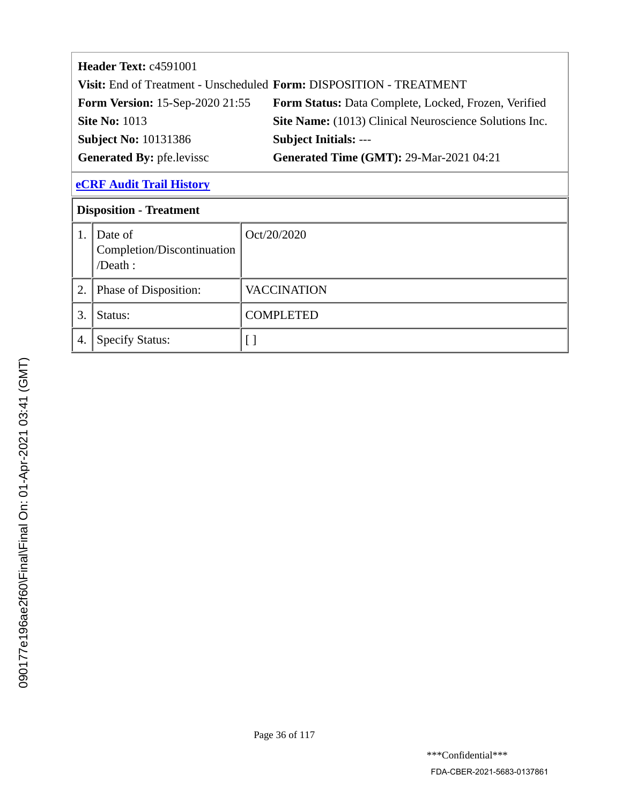| <b>Header Text: c4591001</b>           |                                                                     |
|----------------------------------------|---------------------------------------------------------------------|
|                                        | Visit: End of Treatment - Unscheduled Form: DISPOSITION - TREATMENT |
| <b>Form Version:</b> 15-Sep-2020 21:55 | <b>Form Status:</b> Data Complete, Locked, Frozen, Verified         |
| <b>Site No: 1013</b>                   | Site Name: (1013) Clinical Neuroscience Solutions Inc.              |
| <b>Subject No: 10131386</b>            | <b>Subject Initials: ---</b>                                        |
| <b>Generated By: pfe.levissc</b>       | <b>Generated Time (GMT): 29-Mar-2021 04:21</b>                      |
| <b>eCRF Audit Trail History</b>        |                                                                     |
| <b>Disposition - Treatment</b>         |                                                                     |

Oct/20/2020

| ーミンマ                                  |
|---------------------------------------|
| Trick Trick<br>l                      |
| .<br> <br> }<br>ì                     |
| י<br>ד<br><b>Service Service</b><br>l |
| ١                                     |
| į                                     |
|                                       |
| ・・・にてくらく                              |
|                                       |
| ・ハイフィン                                |
|                                       |

1.  $\vert$  Date of

/Death :

Completion/Discontinuation

4. Specify Status: [ ]

2. Phase of Disposition: VACCINATION

3. Status: COMPLETED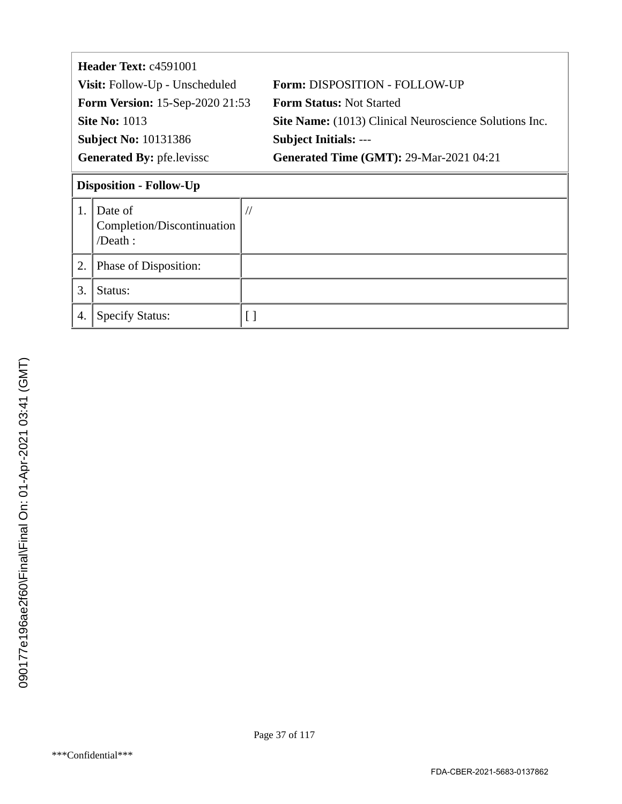|                                  | Header Text: c4591001                            |                                                               |  |  |  |
|----------------------------------|--------------------------------------------------|---------------------------------------------------------------|--|--|--|
|                                  | Visit: Follow-Up - Unscheduled                   | Form: DISPOSITION - FOLLOW-UP                                 |  |  |  |
|                                  | <b>Form Version: 15-Sep-2020 21:53</b>           | <b>Form Status: Not Started</b>                               |  |  |  |
| <b>Site No: 1013</b>             |                                                  | <b>Site Name:</b> (1013) Clinical Neuroscience Solutions Inc. |  |  |  |
| <b>Subject No: 10131386</b>      |                                                  | <b>Subject Initials: ---</b>                                  |  |  |  |
| <b>Generated By: pfe.levissc</b> |                                                  | <b>Generated Time (GMT): 29-Mar-2021 04:21</b>                |  |  |  |
| <b>Disposition - Follow-Up</b>   |                                                  |                                                               |  |  |  |
| 1.                               | Date of<br>Completion/Discontinuation<br>/Death: | $\frac{1}{2}$                                                 |  |  |  |
| 2.                               | Phase of Disposition:                            |                                                               |  |  |  |
| 3.                               | Status:                                          |                                                               |  |  |  |
| 4.                               | <b>Specify Status:</b>                           |                                                               |  |  |  |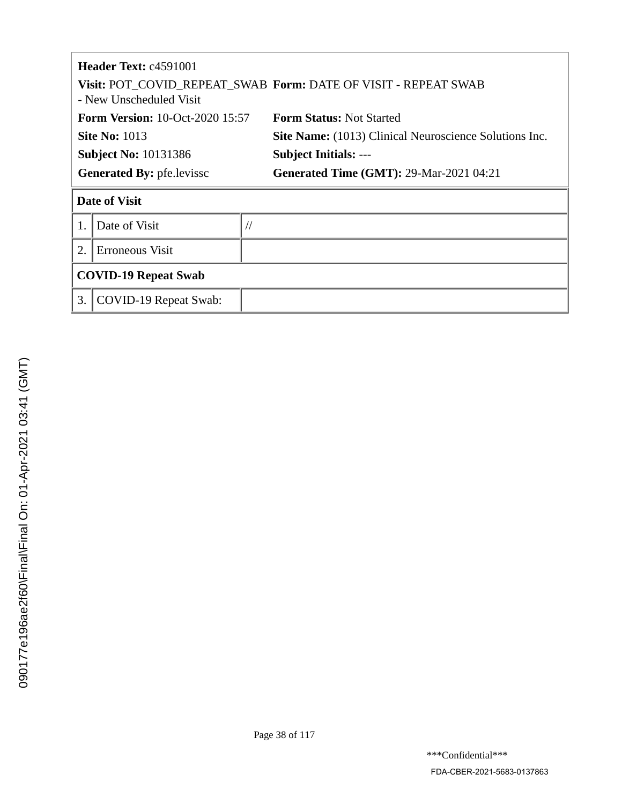|                                     | <b>Header Text:</b> $c4591001$<br>Visit: POT_COVID_REPEAT_SWAB_Form: DATE OF VISIT - REPEAT SWAB<br>- New Unscheduled Visit |                                                        |  |  |
|-------------------------------------|-----------------------------------------------------------------------------------------------------------------------------|--------------------------------------------------------|--|--|
|                                     | <b>Form Version: 10-Oct-2020 15:57</b>                                                                                      | <b>Form Status: Not Started</b>                        |  |  |
| <b>Site No: 1013</b>                |                                                                                                                             | Site Name: (1013) Clinical Neuroscience Solutions Inc. |  |  |
|                                     | <b>Subject No: 10131386</b>                                                                                                 | <b>Subject Initials: ---</b>                           |  |  |
| <b>Generated By: pfe.levissc</b>    |                                                                                                                             | <b>Generated Time (GMT): 29-Mar-2021 04:21</b>         |  |  |
| <b>Date of Visit</b>                |                                                                                                                             |                                                        |  |  |
|                                     | Date of Visit                                                                                                               | $\frac{1}{2}$                                          |  |  |
| $\overline{2}$ .<br>Erroneous Visit |                                                                                                                             |                                                        |  |  |
| <b>COVID-19 Repeat Swab</b>         |                                                                                                                             |                                                        |  |  |
| 3.                                  | COVID-19 Repeat Swab:                                                                                                       |                                                        |  |  |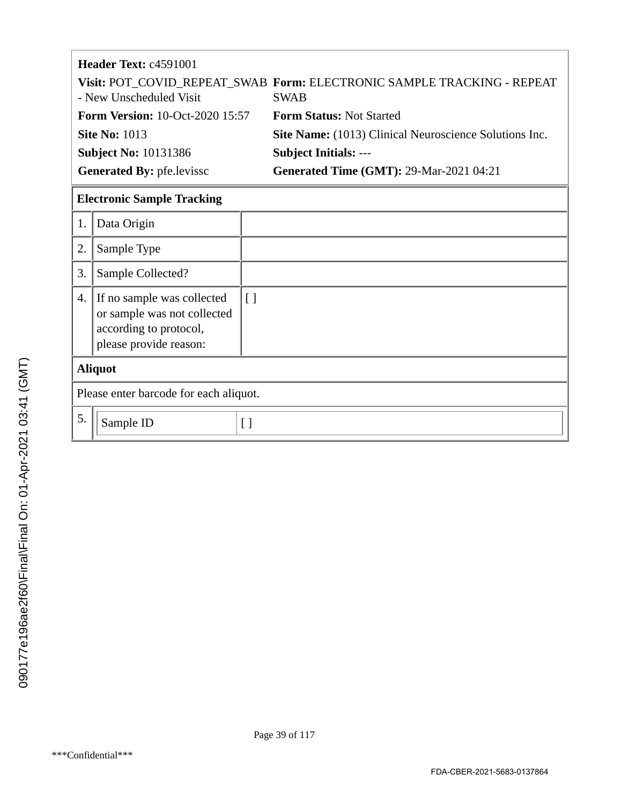| <b>Header Text: c4591001</b>           |                                                                                       |  |  |
|----------------------------------------|---------------------------------------------------------------------------------------|--|--|
| - New Unscheduled Visit                | Visit: POT_COVID_REPEAT_SWAB_Form: ELECTRONIC SAMPLE TRACKING - REPEAT<br><b>SWAB</b> |  |  |
| <b>Form Version: 10-Oct-2020 15:57</b> | <b>Form Status: Not Started</b>                                                       |  |  |
| <b>Site No: 1013</b>                   | Site Name: (1013) Clinical Neuroscience Solutions Inc.                                |  |  |
| <b>Subject No: 10131386</b>            | <b>Subject Initials: ---</b>                                                          |  |  |
| <b>Generated By: pfe.levissc</b>       | <b>Generated Time (GMT): 29-Mar-2021 04:21</b>                                        |  |  |
|                                        |                                                                                       |  |  |

# **Electronic Sample Tracking**

| 1.             | Data Origin                                                                                                   |        |  |
|----------------|---------------------------------------------------------------------------------------------------------------|--------|--|
| 2.             | Sample Type                                                                                                   |        |  |
| 3.             | Sample Collected?                                                                                             |        |  |
| 4.             | If no sample was collected<br>or sample was not collected<br>according to protocol,<br>please provide reason: | $\Box$ |  |
| <b>Aliquot</b> |                                                                                                               |        |  |
|                | Please enter barcode for each aliquot.                                                                        |        |  |
| 5.             | Sample ID                                                                                                     | Γl     |  |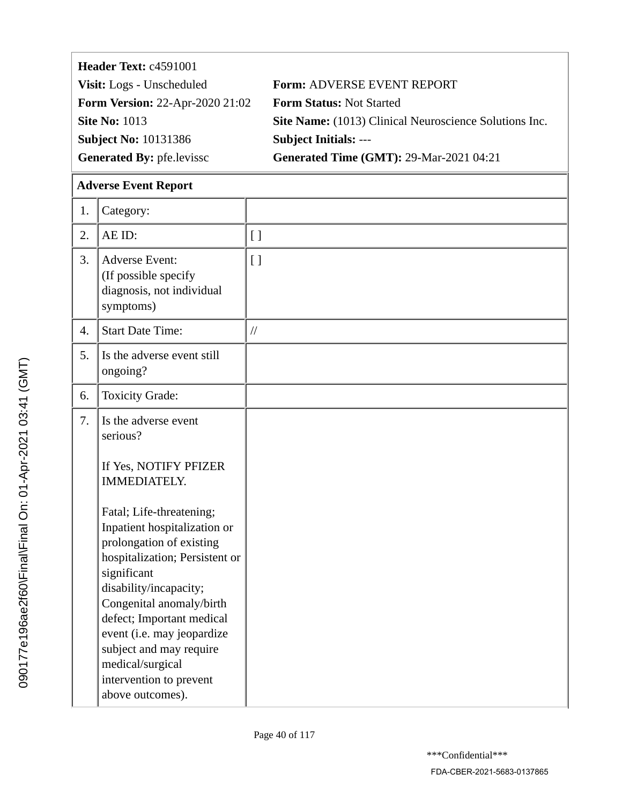| Header Text: c4591001                  |                                                               |  |  |
|----------------------------------------|---------------------------------------------------------------|--|--|
| Visit: Logs - Unscheduled              | <b>Form: ADVERSE EVENT REPORT</b>                             |  |  |
| <b>Form Version: 22-Apr-2020 21:02</b> | <b>Form Status: Not Started</b>                               |  |  |
| <b>Site No: 1013</b>                   | <b>Site Name:</b> (1013) Clinical Neuroscience Solutions Inc. |  |  |
| <b>Subject No: 10131386</b>            | <b>Subject Initials: ---</b>                                  |  |  |
| <b>Generated By: pfe.levissc</b>       | <b>Generated Time (GMT): 29-Mar-2021 04:21</b>                |  |  |

# **Adverse Event Report**

| 1.               | Category:                                                                                                                                                                                                                                                                                                                                                                                                                                |                    |
|------------------|------------------------------------------------------------------------------------------------------------------------------------------------------------------------------------------------------------------------------------------------------------------------------------------------------------------------------------------------------------------------------------------------------------------------------------------|--------------------|
| 2.               | AE ID:                                                                                                                                                                                                                                                                                                                                                                                                                                   | $\left[ \ \right]$ |
| 3.               | <b>Adverse Event:</b><br>(If possible specify<br>diagnosis, not individual<br>symptoms)                                                                                                                                                                                                                                                                                                                                                  | $\lceil$ ]         |
| $\overline{4}$ . | <b>Start Date Time:</b>                                                                                                                                                                                                                                                                                                                                                                                                                  | $\frac{1}{2}$      |
| 5.               | Is the adverse event still<br>ongoing?                                                                                                                                                                                                                                                                                                                                                                                                   |                    |
| 6.               | <b>Toxicity Grade:</b>                                                                                                                                                                                                                                                                                                                                                                                                                   |                    |
| 7.               | Is the adverse event<br>serious?<br>If Yes, NOTIFY PFIZER<br><b>IMMEDIATELY.</b><br>Fatal; Life-threatening;<br>Inpatient hospitalization or<br>prolongation of existing<br>hospitalization; Persistent or<br>significant<br>disability/incapacity;<br>Congenital anomaly/birth<br>defect; Important medical<br>event (i.e. may jeopardize<br>subject and may require<br>medical/surgical<br>intervention to prevent<br>above outcomes). |                    |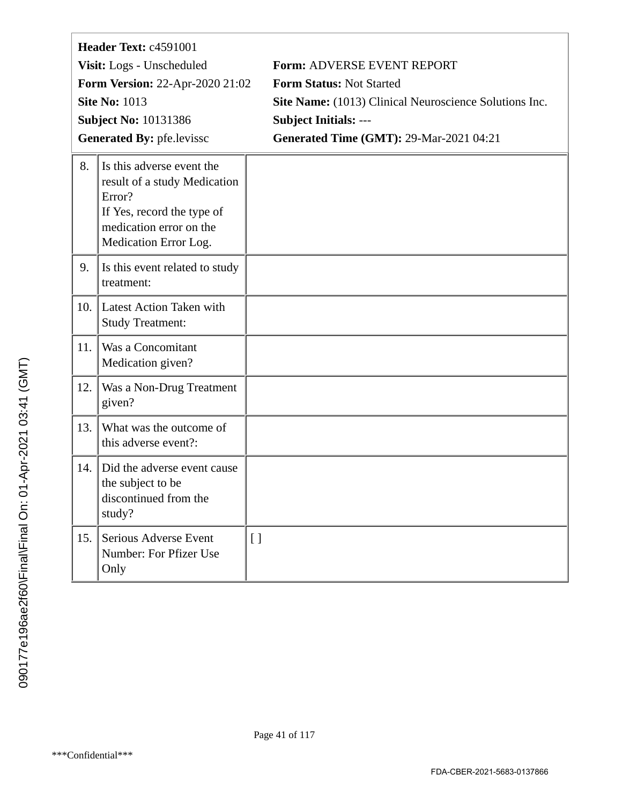| Header Text: c4591001 |                                                                                                                                                       |                                                               |  |  |
|-----------------------|-------------------------------------------------------------------------------------------------------------------------------------------------------|---------------------------------------------------------------|--|--|
|                       | Visit: Logs - Unscheduled                                                                                                                             | <b>Form: ADVERSE EVENT REPORT</b>                             |  |  |
|                       | <b>Form Version: 22-Apr-2020 21:02</b>                                                                                                                | Form Status: Not Started                                      |  |  |
|                       | <b>Site No: 1013</b>                                                                                                                                  | <b>Site Name:</b> (1013) Clinical Neuroscience Solutions Inc. |  |  |
|                       | <b>Subject No: 10131386</b>                                                                                                                           | <b>Subject Initials: ---</b>                                  |  |  |
|                       | <b>Generated By: pfe.levissc</b>                                                                                                                      | <b>Generated Time (GMT): 29-Mar-2021 04:21</b>                |  |  |
| 8.                    | Is this adverse event the<br>result of a study Medication<br>Error?<br>If Yes, record the type of<br>medication error on the<br>Medication Error Log. |                                                               |  |  |
| 9.                    | Is this event related to study<br>treatment:                                                                                                          |                                                               |  |  |
| 10.                   | Latest Action Taken with<br><b>Study Treatment:</b>                                                                                                   |                                                               |  |  |
| 11.                   | Was a Concomitant<br>Medication given?                                                                                                                |                                                               |  |  |
| 12.                   | Was a Non-Drug Treatment<br>given?                                                                                                                    |                                                               |  |  |
| 13.                   | What was the outcome of<br>this adverse event?:                                                                                                       |                                                               |  |  |
| 14.                   | Did the adverse event cause<br>the subject to be<br>discontinued from the<br>study?                                                                   |                                                               |  |  |
| 15.                   | Serious Adverse Event<br>Number: For Pfizer Use<br>Only                                                                                               | $[ \ ]$                                                       |  |  |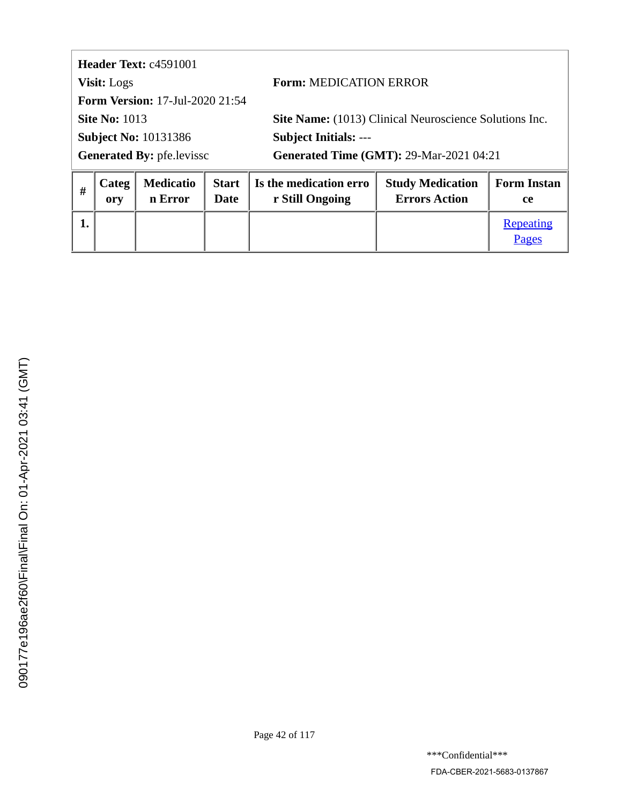<span id="page-41-0"></span>**Header Text:** c4591001 **Visit:** Logs **Form:** MEDICATION ERROR **Form Version:** 17-Jul-2020 21:54 **Site No: 1013 Site Name:** (1013) Clinical Neuroscience Solutions Inc. **Subject No:** 10131386 **Subject Initials:** --- Generated By: pfe.levissc **Generated Time (GMT): 29-Mar-2021 04:21** 

| # | Categ | <b>Medicatio</b> | <b>Start</b> | Is the medication erro | <b>Study Medication</b> | <b>Form Instan</b> |
|---|-------|------------------|--------------|------------------------|-------------------------|--------------------|
|   | ory   | n Error          | Date         | r Still Ongoing        | <b>Errors Action</b>    | <b>ce</b>          |
|   |       |                  |              |                        |                         | Repeating<br>Pages |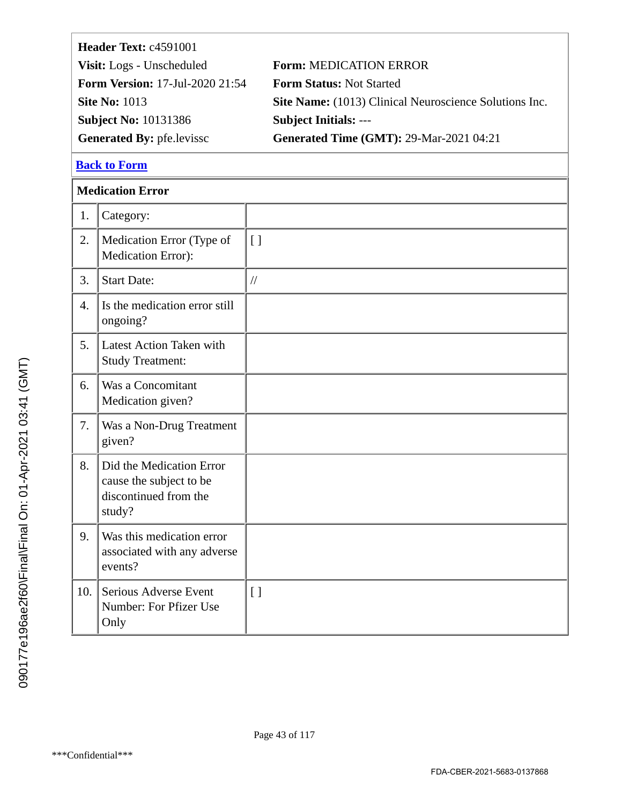<span id="page-42-0"></span>

| Header Text: c4591001                  |                                                        |  |  |
|----------------------------------------|--------------------------------------------------------|--|--|
| Visit: Logs - Unscheduled              | <b>Form: MEDICATION ERROR</b>                          |  |  |
| <b>Form Version: 17-Jul-2020 21:54</b> | <b>Form Status: Not Started</b>                        |  |  |
| <b>Site No: 1013</b>                   | Site Name: (1013) Clinical Neuroscience Solutions Inc. |  |  |
| <b>Subject No: 10131386</b>            | <b>Subject Initials: ---</b>                           |  |  |
| <b>Generated By: pfe.levissc</b>       | <b>Generated Time (GMT): 29-Mar-2021 04:21</b>         |  |  |
|                                        |                                                        |  |  |

# **Medication Error**

| 1.               | Category:                                                                              |                    |
|------------------|----------------------------------------------------------------------------------------|--------------------|
| 2.               | Medication Error (Type of<br>Medication Error):                                        | $[ \ ]$            |
| 3.               | <b>Start Date:</b>                                                                     | $\frac{1}{2}$      |
| $\overline{4}$ . | Is the medication error still<br>ongoing?                                              |                    |
| 5.               | Latest Action Taken with<br><b>Study Treatment:</b>                                    |                    |
| 6.               | Was a Concomitant<br>Medication given?                                                 |                    |
| 7.               | Was a Non-Drug Treatment<br>given?                                                     |                    |
| 8.               | Did the Medication Error<br>cause the subject to be<br>discontinued from the<br>study? |                    |
| 9.               | Was this medication error<br>associated with any adverse<br>events?                    |                    |
| 10.              | Serious Adverse Event<br>Number: For Pfizer Use<br>Only                                | $\left[ \ \right]$ |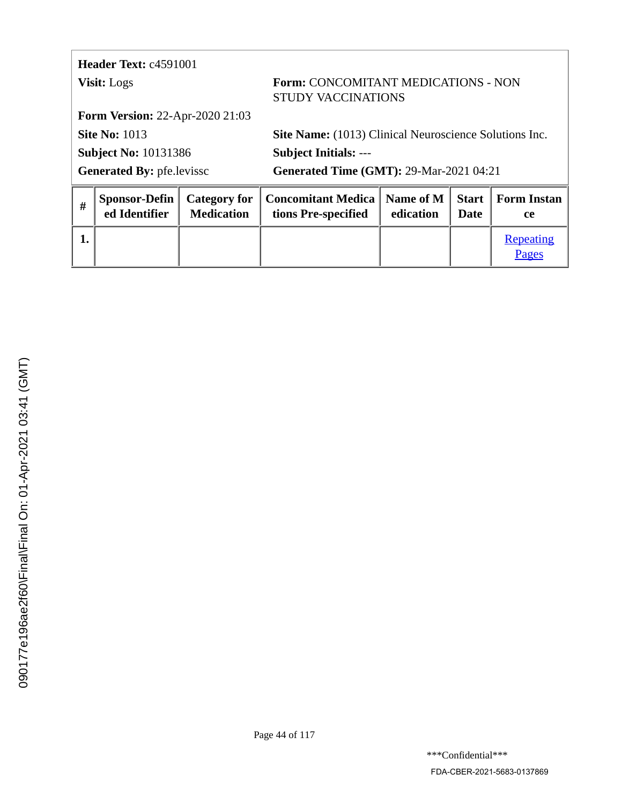<span id="page-43-0"></span>

|                                  | Header Text: c4591001                  |                                                                  |                                                  |                        |                      |                                 |  |
|----------------------------------|----------------------------------------|------------------------------------------------------------------|--------------------------------------------------|------------------------|----------------------|---------------------------------|--|
| <b>Visit:</b> Logs               |                                        | Form: CONCOMITANT MEDICATIONS - NON<br><b>STUDY VACCINATIONS</b> |                                                  |                        |                      |                                 |  |
|                                  | <b>Form Version: 22-Apr-2020 21:03</b> |                                                                  |                                                  |                        |                      |                                 |  |
| <b>Site No: 1013</b>             |                                        | Site Name: (1013) Clinical Neuroscience Solutions Inc.           |                                                  |                        |                      |                                 |  |
| <b>Subject No: 10131386</b>      |                                        |                                                                  | <b>Subject Initials: ---</b>                     |                        |                      |                                 |  |
| <b>Generated By: pfe.levissc</b> |                                        | <b>Generated Time (GMT): 29-Mar-2021 04:21</b>                   |                                                  |                        |                      |                                 |  |
| #                                | <b>Sponsor-Defin</b><br>ed Identifier  | <b>Category for</b><br><b>Medication</b>                         | <b>Concomitant Medica</b><br>tions Pre-specified | Name of M<br>edication | <b>Start</b><br>Date | <b>Form Instan</b><br><b>ce</b> |  |

**1.** [Repeating](#page-44-0)

[Pages](#page-44-0)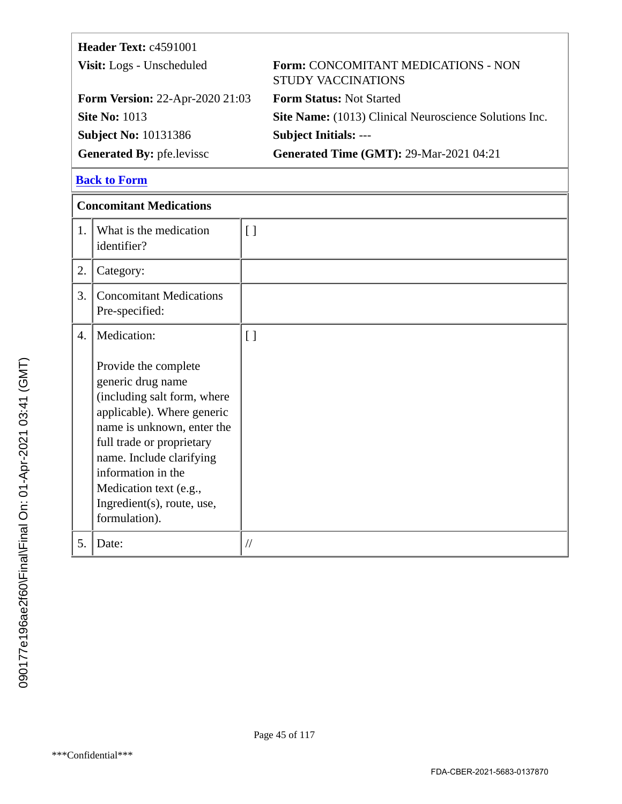<span id="page-44-0"></span>

| Header Text: c4591001                  |                                                                  |  |  |
|----------------------------------------|------------------------------------------------------------------|--|--|
| Visit: Logs - Unscheduled              | Form: CONCOMITANT MEDICATIONS - NON<br><b>STUDY VACCINATIONS</b> |  |  |
| <b>Form Version: 22-Apr-2020 21:03</b> | <b>Form Status: Not Started</b>                                  |  |  |
| <b>Site No: 1013</b>                   | Site Name: (1013) Clinical Neuroscience Solutions Inc.           |  |  |
| <b>Subject No: 10131386</b>            | <b>Subject Initials: ---</b>                                     |  |  |
| <b>Generated By: pfe.levissc</b>       | <b>Generated Time (GMT): 29-Mar-2021 04:21</b>                   |  |  |

|    | <b>Concomitant Medications</b>                                                                                                                                                                                                                                                               |                    |  |  |
|----|----------------------------------------------------------------------------------------------------------------------------------------------------------------------------------------------------------------------------------------------------------------------------------------------|--------------------|--|--|
| 1. | What is the medication<br>identifier?                                                                                                                                                                                                                                                        | $[ ]$              |  |  |
| 2. | Category:                                                                                                                                                                                                                                                                                    |                    |  |  |
| 3. | <b>Concomitant Medications</b><br>Pre-specified:                                                                                                                                                                                                                                             |                    |  |  |
| 4. | Medication:                                                                                                                                                                                                                                                                                  | $\left[ \ \right]$ |  |  |
|    | Provide the complete<br>generic drug name<br>(including salt form, where<br>applicable). Where generic<br>name is unknown, enter the<br>full trade or proprietary<br>name. Include clarifying<br>information in the<br>Medication text (e.g.,<br>Ingredient(s), route, use,<br>formulation). |                    |  |  |
| 5. | Date:                                                                                                                                                                                                                                                                                        | $\frac{1}{2}$      |  |  |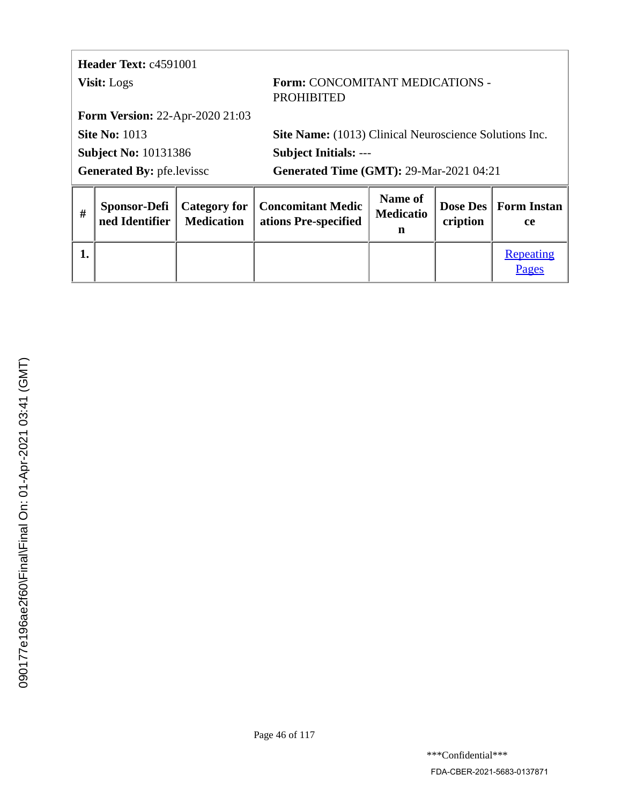# <span id="page-45-0"></span>**Header Text:** c4591001

### **Visit:** Logs **Form: CONCOMITANT MEDICATIONS** PROHIBITED

**Form Version:** 22-Apr-2020 21:03

**Subject No:** 10131386 **Subject Initials:** ---

**Site No: 1013 Site Name:** (1013) Clinical Neuroscience Solutions Inc.

Generated By: pfe.levissc **Generated Time (GMT): 29-Mar-2021 04:21** 

| # | ned Identifier | <b>Medication</b> | Sponsor-Defi   Category for   Concomitant Medic<br>  ations Pre-specified | <b>Name of</b><br><b>Medicatio</b><br>n | cription | Dose Des   Form Instan<br><b>ce</b> |
|---|----------------|-------------------|---------------------------------------------------------------------------|-----------------------------------------|----------|-------------------------------------|
|   |                |                   |                                                                           |                                         |          | Repeating<br>Pages                  |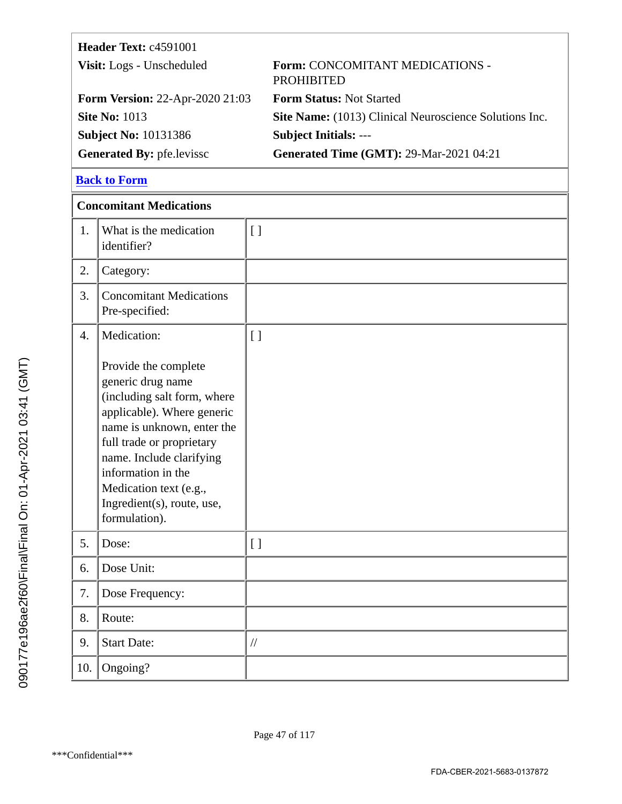<span id="page-46-0"></span>

| Header Text: c4591001                  |                                                        |
|----------------------------------------|--------------------------------------------------------|
| Visit: Logs - Unscheduled              | Form: CONCOMITANT MEDICATIONS -<br><b>PROHIBITED</b>   |
| <b>Form Version: 22-Apr-2020 21:03</b> | <b>Form Status: Not Started</b>                        |
| <b>Site No: 1013</b>                   | Site Name: (1013) Clinical Neuroscience Solutions Inc. |
| <b>Subject No: 10131386</b>            | <b>Subject Initials: ---</b>                           |
| <b>Generated By: pfe.levissc</b>       | <b>Generated Time (GMT): 29-Mar-2021 04:21</b>         |

|                  | <b>Concomitant Medications</b>                                                                                                                                                                                                                                                               |                    |  |  |
|------------------|----------------------------------------------------------------------------------------------------------------------------------------------------------------------------------------------------------------------------------------------------------------------------------------------|--------------------|--|--|
| 1.               | What is the medication<br>identifier?                                                                                                                                                                                                                                                        | $[ ]$              |  |  |
| 2.               | Category:                                                                                                                                                                                                                                                                                    |                    |  |  |
| 3.               | <b>Concomitant Medications</b><br>Pre-specified:                                                                                                                                                                                                                                             |                    |  |  |
| $\overline{4}$ . | Medication:                                                                                                                                                                                                                                                                                  | $\left[ \ \right]$ |  |  |
|                  | Provide the complete<br>generic drug name<br>(including salt form, where<br>applicable). Where generic<br>name is unknown, enter the<br>full trade or proprietary<br>name. Include clarifying<br>information in the<br>Medication text (e.g.,<br>Ingredient(s), route, use,<br>formulation). |                    |  |  |
| 5.               | Dose:                                                                                                                                                                                                                                                                                        | [ ]                |  |  |
| 6.               | Dose Unit:                                                                                                                                                                                                                                                                                   |                    |  |  |
| 7.               | Dose Frequency:                                                                                                                                                                                                                                                                              |                    |  |  |
| 8.               | Route:                                                                                                                                                                                                                                                                                       |                    |  |  |
| 9.               | <b>Start Date:</b>                                                                                                                                                                                                                                                                           | $/\!/$             |  |  |
| 10.              | Ongoing?                                                                                                                                                                                                                                                                                     |                    |  |  |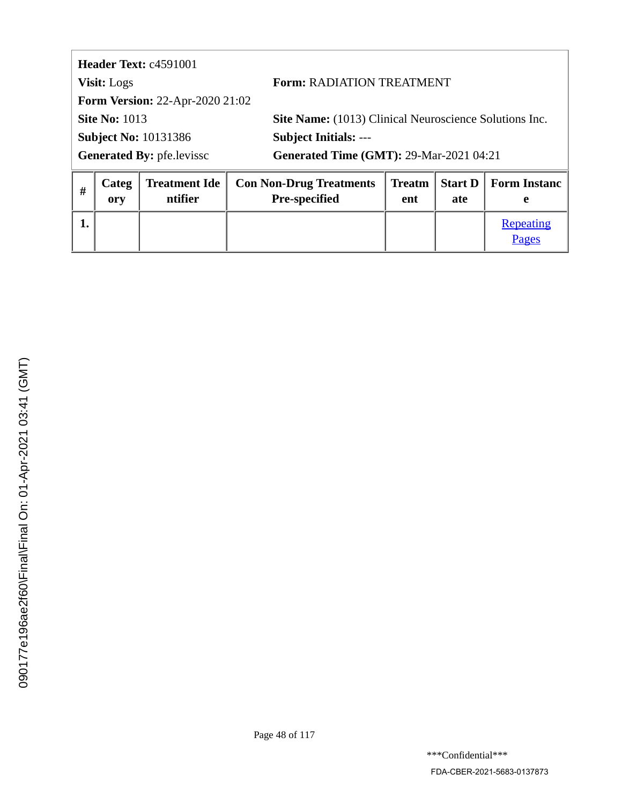<span id="page-47-0"></span>

| Header Text: c4591001                  |                                                               |
|----------------------------------------|---------------------------------------------------------------|
| <b>Visit:</b> Logs                     | <b>Form: RADIATION TREATMENT</b>                              |
| <b>Form Version: 22-Apr-2020 21:02</b> |                                                               |
| <b>Site No: 1013</b>                   | <b>Site Name:</b> (1013) Clinical Neuroscience Solutions Inc. |
| <b>Subject No: 10131386</b>            | <b>Subject Initials: ---</b>                                  |
| <b>Generated By: pfe.levissc</b>       | <b>Generated Time (GMT): 29-Mar-2021 04:21</b>                |
|                                        | _ _ _ _ _ _ _                                                 |

| # | Categ<br>orv | ntifier | <b>Treatment Ide   Con Non-Drug Treatments</b><br><b>Pre-specified</b> | ent | ate | Treatm   Start D   Form Instanc |
|---|--------------|---------|------------------------------------------------------------------------|-----|-----|---------------------------------|
|   |              |         |                                                                        |     |     | Repeating<br>Pages              |

Ī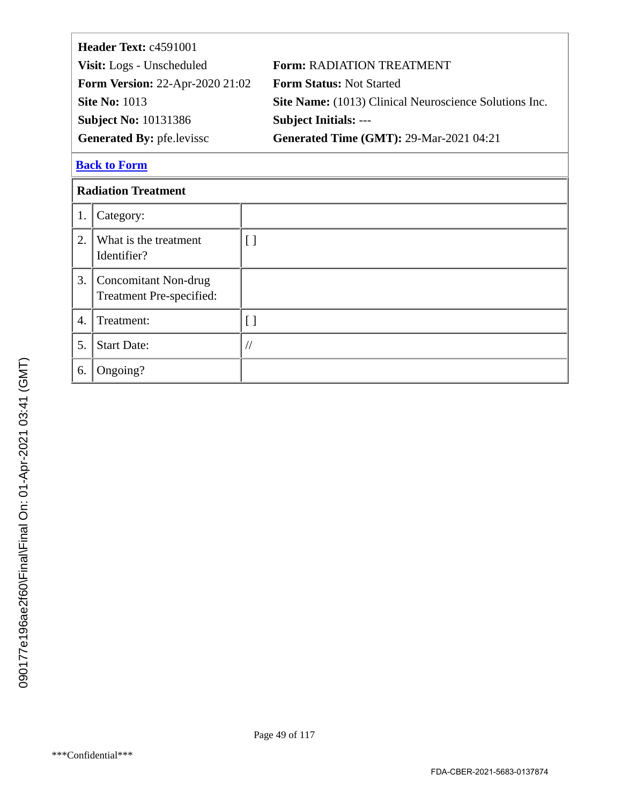<span id="page-48-0"></span>

| Header Text: c4591001                  |                                                        |
|----------------------------------------|--------------------------------------------------------|
| Visit: Logs - Unscheduled              | <b>Form: RADIATION TREATMENT</b>                       |
| <b>Form Version: 22-Apr-2020 21:02</b> | <b>Form Status: Not Started</b>                        |
| <b>Site No: 1013</b>                   | Site Name: (1013) Clinical Neuroscience Solutions Inc. |
| <b>Subject No: 10131386</b>            | <b>Subject Initials: ---</b>                           |
| <b>Generated By: pfe.levissc</b>       | <b>Generated Time (GMT): 29-Mar-2021 04:21</b>         |
|                                        |                                                        |

## **Radiation Treatment**

| 1. | Category:                                        |  |
|----|--------------------------------------------------|--|
| 2. | What is the treatment<br>Identifier?             |  |
| 3. | Concomitant Non-drug<br>Treatment Pre-specified: |  |
| 4. | Treatment:                                       |  |
| 5. | <b>Start Date:</b>                               |  |
| 6. | Ongoing?                                         |  |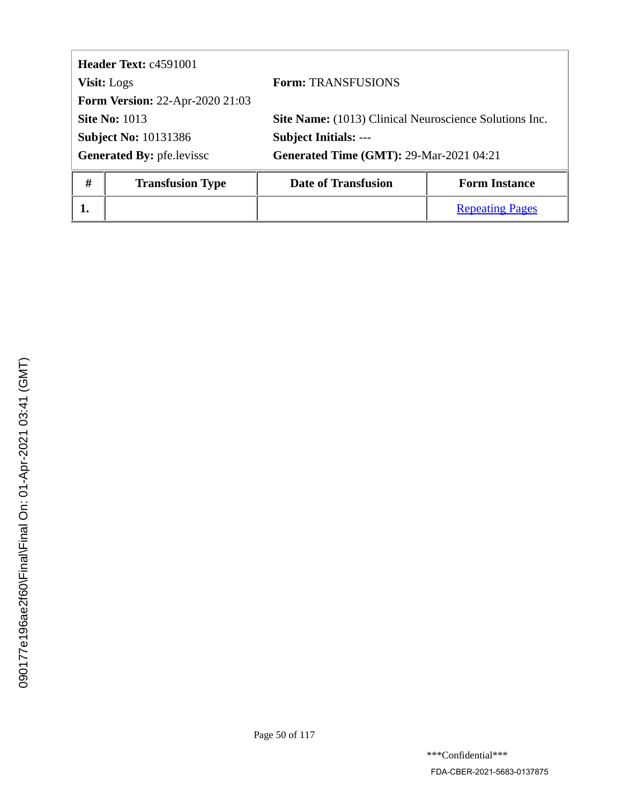<span id="page-49-0"></span>

|                                  | <b>Header Text: c4591001</b>           |                                                        |                      |  |
|----------------------------------|----------------------------------------|--------------------------------------------------------|----------------------|--|
| <b>Visit:</b> Logs               |                                        | <b>Form: TRANSFUSIONS</b>                              |                      |  |
|                                  | <b>Form Version: 22-Apr-2020 21:03</b> |                                                        |                      |  |
| <b>Site No: 1013</b>             |                                        | Site Name: (1013) Clinical Neuroscience Solutions Inc. |                      |  |
| <b>Subject No: 10131386</b>      |                                        | <b>Subject Initials: ---</b>                           |                      |  |
| <b>Generated By: pfe.levissc</b> |                                        | <b>Generated Time (GMT): 29-Mar-2021 04:21</b>         |                      |  |
| #                                | <b>Transfusion Type</b>                | <b>Date of Transfusion</b>                             | <b>Form Instance</b> |  |

**1.** [Repeating Pages](#page-50-0)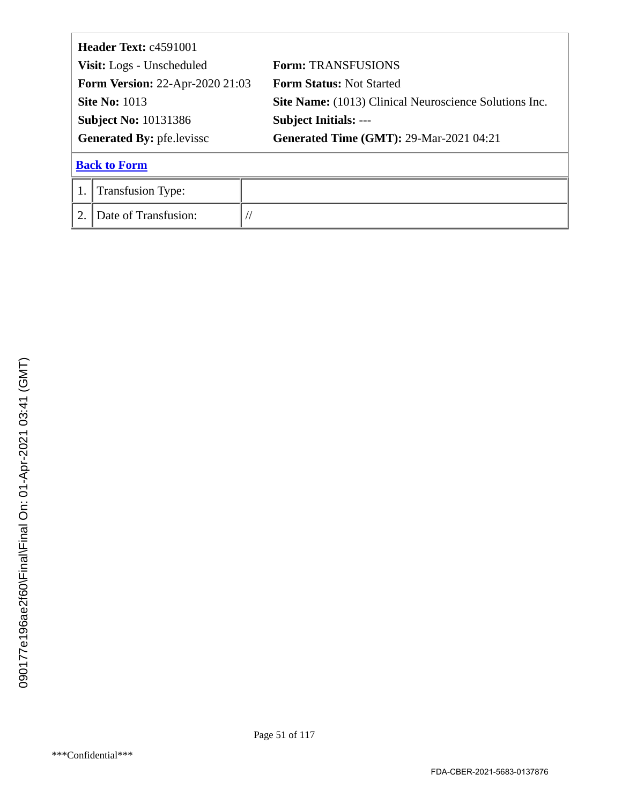<span id="page-50-0"></span>

| Header Text: c4591001                  |                           |                                                        |  |
|----------------------------------------|---------------------------|--------------------------------------------------------|--|
|                                        | Visit: Logs - Unscheduled | <b>Form: TRANSFUSIONS</b>                              |  |
| <b>Form Version: 22-Apr-2020 21:03</b> |                           | <b>Form Status: Not Started</b>                        |  |
| <b>Site No: 1013</b>                   |                           | Site Name: (1013) Clinical Neuroscience Solutions Inc. |  |
| <b>Subject No: 10131386</b>            |                           | <b>Subject Initials: ---</b>                           |  |
| <b>Generated By: pfe.levissc</b>       |                           | <b>Generated Time (GMT): 29-Mar-2021 04:21</b>         |  |
|                                        | <b>Back to Form</b>       |                                                        |  |
|                                        | <b>Transfusion Type:</b>  |                                                        |  |
| 2.                                     | Date of Transfusion:      |                                                        |  |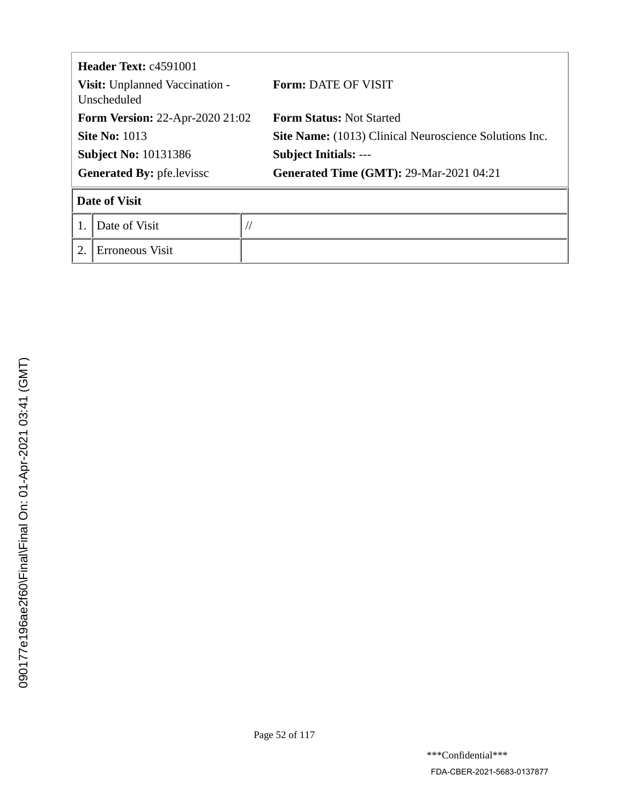| <b>Header Text: c4591001</b><br>Visit: Unplanned Vaccination -<br>Unscheduled |                      |           | <b>Form: DATE OF VISIT</b>                                    |  |
|-------------------------------------------------------------------------------|----------------------|-----------|---------------------------------------------------------------|--|
| <b>Form Version: 22-Apr-2020 21:02</b>                                        |                      |           | <b>Form Status: Not Started</b>                               |  |
| <b>Site No: 1013</b>                                                          |                      |           | <b>Site Name:</b> (1013) Clinical Neuroscience Solutions Inc. |  |
| <b>Subject No: 10131386</b>                                                   |                      |           | <b>Subject Initials: ---</b>                                  |  |
| <b>Generated By: pfe.levissc</b>                                              |                      |           | <b>Generated Time (GMT): 29-Mar-2021 04:21</b>                |  |
|                                                                               | <b>Date of Visit</b> |           |                                                               |  |
|                                                                               | Date of Visit        | $\sqrt{}$ |                                                               |  |
|                                                                               | Erroneous Visit      |           |                                                               |  |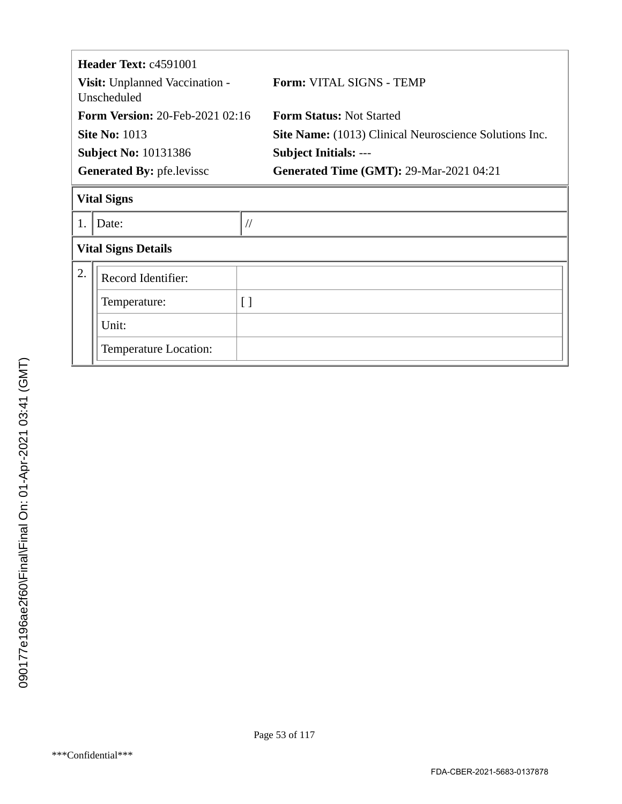| Header Text: c4591001<br>Visit: Unplanned Vaccination - |                                                       |                 | <b>Form: VITAL SIGNS - TEMP</b>                               |
|---------------------------------------------------------|-------------------------------------------------------|-----------------|---------------------------------------------------------------|
|                                                         | Unscheduled<br><b>Form Version: 20-Feb-2021 02:16</b> |                 | <b>Form Status: Not Started</b>                               |
|                                                         |                                                       |                 |                                                               |
|                                                         | <b>Site No: 1013</b>                                  |                 | <b>Site Name:</b> (1013) Clinical Neuroscience Solutions Inc. |
| <b>Subject No: 10131386</b>                             |                                                       |                 | <b>Subject Initials: ---</b>                                  |
| <b>Generated By: pfe.levissc</b>                        |                                                       |                 | <b>Generated Time (GMT): 29-Mar-2021 04:21</b>                |
| <b>Vital Signs</b>                                      |                                                       |                 |                                                               |
|                                                         | Date:                                                 | $\frac{1}{2}$   |                                                               |
| <b>Vital Signs Details</b>                              |                                                       |                 |                                                               |
| 2.                                                      | Record Identifier:                                    |                 |                                                               |
|                                                         | Temperature:                                          | $\left[\right]$ |                                                               |
|                                                         | Unit:                                                 |                 |                                                               |
|                                                         | Temperature Location:                                 |                 |                                                               |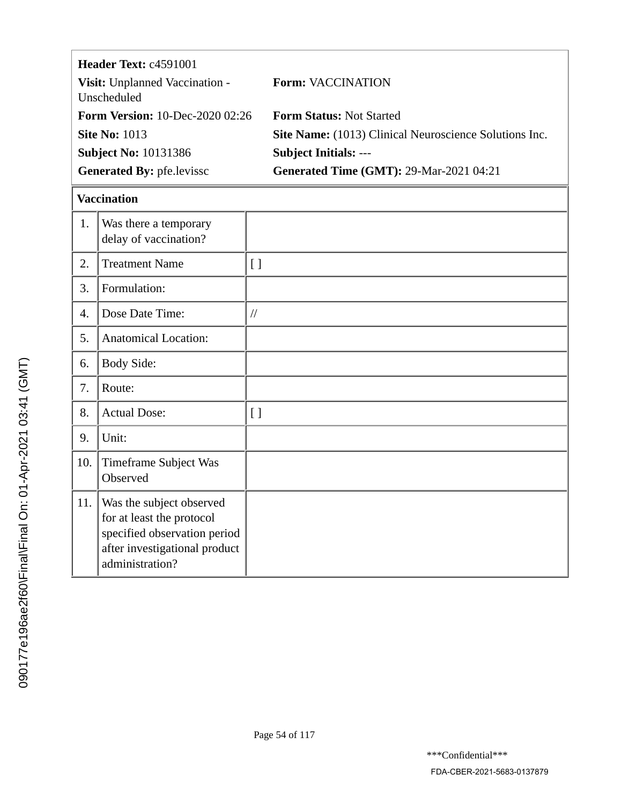|                                               | Header Text: c4591001                                                                 |                    |                                                        |
|-----------------------------------------------|---------------------------------------------------------------------------------------|--------------------|--------------------------------------------------------|
| Visit: Unplanned Vaccination -<br>Unscheduled |                                                                                       |                    | <b>Form: VACCINATION</b>                               |
|                                               | <b>Form Version: 10-Dec-2020 02:26</b>                                                |                    | <b>Form Status: Not Started</b>                        |
|                                               | <b>Site No: 1013</b>                                                                  |                    | Site Name: (1013) Clinical Neuroscience Solutions Inc. |
|                                               | <b>Subject No: 10131386</b>                                                           |                    | <b>Subject Initials: ---</b>                           |
|                                               | Generated By: pfe.levissc                                                             |                    | <b>Generated Time (GMT): 29-Mar-2021 04:21</b>         |
|                                               | <b>Vaccination</b>                                                                    |                    |                                                        |
| 1.                                            | Was there a temporary<br>delay of vaccination?                                        |                    |                                                        |
| 2.                                            | <b>Treatment Name</b>                                                                 | $\lceil$           |                                                        |
| 3.                                            | Formulation:                                                                          |                    |                                                        |
| 4.                                            | Dose Date Time:                                                                       | $\frac{1}{2}$      |                                                        |
| 5.                                            | <b>Anatomical Location:</b>                                                           |                    |                                                        |
| 6.                                            | <b>Body Side:</b>                                                                     |                    |                                                        |
| 7.                                            | Route:                                                                                |                    |                                                        |
| 8.                                            | <b>Actual Dose:</b>                                                                   | $\left[ \ \right]$ |                                                        |
| 9.                                            | Unit:                                                                                 |                    |                                                        |
| 10.                                           | <b>Timeframe Subject Was</b><br>Observed                                              |                    |                                                        |
| 11.                                           | Was the subject observed<br>for at least the protocol<br>specified observation period |                    |                                                        |

after investigational product

administration?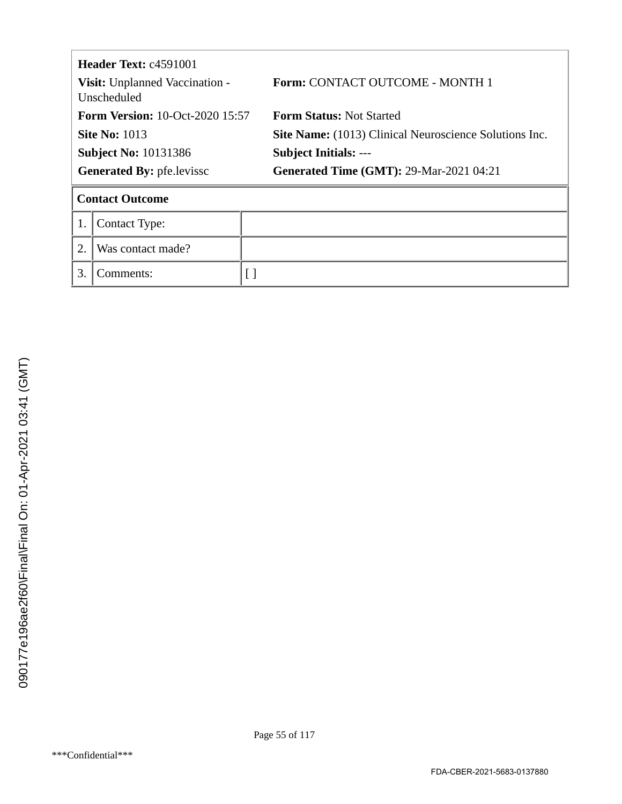| Header Text: c4591001<br>Visit: Unplanned Vaccination -<br>Unscheduled |                        |  | <b>Form: CONTACT OUTCOME - MONTH 1</b>                 |  |
|------------------------------------------------------------------------|------------------------|--|--------------------------------------------------------|--|
| <b>Form Version: 10-Oct-2020 15:57</b>                                 |                        |  | <b>Form Status: Not Started</b>                        |  |
|                                                                        | <b>Site No: 1013</b>   |  | Site Name: (1013) Clinical Neuroscience Solutions Inc. |  |
| <b>Subject No: 10131386</b>                                            |                        |  | <b>Subject Initials: ---</b>                           |  |
| <b>Generated By: pfe.levissc</b>                                       |                        |  | <b>Generated Time (GMT): 29-Mar-2021 04:21</b>         |  |
|                                                                        | <b>Contact Outcome</b> |  |                                                        |  |
|                                                                        | <b>Contact Type:</b>   |  |                                                        |  |
| 2.                                                                     | Was contact made?      |  |                                                        |  |
| $\mathfrak{Z}$                                                         | Comments:              |  |                                                        |  |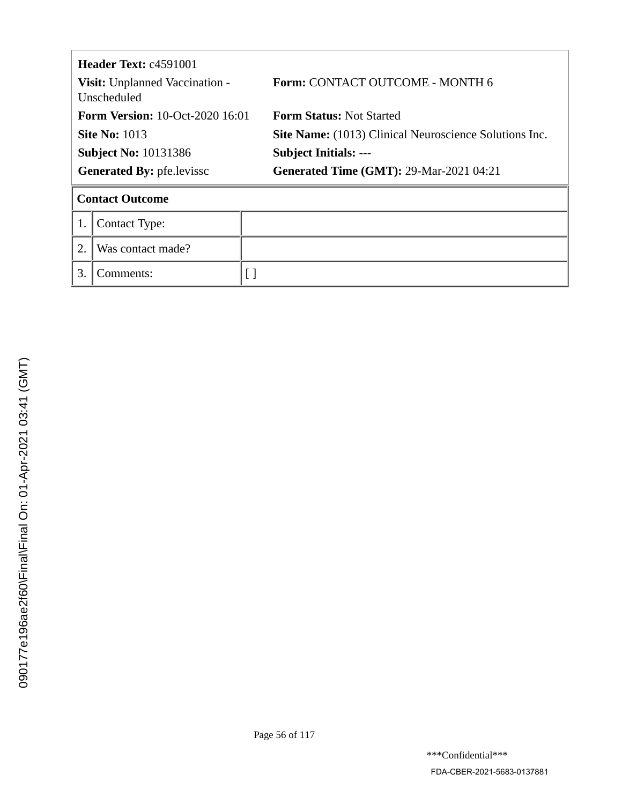| <b>Header Text:</b> $c4591001$<br>Visit: Unplanned Vaccination -<br>Unscheduled |                        |  | <b>Form: CONTACT OUTCOME - MONTH 6</b>                 |  |
|---------------------------------------------------------------------------------|------------------------|--|--------------------------------------------------------|--|
| <b>Form Version: 10-Oct-2020 16:01</b>                                          |                        |  | <b>Form Status: Not Started</b>                        |  |
| <b>Site No: 1013</b>                                                            |                        |  | Site Name: (1013) Clinical Neuroscience Solutions Inc. |  |
| <b>Subject No: 10131386</b>                                                     |                        |  | <b>Subject Initials: ---</b>                           |  |
| <b>Generated By: pfe.levissc</b>                                                |                        |  | <b>Generated Time (GMT): 29-Mar-2021 04:21</b>         |  |
|                                                                                 | <b>Contact Outcome</b> |  |                                                        |  |
|                                                                                 | <b>Contact Type:</b>   |  |                                                        |  |
| 2.                                                                              | Was contact made?      |  |                                                        |  |
| $\mathfrak{Z}$                                                                  | Comments:              |  |                                                        |  |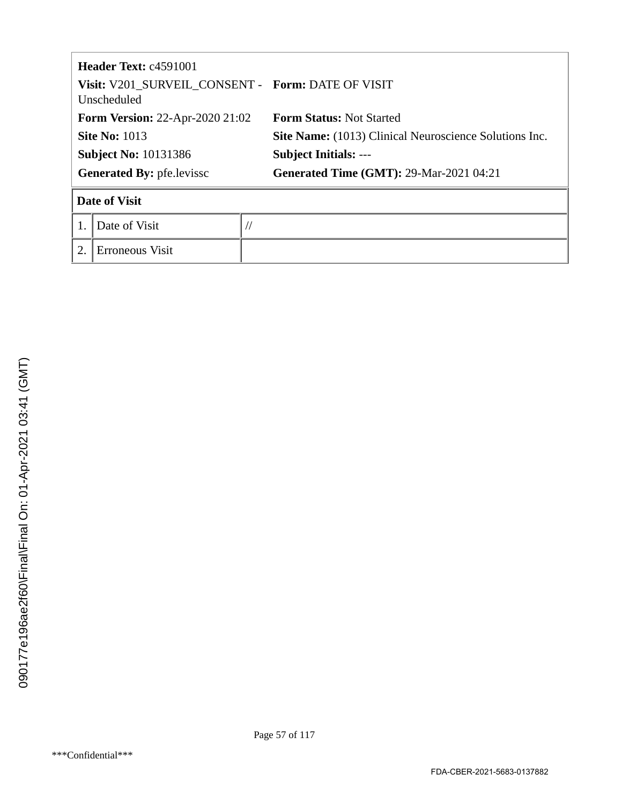| <b>Header Text: c4591001</b><br>Visit: V201_SURVEIL_CONSENT - Form: DATE OF VISIT<br>Unscheduled |                      |           |                                                        |  |
|--------------------------------------------------------------------------------------------------|----------------------|-----------|--------------------------------------------------------|--|
| <b>Form Version: 22-Apr-2020 21:02</b>                                                           |                      |           | <b>Form Status: Not Started</b>                        |  |
| <b>Site No: 1013</b>                                                                             |                      |           | Site Name: (1013) Clinical Neuroscience Solutions Inc. |  |
| <b>Subject No: 10131386</b>                                                                      |                      |           | <b>Subject Initials: ---</b>                           |  |
| <b>Generated By: pfe.levissc</b>                                                                 |                      |           | <b>Generated Time (GMT): 29-Mar-2021 04:21</b>         |  |
|                                                                                                  | <b>Date of Visit</b> |           |                                                        |  |
|                                                                                                  | Date of Visit        | $\sqrt{}$ |                                                        |  |
| 2.                                                                                               | Erroneous Visit      |           |                                                        |  |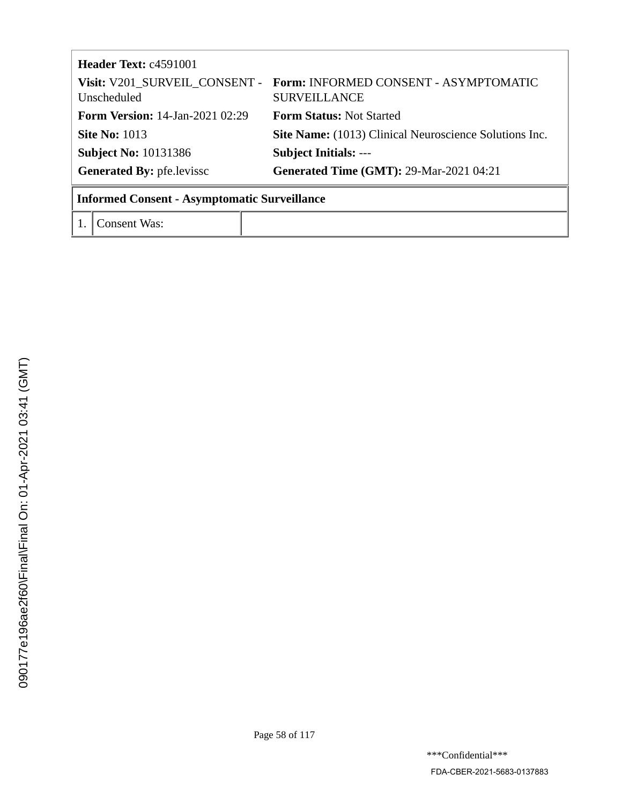| Header Text: c4591001                               |                                                                                            |  |
|-----------------------------------------------------|--------------------------------------------------------------------------------------------|--|
| Unscheduled                                         | Visit: V201 SURVEIL CONSENT - Form: INFORMED CONSENT - ASYMPTOMATIC<br><b>SURVEILLANCE</b> |  |
| <b>Form Version:</b> 14-Jan-2021 02:29              | <b>Form Status: Not Started</b>                                                            |  |
| <b>Site No: 1013</b>                                | Site Name: (1013) Clinical Neuroscience Solutions Inc.                                     |  |
| <b>Subject No: 10131386</b>                         | <b>Subject Initials: ---</b>                                                               |  |
| <b>Generated By: pfe.levissc</b>                    | <b>Generated Time (GMT): 29-Mar-2021 04:21</b>                                             |  |
| <b>Informed Consent - Asymptomatic Surveillance</b> |                                                                                            |  |

1. Consent Was: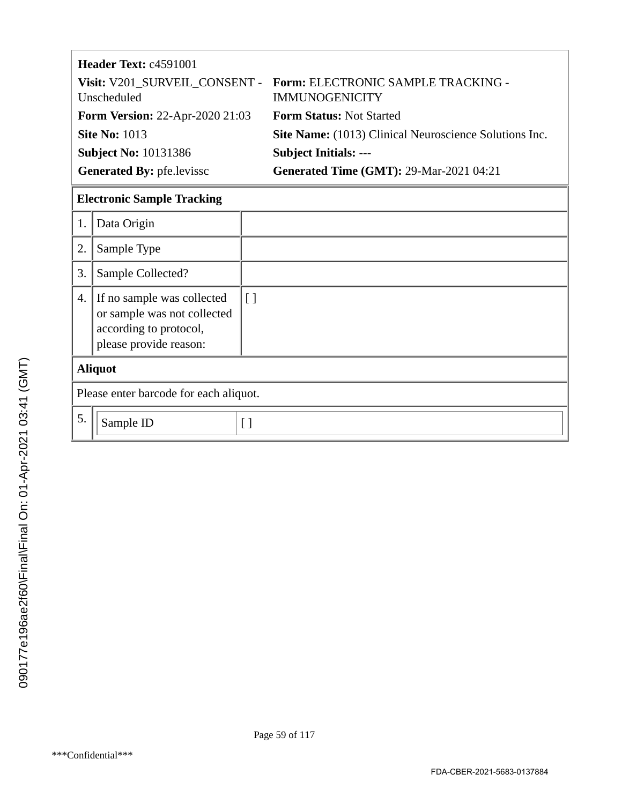| Header Text: c4591001                  |                                                                                           |
|----------------------------------------|-------------------------------------------------------------------------------------------|
| Unscheduled                            | Visit: V201 SURVEIL CONSENT - Form: ELECTRONIC SAMPLE TRACKING -<br><b>IMMUNOGENICITY</b> |
| <b>Form Version: 22-Apr-2020 21:03</b> | <b>Form Status: Not Started</b>                                                           |
| <b>Site No: 1013</b>                   | Site Name: (1013) Clinical Neuroscience Solutions Inc.                                    |
| <b>Subject No: 10131386</b>            | <b>Subject Initials: ---</b>                                                              |
| <b>Generated By: pfe.levissc</b>       | <b>Generated Time (GMT): 29-Mar-2021 04:21</b>                                            |

## **Electronic Sample Tracking**

| 1. | Data Origin                                                                                                   |                   |  |
|----|---------------------------------------------------------------------------------------------------------------|-------------------|--|
| 2. | Sample Type                                                                                                   |                   |  |
| 3. | Sample Collected?                                                                                             |                   |  |
| 4. | If no sample was collected<br>or sample was not collected<br>according to protocol,<br>please provide reason: | $\lfloor \rfloor$ |  |
|    | <b>Aliquot</b>                                                                                                |                   |  |
|    | Please enter barcode for each aliquot.                                                                        |                   |  |
| 5. | Sample ID                                                                                                     |                   |  |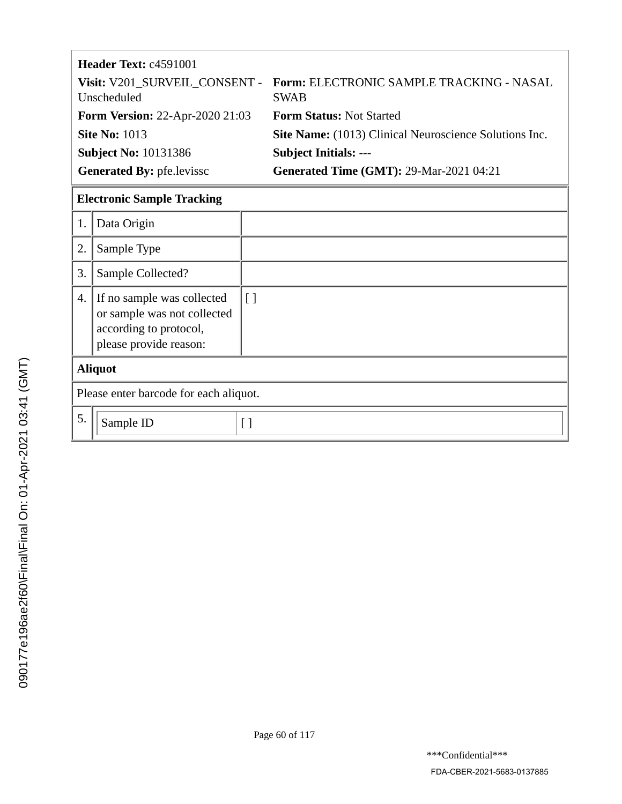| Header Text: c4591001                  |                                                                                       |
|----------------------------------------|---------------------------------------------------------------------------------------|
| Unscheduled                            | Visit: V201_SURVEIL_CONSENT - Form: ELECTRONIC SAMPLE TRACKING - NASAL<br><b>SWAB</b> |
| <b>Form Version: 22-Apr-2020 21:03</b> | <b>Form Status: Not Started</b>                                                       |
| <b>Site No: 1013</b>                   | Site Name: (1013) Clinical Neuroscience Solutions Inc.                                |
| <b>Subject No: 10131386</b>            | <b>Subject Initials: ---</b>                                                          |
| <b>Generated By: pfe.levissc</b>       | <b>Generated Time (GMT): 29-Mar-2021 04:21</b>                                        |

# **Electronic Sample Tracking**

| 1.             | Data Origin                                                                                                   |                   |  |
|----------------|---------------------------------------------------------------------------------------------------------------|-------------------|--|
| 2.             | Sample Type                                                                                                   |                   |  |
| 3.             | Sample Collected?                                                                                             |                   |  |
| 4.             | If no sample was collected<br>or sample was not collected<br>according to protocol,<br>please provide reason: | $\lfloor \rfloor$ |  |
| <b>Aliquot</b> |                                                                                                               |                   |  |
|                | Please enter barcode for each aliquot.                                                                        |                   |  |
| 5.             | Sample ID                                                                                                     | Γl                |  |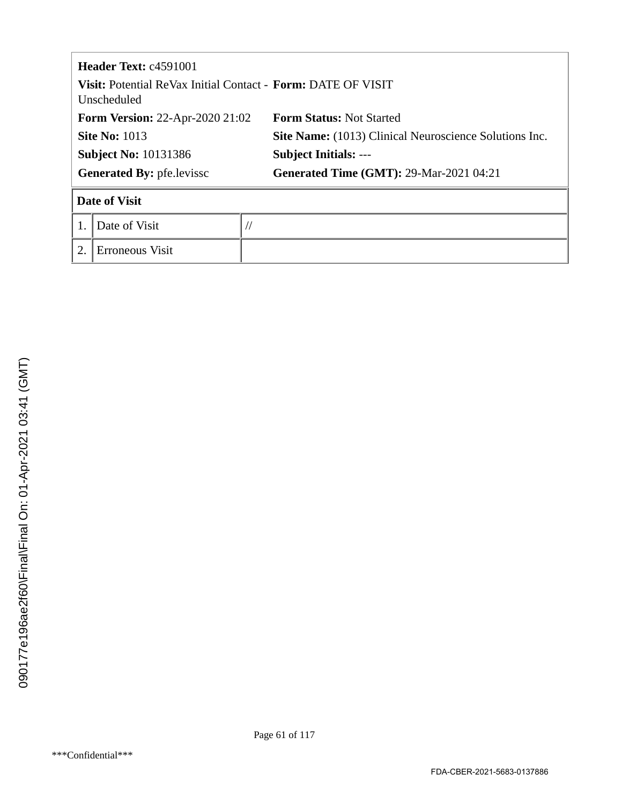|                                  | <b>Header Text: c4591001</b>                                                              |                                                        |  |  |  |  |
|----------------------------------|-------------------------------------------------------------------------------------------|--------------------------------------------------------|--|--|--|--|
|                                  | <b>Visit:</b> Potential ReVax Initial Contact - <b>Form:</b> DATE OF VISIT<br>Unscheduled |                                                        |  |  |  |  |
|                                  | <b>Form Version: 22-Apr-2020 21:02</b>                                                    | <b>Form Status: Not Started</b>                        |  |  |  |  |
| <b>Site No: 1013</b>             |                                                                                           | Site Name: (1013) Clinical Neuroscience Solutions Inc. |  |  |  |  |
|                                  | <b>Subject No: 10131386</b>                                                               | <b>Subject Initials: ---</b>                           |  |  |  |  |
| <b>Generated By: pfe.levissc</b> |                                                                                           | <b>Generated Time (GMT): 29-Mar-2021 04:21</b>         |  |  |  |  |
| <b>Date of Visit</b>             |                                                                                           |                                                        |  |  |  |  |
|                                  | Date of Visit                                                                             |                                                        |  |  |  |  |
| 2.                               | Erroneous Visit                                                                           |                                                        |  |  |  |  |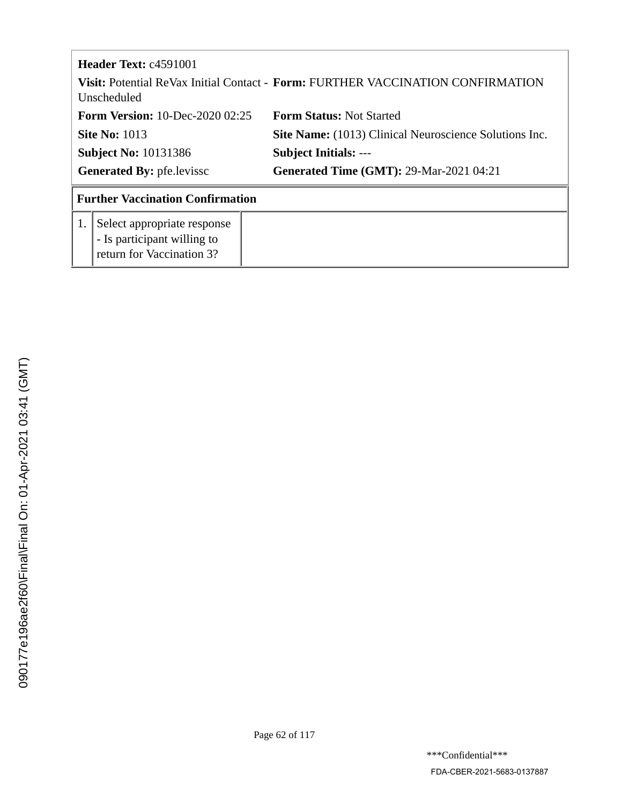| <b>Header Text:</b> $c4591001$<br><b>Visit:</b> Potential ReVax Initial Contact - <b>Form:</b> FURTHER VACCINATION CONFIRMATION<br>Unscheduled |                                                                                         |                                                        |  |  |
|------------------------------------------------------------------------------------------------------------------------------------------------|-----------------------------------------------------------------------------------------|--------------------------------------------------------|--|--|
| <b>Form Version: 10-Dec-2020 02:25</b>                                                                                                         |                                                                                         | <b>Form Status: Not Started</b>                        |  |  |
| <b>Site No: 1013</b>                                                                                                                           |                                                                                         | Site Name: (1013) Clinical Neuroscience Solutions Inc. |  |  |
| <b>Subject No: 10131386</b>                                                                                                                    |                                                                                         | <b>Subject Initials: ---</b>                           |  |  |
| <b>Generated By: pfe.levissc</b>                                                                                                               |                                                                                         | <b>Generated Time (GMT): 29-Mar-2021 04:21</b>         |  |  |
|                                                                                                                                                | <b>Further Vaccination Confirmation</b>                                                 |                                                        |  |  |
| 1.                                                                                                                                             | Select appropriate response<br>- Is participant willing to<br>return for Vaccination 3? |                                                        |  |  |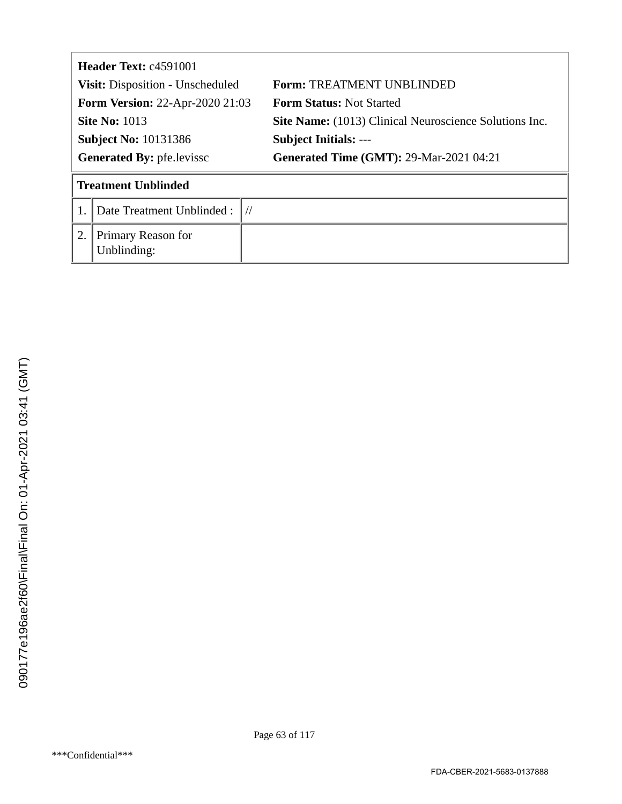| Header Text: c4591001                  |                                   |  |                                                        |  |
|----------------------------------------|-----------------------------------|--|--------------------------------------------------------|--|
| Visit: Disposition - Unscheduled       |                                   |  | <b>Form: TREATMENT UNBLINDED</b>                       |  |
| <b>Form Version: 22-Apr-2020 21:03</b> |                                   |  | <b>Form Status: Not Started</b>                        |  |
| <b>Site No: 1013</b>                   |                                   |  | Site Name: (1013) Clinical Neuroscience Solutions Inc. |  |
| <b>Subject No: 10131386</b>            |                                   |  | <b>Subject Initials: ---</b>                           |  |
| <b>Generated By: pfe.levissc</b>       |                                   |  | <b>Generated Time (GMT): 29-Mar-2021 04:21</b>         |  |
|                                        | <b>Treatment Unblinded</b>        |  |                                                        |  |
|                                        | Date Treatment Unblinded:         |  |                                                        |  |
| 2.                                     | Primary Reason for<br>Unblinding: |  |                                                        |  |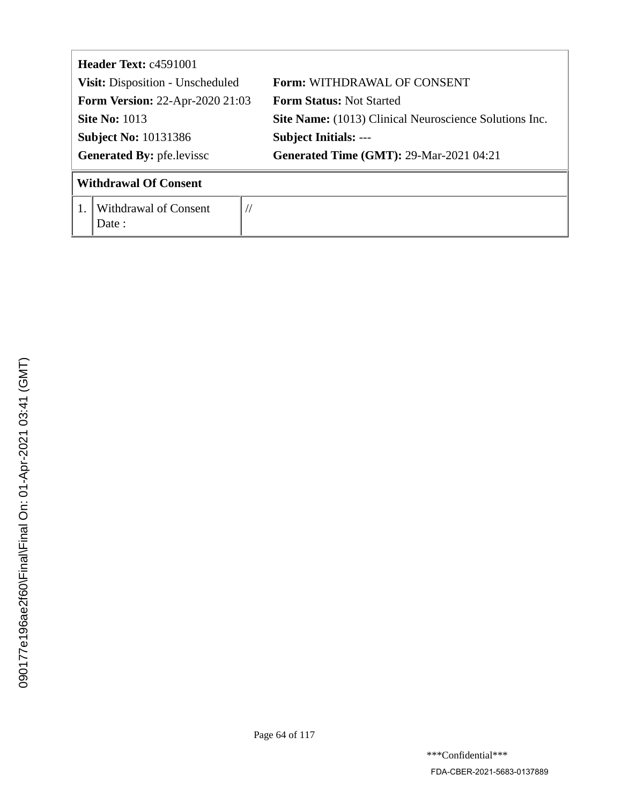| <b>Header Text: c4591001</b>           |                                 |                                                        |  |  |
|----------------------------------------|---------------------------------|--------------------------------------------------------|--|--|
| Visit: Disposition - Unscheduled       |                                 | <b>Form: WITHDRAWAL OF CONSENT</b>                     |  |  |
| <b>Form Version: 22-Apr-2020 21:03</b> |                                 | <b>Form Status: Not Started</b>                        |  |  |
| <b>Site No: 1013</b>                   |                                 | Site Name: (1013) Clinical Neuroscience Solutions Inc. |  |  |
| <b>Subject No: 10131386</b>            |                                 | <b>Subject Initials: ---</b>                           |  |  |
| <b>Generated By: pfe.levissc</b>       |                                 | <b>Generated Time (GMT): 29-Mar-2021 04:21</b>         |  |  |
|                                        | <b>Withdrawal Of Consent</b>    |                                                        |  |  |
|                                        | Withdrawal of Consent<br>Date : | //                                                     |  |  |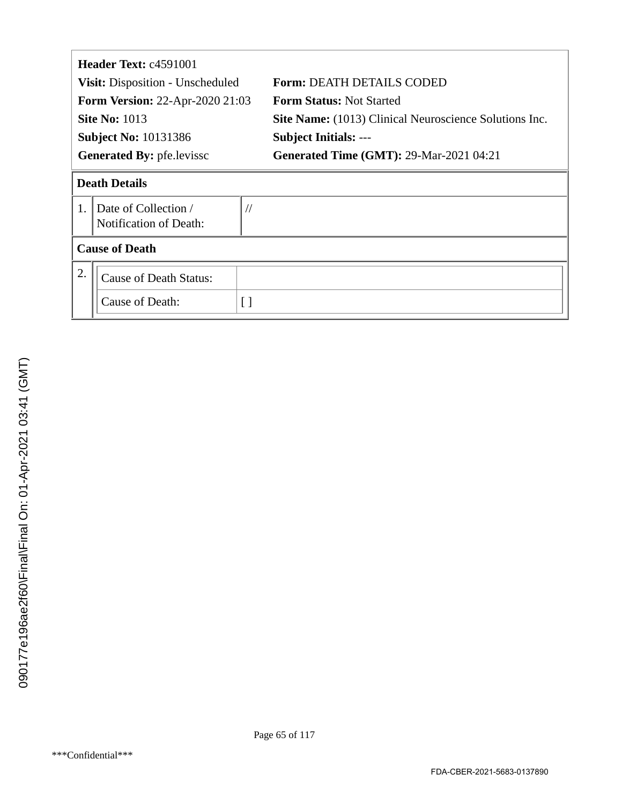|                                         | <b>Header Text: c4591001</b>                   |                                                               |  |  |  |
|-----------------------------------------|------------------------------------------------|---------------------------------------------------------------|--|--|--|
| <b>Visit:</b> Disposition - Unscheduled |                                                | <b>Form: DEATH DETAILS CODED</b>                              |  |  |  |
|                                         | <b>Form Version: 22-Apr-2020 21:03</b>         | <b>Form Status: Not Started</b>                               |  |  |  |
|                                         | <b>Site No: 1013</b>                           | <b>Site Name:</b> (1013) Clinical Neuroscience Solutions Inc. |  |  |  |
|                                         | <b>Subject No: 10131386</b>                    | <b>Subject Initials: ---</b>                                  |  |  |  |
| <b>Generated By: pfe.levissc</b>        |                                                | <b>Generated Time (GMT): 29-Mar-2021 04:21</b>                |  |  |  |
| <b>Death Details</b>                    |                                                |                                                               |  |  |  |
| $\mathbf{1}$ .                          | Date of Collection /<br>Notification of Death: | $\frac{1}{2}$                                                 |  |  |  |
|                                         | <b>Cause of Death</b>                          |                                                               |  |  |  |
| 2.                                      | <b>Cause of Death Status:</b>                  |                                                               |  |  |  |
|                                         | Cause of Death:                                | $\lceil$ $\rceil$                                             |  |  |  |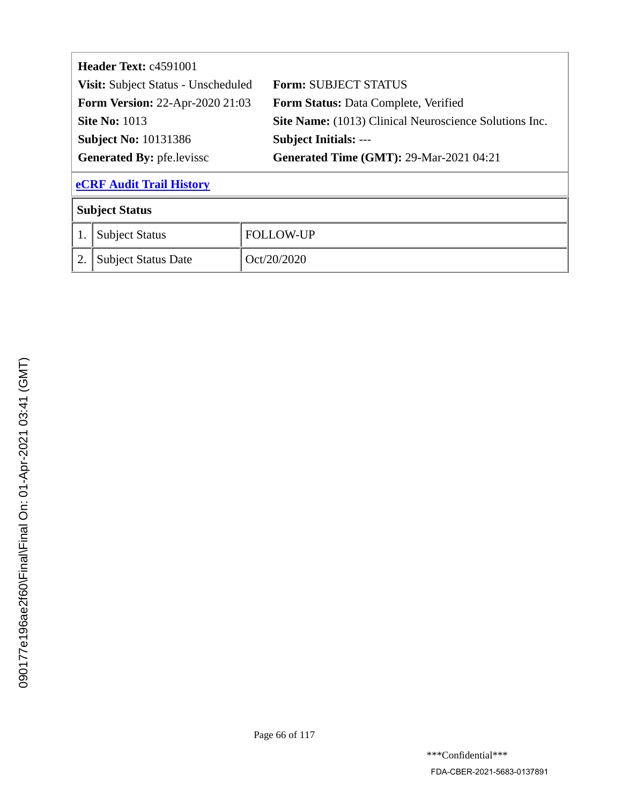| Header Text: c4591001                  |                                           |                                                        |  |  |
|----------------------------------------|-------------------------------------------|--------------------------------------------------------|--|--|
|                                        | Visit: Subject Status - Unscheduled       | <b>Form: SUBJECT STATUS</b>                            |  |  |
| <b>Form Version: 22-Apr-2020 21:03</b> |                                           | <b>Form Status: Data Complete, Verified</b>            |  |  |
|                                        | <b>Site No: 1013</b>                      | Site Name: (1013) Clinical Neuroscience Solutions Inc. |  |  |
|                                        | <b>Subject No: 10131386</b>               | <b>Subject Initials: ---</b>                           |  |  |
|                                        | <b>Generated By: pfe.levissc</b>          | <b>Generated Time (GMT): 29-Mar-2021 04:21</b>         |  |  |
| <b>eCRF Audit Trail History</b>        |                                           |                                                        |  |  |
| <b>Subject Status</b>                  |                                           |                                                        |  |  |
|                                        | <b>FOLLOW-UP</b><br><b>Subject Status</b> |                                                        |  |  |
| 2.                                     | <b>Subject Status Date</b>                | Oct/20/2020                                            |  |  |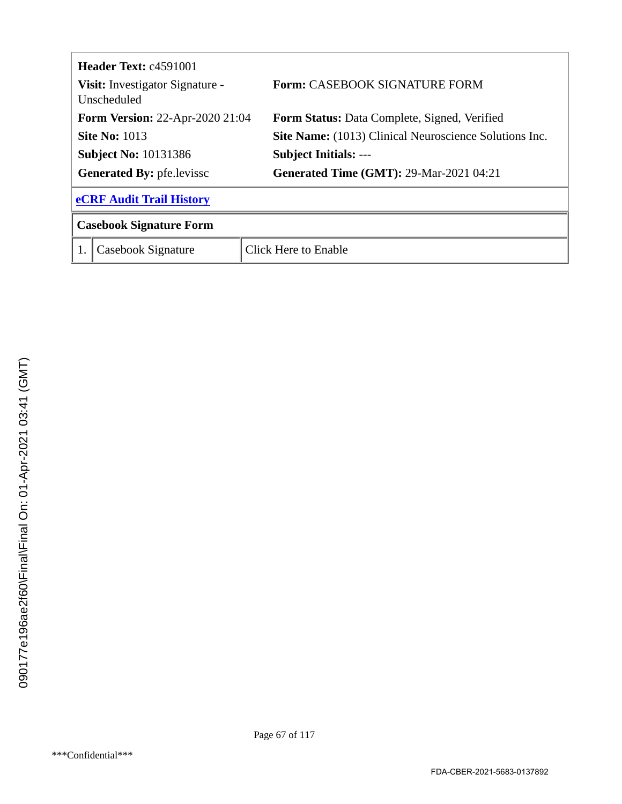<span id="page-66-0"></span>

|                                                | <b>Header Text: c4591001</b>           |                                                               |  |  |  |
|------------------------------------------------|----------------------------------------|---------------------------------------------------------------|--|--|--|
| Visit: Investigator Signature -<br>Unscheduled |                                        | <b>Form: CASEBOOK SIGNATURE FORM</b>                          |  |  |  |
|                                                | <b>Form Version: 22-Apr-2020 21:04</b> | <b>Form Status:</b> Data Complete, Signed, Verified           |  |  |  |
| <b>Site No: 1013</b>                           |                                        | <b>Site Name:</b> (1013) Clinical Neuroscience Solutions Inc. |  |  |  |
| <b>Subject No: 10131386</b>                    |                                        | <b>Subject Initials: ---</b>                                  |  |  |  |
| <b>Generated By: pfe.levissc</b>               |                                        | <b>Generated Time (GMT): 29-Mar-2021 04:21</b>                |  |  |  |
|                                                | <b>eCRF Audit Trail History</b>        |                                                               |  |  |  |
| <b>Casebook Signature Form</b>                 |                                        |                                                               |  |  |  |
|                                                | Casebook Signature                     | <b>Click Here to Enable</b>                                   |  |  |  |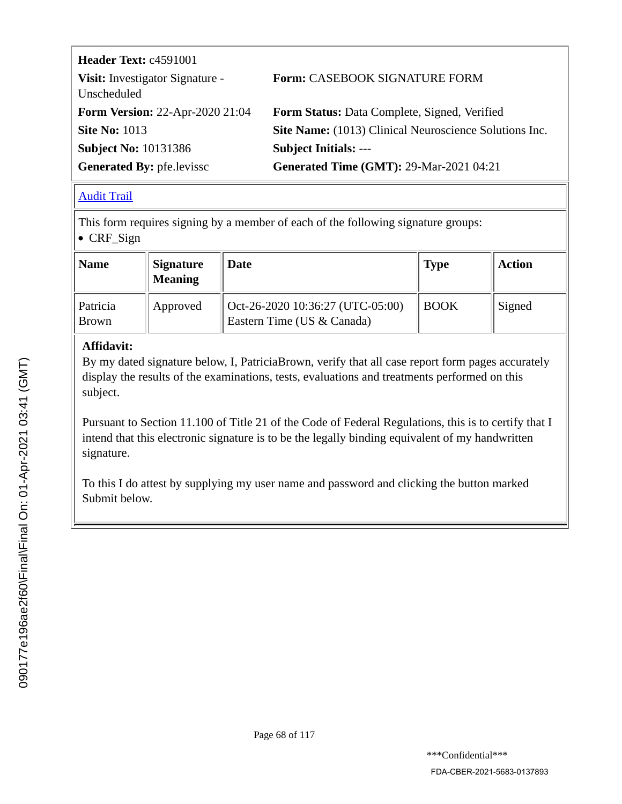| Header Text: c4591001                          |                                                        |
|------------------------------------------------|--------------------------------------------------------|
| Visit: Investigator Signature -<br>Unscheduled | <b>Form: CASEBOOK SIGNATURE FORM</b>                   |
| <b>Form Version: 22-Apr-2020 21:04</b>         | Form Status: Data Complete, Signed, Verified           |
| <b>Site No: 1013</b>                           | Site Name: (1013) Clinical Neuroscience Solutions Inc. |
| <b>Subject No: 10131386</b>                    | <b>Subject Initials: ---</b>                           |
| <b>Generated By: pfe.levissc</b>               | <b>Generated Time (GMT): 29-Mar-2021 04:21</b>         |

#### [Audit Trail](#page-69-0)

This form requires signing by a member of each of the following signature groups: CRF\_Sign

| Name                     | <b>Signature</b><br><b>Meaning</b> | Date                                                           | <b>Type</b> | <b>Action</b> |
|--------------------------|------------------------------------|----------------------------------------------------------------|-------------|---------------|
| Patricia<br><b>Brown</b> | Approved                           | Oct-26-2020 10:36:27 (UTC-05:00)<br>Eastern Time (US & Canada) | <b>BOOK</b> | Signed        |

#### **Affidavit:**

By my dated signature below, I, PatriciaBrown, verify that all case report form pages accurately display the results of the examinations, tests, evaluations and treatments performed on this subject.

Pursuant to Section 11.100 of Title 21 of the Code of Federal Regulations, this is to certify that I intend that this electronic signature is to be the legally binding equivalent of my handwritten signature.

To this I do attest by supplying my user name and password and clicking the button marked Submit below.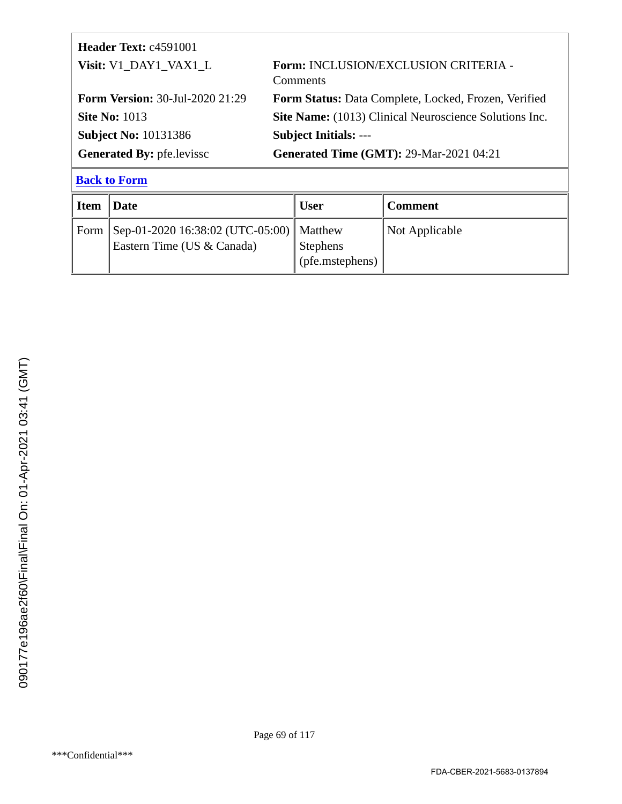<span id="page-68-0"></span>

| <b>Header Text: c4591001</b>           |                                                               |
|----------------------------------------|---------------------------------------------------------------|
| Visit: V1_DAY1_VAX1_L                  | Form: INCLUSION/EXCLUSION CRITERIA -<br>Comments              |
| <b>Form Version: 30-Jul-2020 21:29</b> | Form Status: Data Complete, Locked, Frozen, Verified          |
| <b>Site No: 1013</b>                   | <b>Site Name:</b> (1013) Clinical Neuroscience Solutions Inc. |
| <b>Subject No: 10131386</b>            | <b>Subject Initials: ---</b>                                  |
| <b>Generated By: pfe.levissc</b>       | <b>Generated Time (GMT): 29-Mar-2021 04:21</b>                |

| <b>Item</b> | Date                                                                            | <b>User</b>                        | <b>Comment</b> |
|-------------|---------------------------------------------------------------------------------|------------------------------------|----------------|
|             | Form   Sep-01-2020 16:38:02 (UTC-05:00)   Matthew<br>Eastern Time (US & Canada) | <b>Stephens</b><br>(pfe.mstephens) | Not Applicable |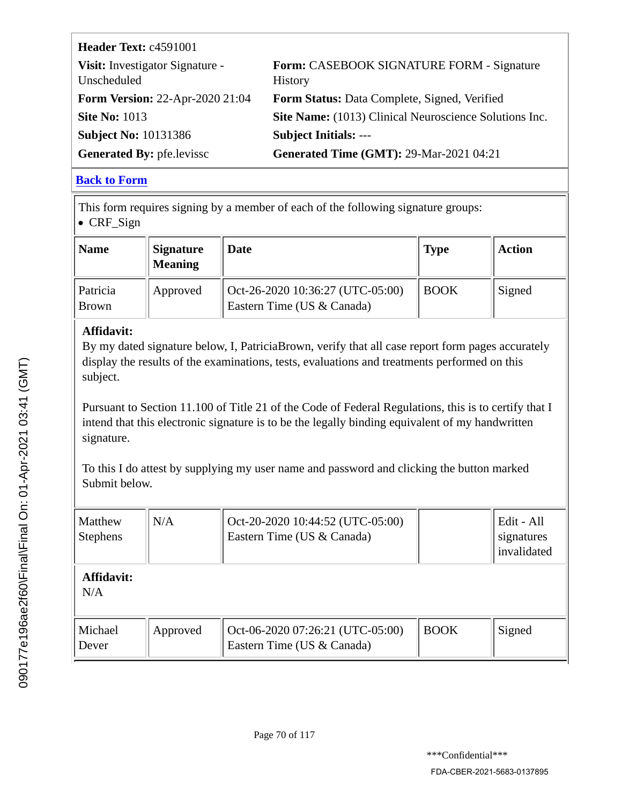<span id="page-69-0"></span>

| Header Text: c4591001                          |                                                             |
|------------------------------------------------|-------------------------------------------------------------|
| Visit: Investigator Signature -<br>Unscheduled | Form: CASEBOOK SIGNATURE FORM - Signature<br><b>History</b> |
| <b>Form Version: 22-Apr-2020 21:04</b>         | Form Status: Data Complete, Signed, Verified                |
| <b>Site No: 1013</b>                           | Site Name: (1013) Clinical Neuroscience Solutions Inc.      |
| <b>Subject No: 10131386</b>                    | <b>Subject Initials: ---</b>                                |
| <b>Generated By: pfe.levissc</b>               | <b>Generated Time (GMT): 29-Mar-2021 04:21</b>              |

This form requires signing by a member of each of the following signature groups: CRF\_Sign

| Name                     | <b>Signature</b><br><b>Meaning</b> | Date                                                           | <b>Type</b> | <b>Action</b> |
|--------------------------|------------------------------------|----------------------------------------------------------------|-------------|---------------|
| Patricia<br><b>Brown</b> | Approved                           | Oct-26-2020 10:36:27 (UTC-05:00)<br>Eastern Time (US & Canada) | <b>BOOK</b> | Signed        |

## **Affidavit:**

By my dated signature below, I, PatriciaBrown, verify that all case report form pages accurately display the results of the examinations, tests, evaluations and treatments performed on this subject.

Pursuant to Section 11.100 of Title 21 of the Code of Federal Regulations, this is to certify that I intend that this electronic signature is to be the legally binding equivalent of my handwritten signature.

To this I do attest by supplying my user name and password and clicking the button marked Submit below.

| Matthew<br><b>Stephens</b> | N/A      | Oct-20-2020 10:44:52 (UTC-05:00)<br>Eastern Time (US & Canada) |             | Edit - All<br>signatures<br>invalidated |
|----------------------------|----------|----------------------------------------------------------------|-------------|-----------------------------------------|
| Affidavit:<br>N/A          |          |                                                                |             |                                         |
| Michael<br>Dever           | Approved | Oct-06-2020 07:26:21 (UTC-05:00)<br>Eastern Time (US & Canada) | <b>BOOK</b> | Signed                                  |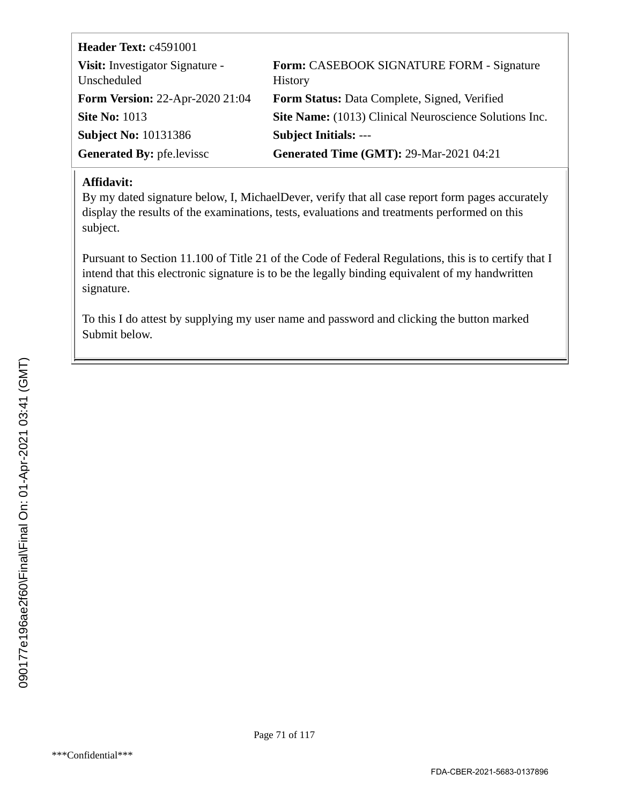| Header Text: c4591001                          |                                                             |
|------------------------------------------------|-------------------------------------------------------------|
| Visit: Investigator Signature -<br>Unscheduled | Form: CASEBOOK SIGNATURE FORM - Signature<br><b>History</b> |
| <b>Form Version: 22-Apr-2020 21:04</b>         | Form Status: Data Complete, Signed, Verified                |
| <b>Site No: 1013</b>                           | Site Name: (1013) Clinical Neuroscience Solutions Inc.      |
| <b>Subject No: 10131386</b>                    | <b>Subject Initials: ---</b>                                |
| <b>Generated By: pfe.levissc</b>               | <b>Generated Time (GMT): 29-Mar-2021 04:21</b>              |

#### **Affidavit:**

By my dated signature below, I, MichaelDever, verify that all case report form pages accurately display the results of the examinations, tests, evaluations and treatments performed on this subject.

Pursuant to Section 11.100 of Title 21 of the Code of Federal Regulations, this is to certify that I intend that this electronic signature is to be the legally binding equivalent of my handwritten signature.

To this I do attest by supplying my user name and password and clicking the button marked Submit below.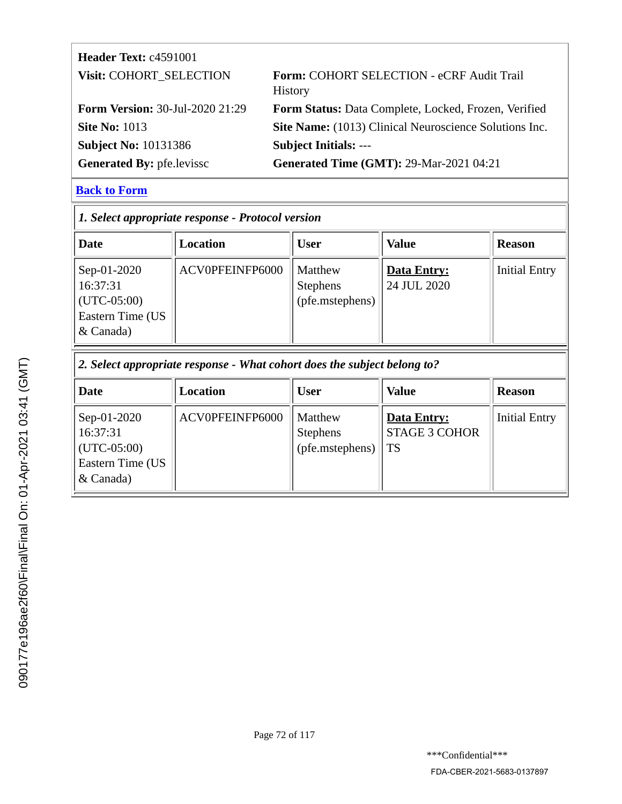| <b>Header Text: c4591001</b>           |                                                                    |
|----------------------------------------|--------------------------------------------------------------------|
| Visit: COHORT_SELECTION                | <b>Form: COHORT SELECTION - eCRF Audit Trail</b><br><b>History</b> |
| <b>Form Version: 30-Jul-2020 21:29</b> | Form Status: Data Complete, Locked, Frozen, Verified               |
| <b>Site No: 1013</b>                   | Site Name: (1013) Clinical Neuroscience Solutions Inc.             |
| <b>Subject No: 10131386</b>            | <b>Subject Initials: ---</b>                                       |
| <b>Generated By: pfe.levissc</b>       | <b>Generated Time (GMT): 29-Mar-2021 04:21</b>                     |

| 1. Select appropriate response - Protocol version                           |                 |                                               |                                                |                      |  |  |  |
|-----------------------------------------------------------------------------|-----------------|-----------------------------------------------|------------------------------------------------|----------------------|--|--|--|
| <b>Date</b>                                                                 | <b>Location</b> | <b>User</b>                                   | <b>Value</b>                                   | <b>Reason</b>        |  |  |  |
| Sep-01-2020<br>16:37:31<br>$(UTC-05:00)$<br>Eastern Time (US<br>$&$ Canada) | ACV0PFEINFP6000 | Matthew<br><b>Stephens</b><br>(pfe.mstephens) | <b>Data Entry:</b><br><sup>1</sup> 24 JUL 2020 | <b>Initial Entry</b> |  |  |  |

*2. Select appropriate response - What cohort does the subject belong to?*

| Date                                                                        | Location        | <b>User</b>                                   | <b>Value</b>                                | <b>Reason</b>        |
|-----------------------------------------------------------------------------|-----------------|-----------------------------------------------|---------------------------------------------|----------------------|
| Sep-01-2020<br>16:37:31<br>$ $ (UTC-05:00)<br>Eastern Time (US<br>& Canada) | ACV0PFEINFP6000 | Matthew<br><b>Stephens</b><br>(pfe.mstephens) | Data Entry:<br><b>STAGE 3 COHOR</b><br>l TS | <b>Initial Entry</b> |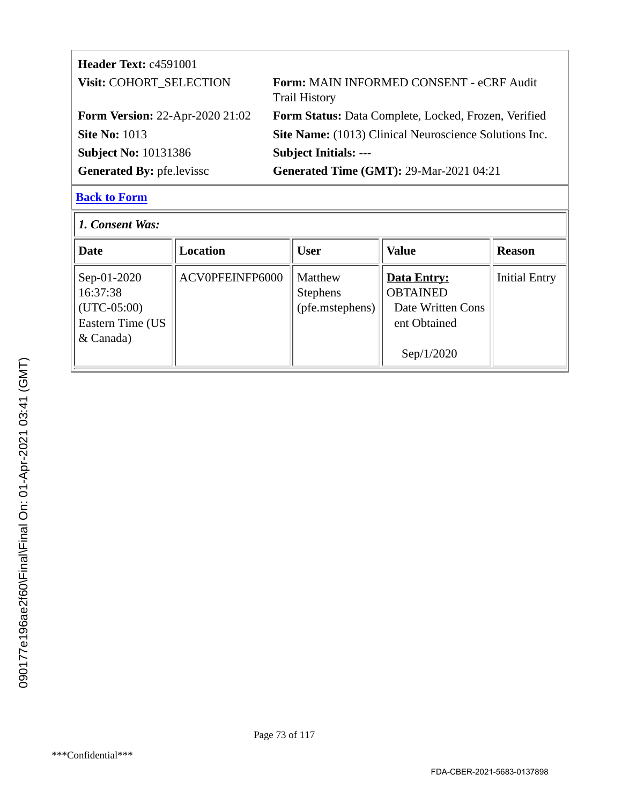| <b>Header Text: c4591001</b>           |                                                                         |
|----------------------------------------|-------------------------------------------------------------------------|
| Visit: COHORT_SELECTION                | <b>Form: MAIN INFORMED CONSENT - eCRF Audit</b><br><b>Trail History</b> |
| <b>Form Version: 22-Apr-2020 21:02</b> | Form Status: Data Complete, Locked, Frozen, Verified                    |
| <b>Site No: 1013</b>                   | Site Name: (1013) Clinical Neuroscience Solutions Inc.                  |
| <b>Subject No: 10131386</b>            | <b>Subject Initials: ---</b>                                            |
| <b>Generated By: pfe.levissc</b>       | <b>Generated Time (GMT): 29-Mar-2021 04:21</b>                          |
|                                        |                                                                         |

| 1. Consent Was:                                                             |                 |                                                      |                                                                                          |                      |
|-----------------------------------------------------------------------------|-----------------|------------------------------------------------------|------------------------------------------------------------------------------------------|----------------------|
| <b>Date</b>                                                                 | <b>Location</b> | <b>User</b>                                          | <b>Value</b>                                                                             | <b>Reason</b>        |
| Sep-01-2020<br>16:37:38<br>$(UTC-05:00)$<br>Eastern Time (US<br>$&$ Canada) | ACV0PFEINFP6000 | <b>Matthew</b><br><b>Stephens</b><br>(pfe.mstephens) | <b>Data Entry:</b><br><b>OBTAINED</b><br>Date Written Cons<br>ent Obtained<br>Sep/1/2020 | <b>Initial Entry</b> |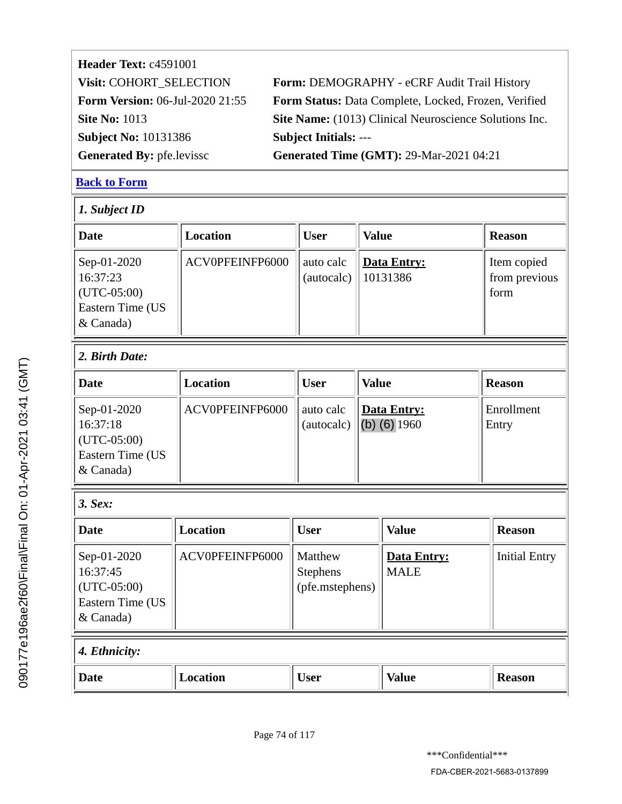| <b>Header Text: c4591001</b>           |                                                        |
|----------------------------------------|--------------------------------------------------------|
| Visit: COHORT_SELECTION                | Form: DEMOGRAPHY - eCRF Audit Trail History            |
| <b>Form Version:</b> 06-Jul-2020 21:55 | Form Status: Data Complete, Locked, Frozen, Verified   |
| <b>Site No: 1013</b>                   | Site Name: (1013) Clinical Neuroscience Solutions Inc. |
| <b>Subject No: 10131386</b>            | <b>Subject Initials: ---</b>                           |
| <b>Generated By: pfe.levissc</b>       | <b>Generated Time (GMT): 29-Mar-2021 04:21</b>         |

| <b>Date</b>                                                               | <b>Location</b> | <b>User</b>                                   | <b>Value</b>                         | <b>Reason</b>                        |
|---------------------------------------------------------------------------|-----------------|-----------------------------------------------|--------------------------------------|--------------------------------------|
| Sep-01-2020<br>16:37:23<br>$(UTC-05:00)$<br>Eastern Time (US<br>& Canada) | ACV0PFEINFP6000 | auto calc<br>(autocalc)                       | <b>Data Entry:</b><br>10131386       | Item copied<br>from previous<br>form |
| 2. Birth Date:                                                            |                 |                                               |                                      |                                      |
| <b>Date</b>                                                               | <b>Location</b> | <b>User</b>                                   | <b>Value</b>                         | <b>Reason</b>                        |
| Sep-01-2020<br>16:37:18<br>$(UTC-05:00)$<br>Eastern Time (US<br>& Canada) | ACV0PFEINFP6000 | auto calc<br>(autocalc)                       | <b>Data Entry:</b><br>(b) $(6)$ 1960 | Enrollment<br>Entry                  |
| 3. Sex:                                                                   |                 |                                               |                                      |                                      |
| <b>Date</b>                                                               | <b>Location</b> | <b>User</b>                                   | <b>Value</b>                         | <b>Reason</b>                        |
| Sep-01-2020<br>16:37:45<br>$(UTC-05:00)$<br>Eastern Time (US<br>& Canada) | ACV0PFEINFP6000 | Matthew<br><b>Stephens</b><br>(pfe.mstephens) | <b>Data Entry:</b><br><b>MALE</b>    | <b>Initial Entry</b>                 |
| 4. Ethnicity:                                                             |                 |                                               |                                      |                                      |
| <b>Date</b>                                                               | <b>Location</b> | <b>User</b>                                   | <b>Value</b>                         | <b>Reason</b>                        |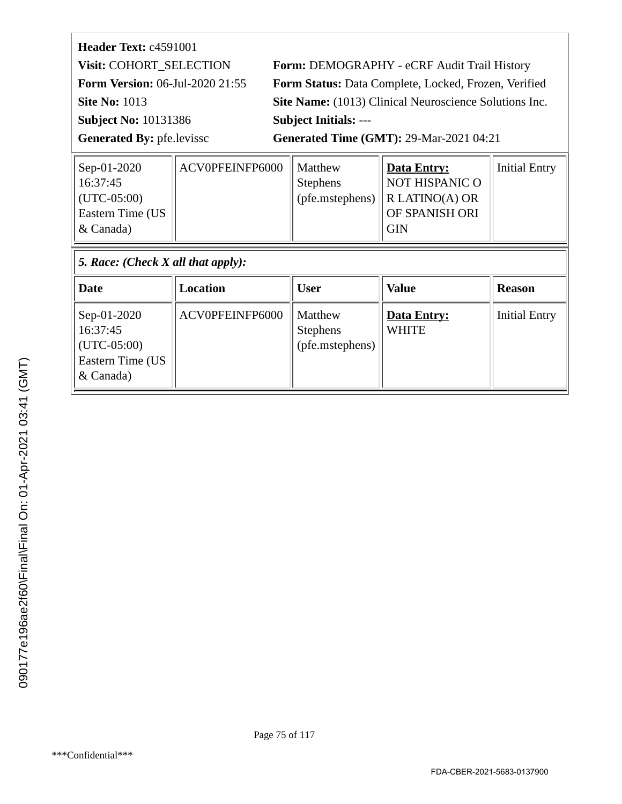| Form: DEMOGRAPHY - eCRF Audit Trail History            |
|--------------------------------------------------------|
| Form Status: Data Complete, Locked, Frozen, Verified   |
| Site Name: (1013) Clinical Neuroscience Solutions Inc. |
| <b>Subject Initials: ---</b>                           |
| <b>Generated Time (GMT): 29-Mar-2021 04:21</b>         |
|                                                        |

| Sep-01-2020<br>16:37:45<br>$ $ (UTC-05:00)<br>Eastern Time (US<br>$\&$ Canada) | ACV0PFEINFP6000 | Matthew<br><b>Stephens</b><br>$ $ (pfe.mstephens) $ $ | <b>Data Entry:</b><br><b>NOT HISPANIC O</b><br>$\ $ R LATINO(A) OR<br>OF SPANISH ORI<br><b>GIN</b> | <b>Initial Entry</b> |  |  |
|--------------------------------------------------------------------------------|-----------------|-------------------------------------------------------|----------------------------------------------------------------------------------------------------|----------------------|--|--|
| 5. Race: (Check X all that apply):                                             |                 |                                                       |                                                                                                    |                      |  |  |

| Date                                                                                  | Location        | <b>User</b>                                   | <b>Value</b>                | <b>Reason</b>        |
|---------------------------------------------------------------------------------------|-----------------|-----------------------------------------------|-----------------------------|----------------------|
| Sep-01-2020<br>16:37:45<br>$ $ (UTC-05:00)<br><b>Eastern Time (US</b><br>$\&$ Canada) | ACV0PFEINFP6000 | Matthew<br><b>Stephens</b><br>(pfe.mstephens) | Data Entry:<br><b>WHITE</b> | <b>Initial Entry</b> |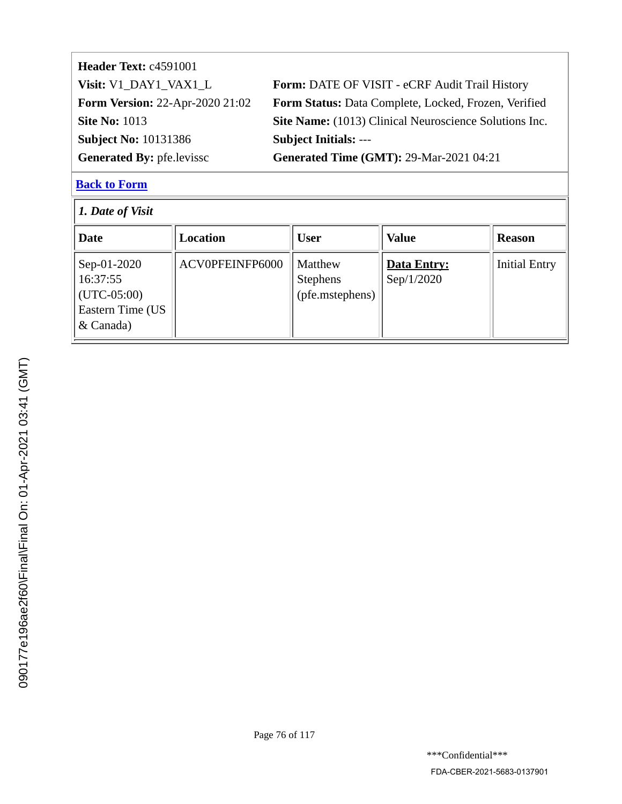| Header Text: c4591001                  |                                                        |
|----------------------------------------|--------------------------------------------------------|
| Visit: V1_DAY1_VAX1_L                  | Form: DATE OF VISIT - eCRF Audit Trail History         |
| <b>Form Version: 22-Apr-2020 21:02</b> | Form Status: Data Complete, Locked, Frozen, Verified   |
| <b>Site No: 1013</b>                   | Site Name: (1013) Clinical Neuroscience Solutions Inc. |
| <b>Subject No: 10131386</b>            | <b>Subject Initials: ---</b>                           |
| <b>Generated By: pfe.levissc</b>       | <b>Generated Time (GMT): 29-Mar-2021 04:21</b>         |
|                                        |                                                        |

| $\vert$ 1. Date of Visit                                                       |                 |                                               |                           |                      |
|--------------------------------------------------------------------------------|-----------------|-----------------------------------------------|---------------------------|----------------------|
| Date                                                                           | Location        | <b>User</b>                                   | <b>Value</b>              | <b>Reason</b>        |
| Sep-01-2020<br>16:37:55<br>$ $ (UTC-05:00)<br>Eastern Time (US<br>$\&$ Canada) | ACV0PFEINFP6000 | Matthew<br><b>Stephens</b><br>(pfe.mstephens) | Data Entry:<br>Sep/1/2020 | <b>Initial Entry</b> |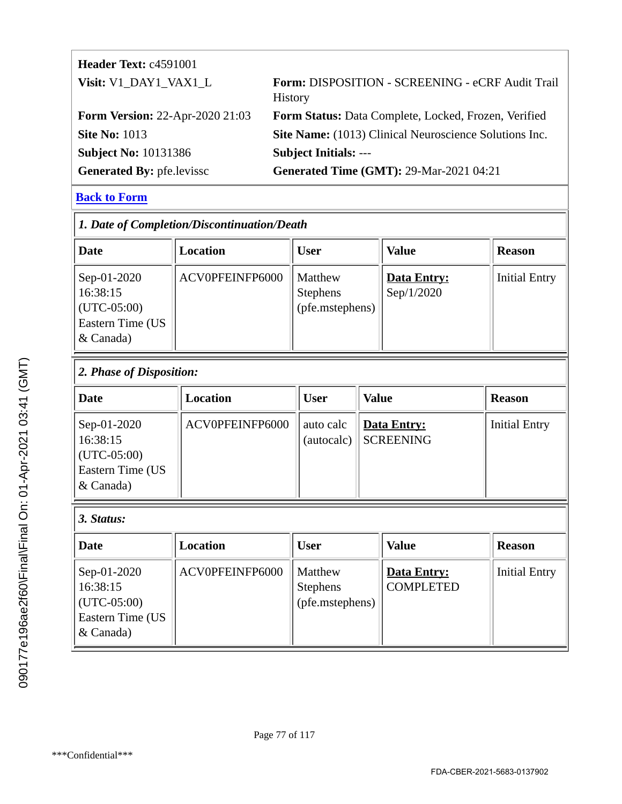| <b>Header Text: c4591001</b>           |                                                                    |
|----------------------------------------|--------------------------------------------------------------------|
| Visit: V1_DAY1_VAX1_L                  | Form: DISPOSITION - SCREENING - eCRF Audit Trail<br><b>History</b> |
| <b>Form Version: 22-Apr-2020 21:03</b> | Form Status: Data Complete, Locked, Frozen, Verified               |
| <b>Site No: 1013</b>                   | Site Name: (1013) Clinical Neuroscience Solutions Inc.             |
| <b>Subject No: 10131386</b>            | <b>Subject Initials: ---</b>                                       |
| <b>Generated By: pfe.levissc</b>       | <b>Generated Time (GMT): 29-Mar-2021 04:21</b>                     |

| 1. Date of Completion/Discontinuation/Death                               |                 |                                               |                           |                      |
|---------------------------------------------------------------------------|-----------------|-----------------------------------------------|---------------------------|----------------------|
| <b>Date</b>                                                               | Location        | <b>User</b>                                   | <b>Value</b>              | <b>Reason</b>        |
| Sep-01-2020<br>16:38:15<br>$(UTC-05:00)$<br>Eastern Time (US<br>& Canada) | ACV0PFEINFP6000 | Matthew<br><b>Stephens</b><br>(pfe.mstephens) | Data Entry:<br>Sep/1/2020 | <b>Initial Entry</b> |

| $ 2$ . Phase of Disposition:                                                |                 |             |                                     |                      |
|-----------------------------------------------------------------------------|-----------------|-------------|-------------------------------------|----------------------|
| Date                                                                        | Location        | <b>User</b> | <b>Value</b>                        | <b>Reason</b>        |
| Sep-01-2020<br>16:38:15<br>$ $ (UTC-05:00)<br>Eastern Time (US<br>& Canada) | ACV0PFEINFP6000 | auto calc   | Data Entry:<br>(autocalc) SCREENING | <b>Initial Entry</b> |

#### *3. Status:*

| Date                                                                                  | Location        | <b>User</b>                                   | <b>Value</b>                    | <b>Reason</b>        |
|---------------------------------------------------------------------------------------|-----------------|-----------------------------------------------|---------------------------------|----------------------|
| Sep-01-2020<br>16:38:15<br>$ $ (UTC-05:00)<br><b>Eastern Time (US</b><br>$\&$ Canada) | ACV0PFEINFP6000 | Matthew<br><b>Stephens</b><br>(pfe.mstephens) | Data Entry:<br><b>COMPLETED</b> | <b>Initial Entry</b> |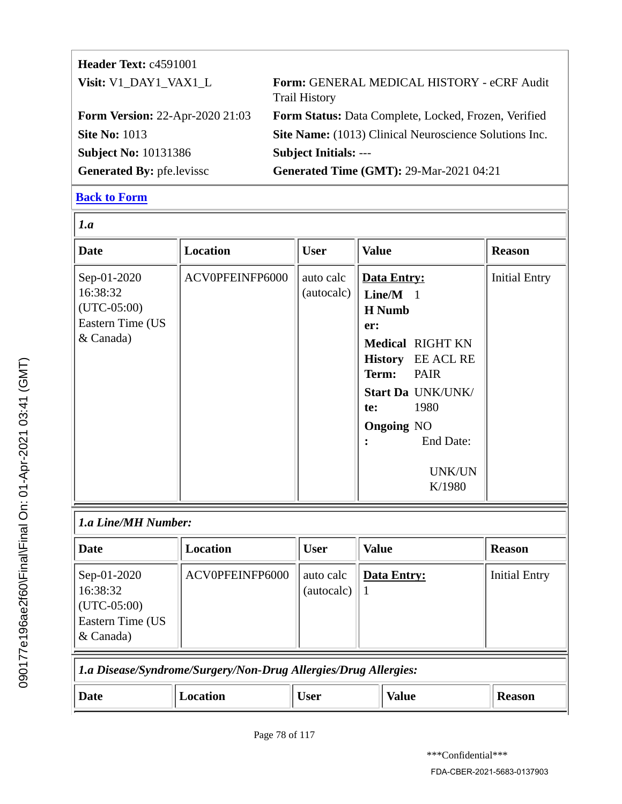| <b>Header Text: c4591001</b>           |                                                                    |
|----------------------------------------|--------------------------------------------------------------------|
| Visit: V1_DAY1_VAX1_L                  | Form: GENERAL MEDICAL HISTORY - eCRF Audit<br><b>Trail History</b> |
| <b>Form Version: 22-Apr-2020 21:03</b> | Form Status: Data Complete, Locked, Frozen, Verified               |
| <b>Site No: 1013</b>                   | Site Name: (1013) Clinical Neuroscience Solutions Inc.             |
| <b>Subject No: 10131386</b>            | <b>Subject Initials: ---</b>                                       |
| <b>Generated By: pfe.levissc</b>       | <b>Generated Time (GMT): 29-Mar-2021 04:21</b>                     |

| 1.a                                                                       |                 |                         |                                                                                                                                                                                                                            |                      |
|---------------------------------------------------------------------------|-----------------|-------------------------|----------------------------------------------------------------------------------------------------------------------------------------------------------------------------------------------------------------------------|----------------------|
| <b>Date</b>                                                               | <b>Location</b> | <b>User</b>             | <b>Value</b>                                                                                                                                                                                                               | <b>Reason</b>        |
| Sep-01-2020<br>16:38:32<br>$(UTC-05:00)$<br>Eastern Time (US<br>& Canada) | ACV0PFEINFP6000 | auto calc<br>(autocalc) | Data Entry:<br>$Line/M$ 1<br><b>H</b> Numb<br>er:<br><b>Medical RIGHT KN</b><br>History EE ACL RE<br>Term:<br><b>PAIR</b><br>Start Da UNK/UNK/<br>1980<br>te:<br><b>Ongoing NO</b><br><b>End Date:</b><br>UNK/UN<br>K/1980 | <b>Initial Entry</b> |
| 1.a Line/MH Number:                                                       |                 |                         |                                                                                                                                                                                                                            |                      |

| Date                                                                            | <b>Location</b> | <b>User</b>             | <b>Value</b> | <b>Reason</b>        |
|---------------------------------------------------------------------------------|-----------------|-------------------------|--------------|----------------------|
| Sep-01-2020<br>16:38:32<br>$\vert$ (UTC-05:00)<br>Eastern Time (US<br>& Canada) | ACV0PFEINFP6000 | auto calc<br>(autocalc) | Data Entry:  | <b>Initial Entry</b> |
| La Disease/Syndrome/Surgery/Non-Drug Allergies/Drug Allergies:                  |                 |                         |              |                      |

|      | $\sim$ 2 $\sim$ 2 $\sim$ 0.000 $\sim$ 0.000 $\sim$ 0.000 $\sim$ 0.000 $\sim$ 0.000 $\sim$ 0.000 $\sim$ 0.000 $\sim$ 0.000 $\sim$ |          |      |       |               |
|------|----------------------------------------------------------------------------------------------------------------------------------|----------|------|-------|---------------|
| Date |                                                                                                                                  | Location | User | Value | <b>Reason</b> |
|      |                                                                                                                                  |          |      |       |               |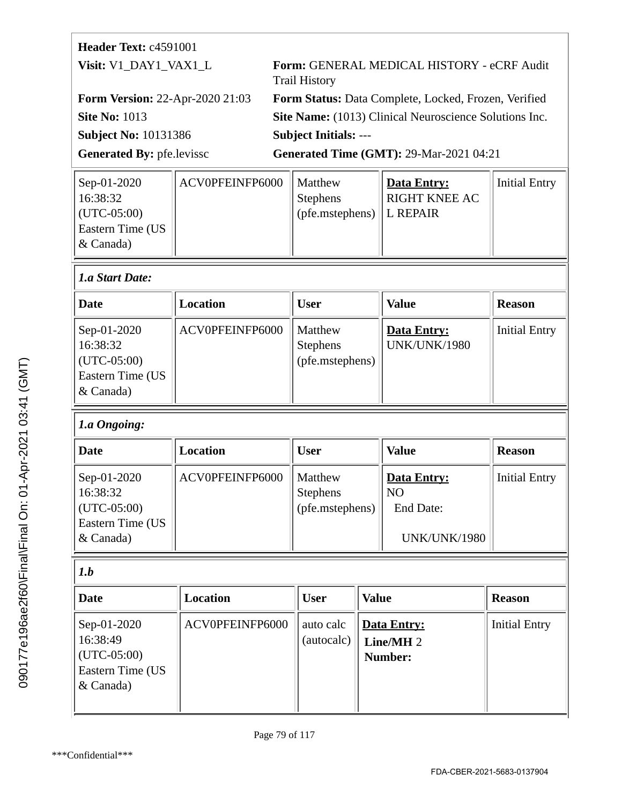| Header Text: c4591001                  |                 |                                                      |                      |                                                        |                      |
|----------------------------------------|-----------------|------------------------------------------------------|----------------------|--------------------------------------------------------|----------------------|
| Visit: V1_DAY1_VAX1_L                  |                 |                                                      | <b>Trail History</b> | Form: GENERAL MEDICAL HISTORY - eCRF Audit             |                      |
| <b>Form Version: 22-Apr-2020 21:03</b> |                 | Form Status: Data Complete, Locked, Frozen, Verified |                      |                                                        |                      |
| <b>Site No: 1013</b>                   |                 |                                                      |                      | Site Name: (1013) Clinical Neuroscience Solutions Inc. |                      |
| <b>Subject No: 10131386</b>            |                 | <b>Subject Initials: ---</b>                         |                      |                                                        |                      |
| <b>Generated By: pfe.levissc</b>       |                 |                                                      |                      | <b>Generated Time (GMT): 29-Mar-2021 04:21</b>         |                      |
| Sep-01-2020                            | ACV0PFEINFP6000 |                                                      | Matthew              | <b>Data Entry:</b>                                     | <b>Initial Entry</b> |

| ACV0PFEINFP6000<br>Matthew | Data Entry:          | Initial Entry                      |
|----------------------------|----------------------|------------------------------------|
| <b>Stephens</b>            | <b>RIGHT KNEE AC</b> |                                    |
|                            |                      |                                    |
|                            |                      |                                    |
|                            |                      |                                    |
|                            |                      | $\ $ (pfe.mstephens) $\ $ L REPAIR |

# *1.a Start Date:*

| Date                                                                            | Location        | <b>User</b>                                   | <b>Value</b>                              | <b>Reason</b>        |
|---------------------------------------------------------------------------------|-----------------|-----------------------------------------------|-------------------------------------------|----------------------|
| Sep-01-2020<br>16:38:32<br>$\vert$ (UTC-05:00)<br>Eastern Time (US<br>& Canada) | ACV0PFEINFP6000 | Matthew<br><b>Stephens</b><br>(pfe.mstephens) | <b>Data Entry:</b><br><b>UNK/UNK/1980</b> | <b>Initial Entry</b> |

# *1.a Ongoing:*

| Date                                                                        | Location        | User                                          | <b>Value</b>                                            | <b>Reason</b>        |
|-----------------------------------------------------------------------------|-----------------|-----------------------------------------------|---------------------------------------------------------|----------------------|
| Sep-01-2020<br>16:38:32<br>$ $ (UTC-05:00)<br>Eastern Time (US<br>& Canada) | ACV0PFEINFP6000 | Matthew<br><b>Stephens</b><br>(pfe.mstephens) | Data Entry:<br>  NO<br>End Date:<br><b>UNK/UNK/1980</b> | <b>Initial Entry</b> |

# $\sqrt{\int_{a}^{b}$

| <b>Date</b>                                                                           | Location        | <b>User</b>             | Value                                          | <b>Reason</b>        |
|---------------------------------------------------------------------------------------|-----------------|-------------------------|------------------------------------------------|----------------------|
| Sep-01-2020<br>16:38:49<br>$ $ (UTC-05:00)<br><b>Eastern Time (US</b><br>$\&$ Canada) | ACV0PFEINFP6000 | auto calc<br>(autocalc) | Data Entry:<br>Line/MH <sub>2</sub><br>Number: | <b>Initial Entry</b> |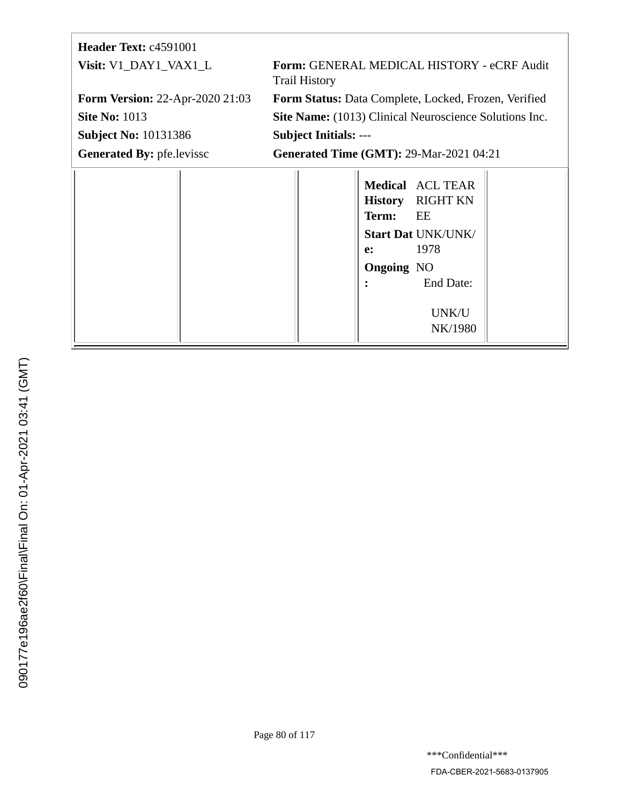| <b>Header Text: c4591001</b>           |                                                                                                                                                                   |
|----------------------------------------|-------------------------------------------------------------------------------------------------------------------------------------------------------------------|
| Visit: V1_DAY1_VAX1_L                  | Form: GENERAL MEDICAL HISTORY - eCRF Audit<br><b>Trail History</b>                                                                                                |
| <b>Form Version: 22-Apr-2020 21:03</b> | Form Status: Data Complete, Locked, Frozen, Verified                                                                                                              |
| <b>Site No: 1013</b>                   | <b>Site Name:</b> (1013) Clinical Neuroscience Solutions Inc.                                                                                                     |
| <b>Subject No: 10131386</b>            | <b>Subject Initials: ---</b>                                                                                                                                      |
| <b>Generated By: pfe.levissc</b>       | <b>Generated Time (GMT): 29-Mar-2021 04:21</b>                                                                                                                    |
|                                        | <b>Medical</b> ACL TEAR<br><b>RIGHT KN</b><br><b>History</b><br>Term:<br>EE<br><b>Start Dat UNK/UNK/</b><br>1978<br>e:<br><b>Ongoing NO</b><br>End Date:<br>UNK/U |

NK/1980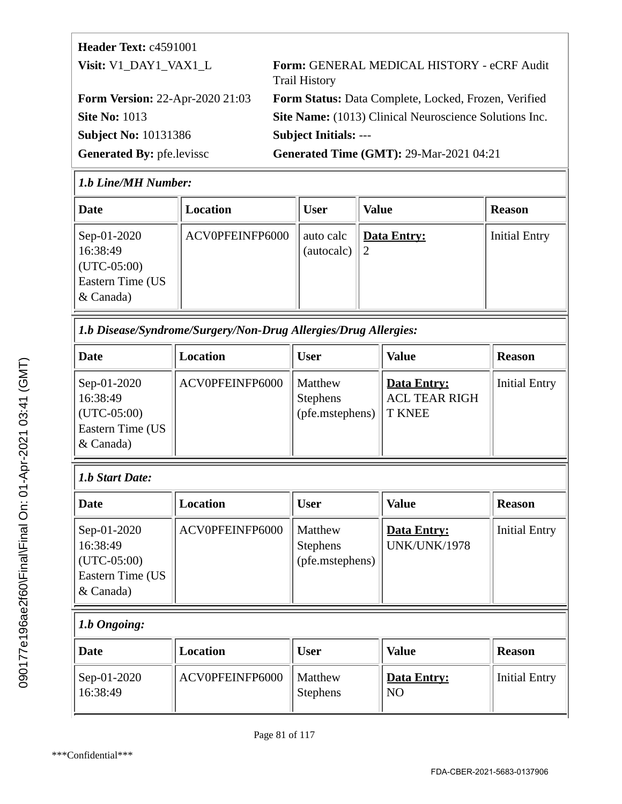| <b>Header Text: c4591001</b>           |                                                                    |
|----------------------------------------|--------------------------------------------------------------------|
| Visit: V1 DAY1 VAX1 L                  | Form: GENERAL MEDICAL HISTORY - eCRF Audit<br><b>Trail History</b> |
| <b>Form Version: 22-Apr-2020 21:03</b> | Form Status: Data Complete, Locked, Frozen, Verified               |
| <b>Site No: 1013</b>                   | Site Name: (1013) Clinical Neuroscience Solutions Inc.             |
| <b>Subject No: 10131386</b>            | <b>Subject Initials: ---</b>                                       |
| <b>Generated By: pfe.levissc</b>       | <b>Generated Time (GMT): 29-Mar-2021 04:21</b>                     |

#### *1.b Line/MH Number:*

| Date                                                                                  | Location        | <b>User</b>             | <b>Value</b>       | <b>Reason</b>        |
|---------------------------------------------------------------------------------------|-----------------|-------------------------|--------------------|----------------------|
| Sep-01-2020<br>16:38:49<br>$ $ (UTC-05:00)<br><b>Eastern Time (US</b><br>$\&$ Canada) | ACV0PFEINFP6000 | auto calc<br>(autocalc) | <b>Data Entry:</b> | <b>Initial Entry</b> |

*1.b Disease/Syndrome/Surgery/Non-Drug Allergies/Drug Allergies:*

| Date                                                                      | Location        | <b>User</b>                                   | Value                                                | <b>Reason</b>        |
|---------------------------------------------------------------------------|-----------------|-----------------------------------------------|------------------------------------------------------|----------------------|
| Sep-01-2020<br>16:38:49<br>$(UTC-05:00)$<br>Eastern Time (US<br>& Canada) | ACV0PFEINFP6000 | Matthew<br><b>Stephens</b><br>(pfe.mstephens) | Data Entry:<br><b>ACL TEAR RIGH</b><br><b>T KNEE</b> | <b>Initial Entry</b> |

#### *1.b Start Date:*

| Date                                                                            | <b>Location</b> | User                                          | <b>Value</b>                              | <b>Reason</b>        |
|---------------------------------------------------------------------------------|-----------------|-----------------------------------------------|-------------------------------------------|----------------------|
| Sep-01-2020<br>16:38:49<br>$\vert$ (UTC-05:00)<br>Eastern Time (US<br>& Canada) | ACV0PFEINFP6000 | Matthew<br><b>Stephens</b><br>(pfe.mstephens) | <b>Data Entry:</b><br><b>UNK/UNK/1978</b> | <b>Initial Entry</b> |

#### *1.b Ongoing:*

| Date                                    | Location        | <b>User</b>                | <b>Value</b>             | <b>Reason</b> |
|-----------------------------------------|-----------------|----------------------------|--------------------------|---------------|
| $\sqrt{\text{Sep-01-2020}}$<br>16:38:49 | ACV0PFEINFP6000 | Matthew<br><b>Stephens</b> | Data Entry:<br><b>NO</b> | Initial Entry |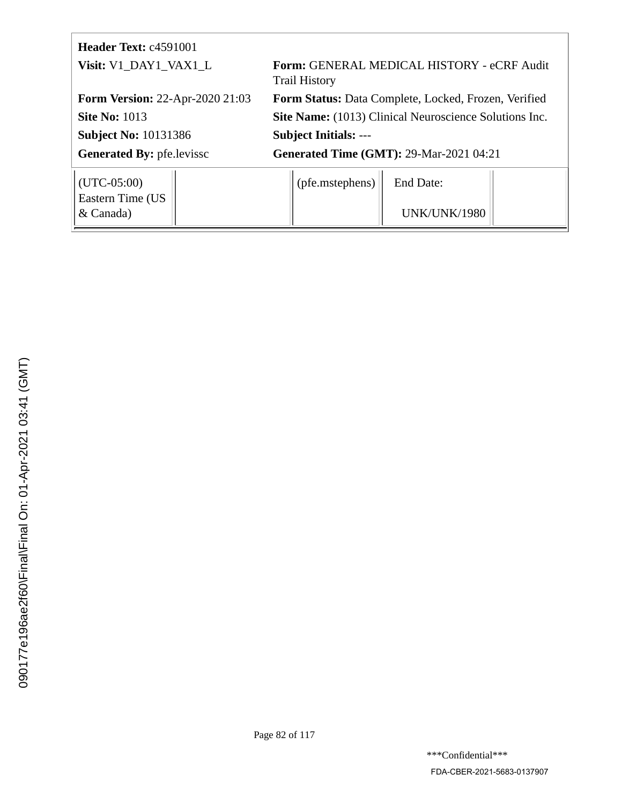| <b>Header Text: c4591001</b>                   |                                                                    |  |  |
|------------------------------------------------|--------------------------------------------------------------------|--|--|
| Visit: V1_DAY1_VAX1_L                          | Form: GENERAL MEDICAL HISTORY - eCRF Audit<br><b>Trail History</b> |  |  |
| <b>Form Version: 22-Apr-2020 21:03</b>         | Form Status: Data Complete, Locked, Frozen, Verified               |  |  |
| <b>Site No: 1013</b>                           | Site Name: (1013) Clinical Neuroscience Solutions Inc.             |  |  |
| <b>Subject No: 10131386</b>                    | <b>Subject Initials: ---</b>                                       |  |  |
| <b>Generated By: pfe.levissc</b>               | <b>Generated Time (GMT): 29-Mar-2021 04:21</b>                     |  |  |
| $\vert$ (UTC-05:00)<br><b>Eastern Time (US</b> | (pfe.mstephens)<br>End Date:                                       |  |  |
| & Canada)                                      | UNK/UNK/1980                                                       |  |  |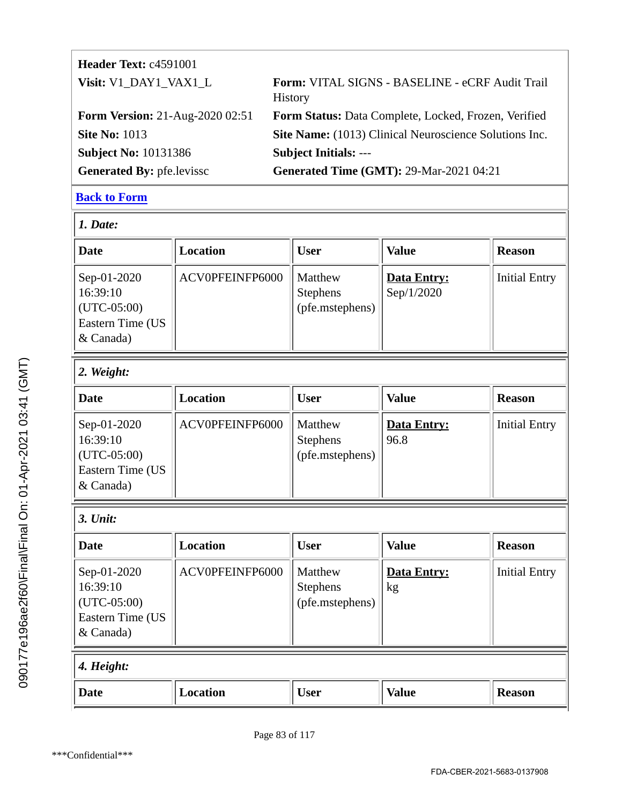| <b>Header Text: c4591001</b>           |                                                                   |
|----------------------------------------|-------------------------------------------------------------------|
| Visit: V1_DAY1_VAX1_L                  | Form: VITAL SIGNS - BASELINE - eCRF Audit Trail<br><b>History</b> |
| <b>Form Version: 21-Aug-2020 02:51</b> | Form Status: Data Complete, Locked, Frozen, Verified              |
| <b>Site No: 1013</b>                   | Site Name: (1013) Clinical Neuroscience Solutions Inc.            |
| <b>Subject No: 10131386</b>            | <b>Subject Initials: ---</b>                                      |
| <b>Generated By: pfe.levissc</b>       | <b>Generated Time (GMT): 29-Mar-2021 04:21</b>                    |

| 1. Date:                                                                    |                 |                                               |                           |                      |
|-----------------------------------------------------------------------------|-----------------|-----------------------------------------------|---------------------------|----------------------|
| Date                                                                        | Location        | <b>User</b>                                   | <b>Value</b>              | <b>Reason</b>        |
| Sep-01-2020<br>16:39:10<br>$(UTC-05:00)$<br>Eastern Time (US<br>$&$ Canada) | ACV0PFEINFP6000 | Matthew<br><b>Stephens</b><br>(pfe.mstephens) | Data Entry:<br>Sep/1/2020 | <b>Initial Entry</b> |

# *2. Weight:*

| Date                                                                                  | Location        | <b>User</b>                                   | <b>Value</b>        | <b>Reason</b>        |
|---------------------------------------------------------------------------------------|-----------------|-----------------------------------------------|---------------------|----------------------|
| Sep-01-2020<br>16:39:10<br>$ $ (UTC-05:00)<br><b>Eastern Time (US</b><br>$\&$ Canada) | ACV0PFEINFP6000 | Matthew<br><b>Stephens</b><br>(pfe.mstephens) | Data Entry:<br>96.8 | <b>Initial Entry</b> |

#### *3. Unit:*

| <b>Date</b>                                                               | Location        | <b>User</b>                                   | <b>Value</b>             | <b>Reason</b>        |
|---------------------------------------------------------------------------|-----------------|-----------------------------------------------|--------------------------|----------------------|
| Sep-01-2020<br>16:39:10<br>$(UTC-05:00)$<br>Eastern Time (US<br>& Canada) | ACV0PFEINFP6000 | Matthew<br><b>Stephens</b><br>(pfe.mstephens) | <b>Data Entry:</b><br>kg | <b>Initial Entry</b> |
| 4. Height:                                                                |                 |                                               |                          |                      |
| <b>Date</b>                                                               | <b>Location</b> | <b>User</b>                                   | <b>Value</b>             | <b>Reason</b>        |

090177e196ae2f60\Final\Final On: 01-Apr-2021 03:41 (GMT)

090177e196ae2f60\Final\Final On: 01-Apr-2021 03:41 (GMT)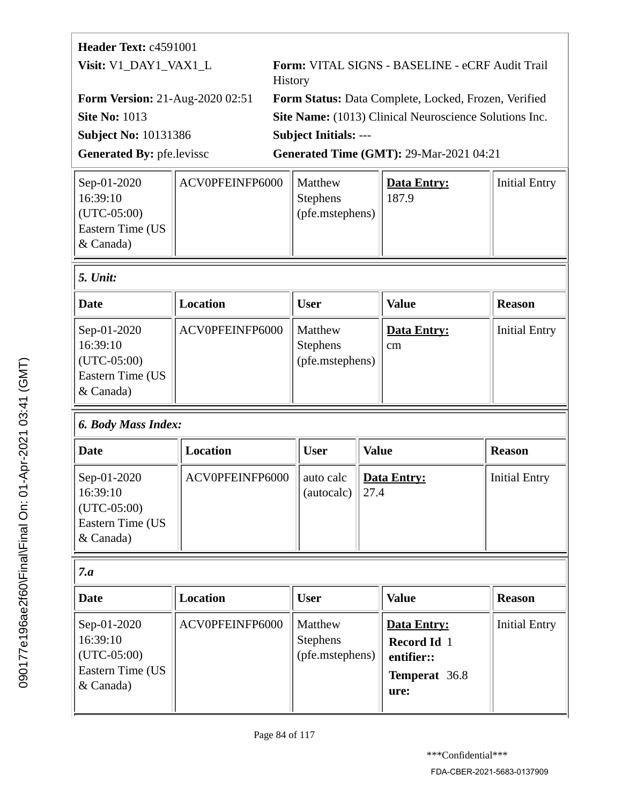| ACV0PFEINFP6000 |                          |         | Initial Entry |
|-----------------|--------------------------|---------|---------------|
|                 | <b>Stephens</b>          | 187.9   |               |
|                 | $\left($ (pfe.mstephens) |         |               |
|                 |                          |         |               |
|                 |                          |         |               |
|                 |                          | Matthew | Data Entry:   |

| Unit: |
|-------|
|       |

| <b>Date</b>                                                                 | Location        | <b>User</b>                                   | Value               | <b>Reason</b>        |
|-----------------------------------------------------------------------------|-----------------|-----------------------------------------------|---------------------|----------------------|
| Sep-01-2020<br>16:39:10<br>$ $ (UTC-05:00)<br>Eastern Time (US<br>& Canada) | ACV0PFEINFP6000 | Matthew<br><b>Stephens</b><br>(pfe.mstephens) | Data Entry:<br>l cm | <b>Initial Entry</b> |

| Date                                                                      | Location        | <b>User</b>              | <b>Value</b>         | <b>Reason</b>        |
|---------------------------------------------------------------------------|-----------------|--------------------------|----------------------|----------------------|
| Sep-01-2020<br>16:39:10<br>$(UTC-05:00)$<br>Eastern Time (US<br>& Canada) | ACV0PFEINFP6000 | auto calc<br>(autocal c) | Data Entry:<br>127.4 | <b>Initial Entry</b> |

| $\sim$ | ٦<br>-- |
|--------|---------|

| . . u                                                                       |                 |                                               |                                                                                 |                      |  |
|-----------------------------------------------------------------------------|-----------------|-----------------------------------------------|---------------------------------------------------------------------------------|----------------------|--|
| <b>Date</b>                                                                 | Location        | <b>User</b>                                   | <b>Value</b>                                                                    | <b>Reason</b>        |  |
| Sep-01-2020<br>16:39:10<br>$ $ (UTC-05:00)<br>Eastern Time (US<br>& Canada) | ACV0PFEINFP6000 | Matthew<br><b>Stephens</b><br>(pfe.mstephens) | <b>Data Entry:</b><br><b>Record Id</b> 1<br>entifier::<br>Temperat 36.8<br>ure: | <b>Initial Entry</b> |  |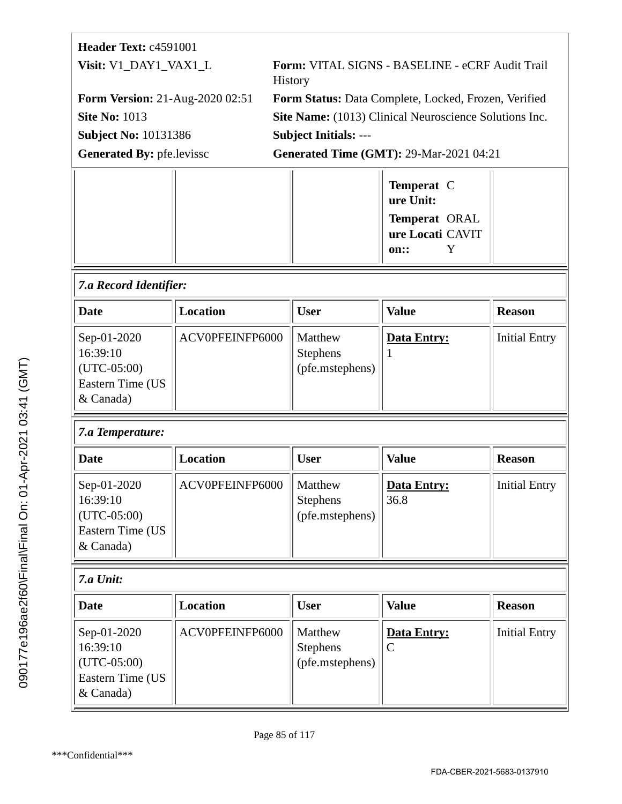| Header Text: c4591001                                                     |                 |                                                                   |                                               |                                                                           |                      |  |
|---------------------------------------------------------------------------|-----------------|-------------------------------------------------------------------|-----------------------------------------------|---------------------------------------------------------------------------|----------------------|--|
| Visit: V1_DAY1_VAX1_L<br><b>Form Version: 21-Aug-2020 02:51</b>           |                 | Form: VITAL SIGNS - BASELINE - eCRF Audit Trail<br><b>History</b> |                                               |                                                                           |                      |  |
|                                                                           |                 | Form Status: Data Complete, Locked, Frozen, Verified              |                                               |                                                                           |                      |  |
| <b>Site No: 1013</b>                                                      |                 | <b>Site Name:</b> (1013) Clinical Neuroscience Solutions Inc.     |                                               |                                                                           |                      |  |
| <b>Subject No: 10131386</b>                                               |                 | <b>Subject Initials: ---</b>                                      |                                               |                                                                           |                      |  |
| <b>Generated By: pfe.levissc</b>                                          |                 |                                                                   |                                               | <b>Generated Time (GMT): 29-Mar-2021 04:21</b>                            |                      |  |
|                                                                           |                 |                                                                   |                                               | Temperat C<br>ure Unit:<br>Temperat ORAL<br>ure Locati CAVIT<br>Y<br>on:: |                      |  |
| 7.a Record Identifier:                                                    |                 |                                                                   |                                               |                                                                           |                      |  |
| <b>Date</b>                                                               | <b>Location</b> |                                                                   | <b>User</b>                                   | <b>Value</b>                                                              | <b>Reason</b>        |  |
| Sep-01-2020<br>16:39:10<br>$(UTC-05:00)$<br>Eastern Time (US<br>& Canada) | ACV0PFEINFP6000 |                                                                   | Matthew<br>Stephens<br>(pfe.mstephens)        | Data Entry:                                                               | <b>Initial Entry</b> |  |
| 7.a Temperature:                                                          |                 |                                                                   |                                               |                                                                           |                      |  |
| Date                                                                      | <b>Location</b> |                                                                   | <b>User</b>                                   | <b>Value</b>                                                              | <b>Reason</b>        |  |
| Sep-01-2020<br>16:39:10<br>$(UTC-05:00)$<br>Eastern Time (US<br>& Canada) | ACV0PFEINFP6000 |                                                                   | Matthew<br><b>Stephens</b><br>(pfe.mstephens) | Data Entry:<br>36.8                                                       | <b>Initial Entry</b> |  |
| 7.a Unit:                                                                 |                 |                                                                   |                                               |                                                                           |                      |  |
| <b>Date</b>                                                               | <b>Location</b> |                                                                   | <b>User</b>                                   | <b>Value</b>                                                              | <b>Reason</b>        |  |
| Sep-01-2020<br>16:39:10<br>$(UTC-05:00)$<br>Eastern Time (US<br>& Canada) | ACV0PFEINFP6000 |                                                                   | Matthew<br>Stephens<br>(pfe.mstephens)        | Data Entry:<br>$\overline{C}$                                             | <b>Initial Entry</b> |  |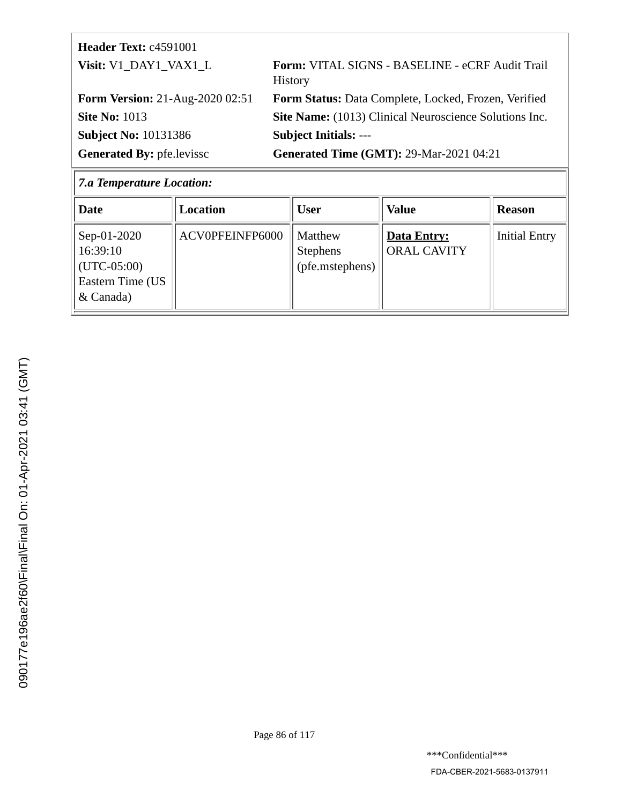| <b>Header Text: c4591001</b>           |                                                                   |
|----------------------------------------|-------------------------------------------------------------------|
| Visit: V1 DAY1 VAX1 L                  | Form: VITAL SIGNS - BASELINE - eCRF Audit Trail<br><b>History</b> |
| <b>Form Version: 21-Aug-2020 02:51</b> | Form Status: Data Complete, Locked, Frozen, Verified              |
| <b>Site No: 1013</b>                   | Site Name: (1013) Clinical Neuroscience Solutions Inc.            |
| <b>Subject No: 10131386</b>            | <b>Subject Initials: ---</b>                                      |
| <b>Generated By: pfe.levissc</b>       | <b>Generated Time (GMT): 29-Mar-2021 04:21</b>                    |

# *7.a Temperature Location:*

| <b>Date</b>                                                                 | Location        | <b>User</b>                                   | <b>Value</b>                      | <b>Reason</b>        |
|-----------------------------------------------------------------------------|-----------------|-----------------------------------------------|-----------------------------------|----------------------|
| Sep-01-2020<br>16:39:10<br>$ $ (UTC-05:00)<br>Eastern Time (US<br>& Canada) | ACV0PFEINFP6000 | Matthew<br><b>Stephens</b><br>(pfe.mstephens) | Data Entry:<br><b>ORAL CAVITY</b> | <b>Initial Entry</b> |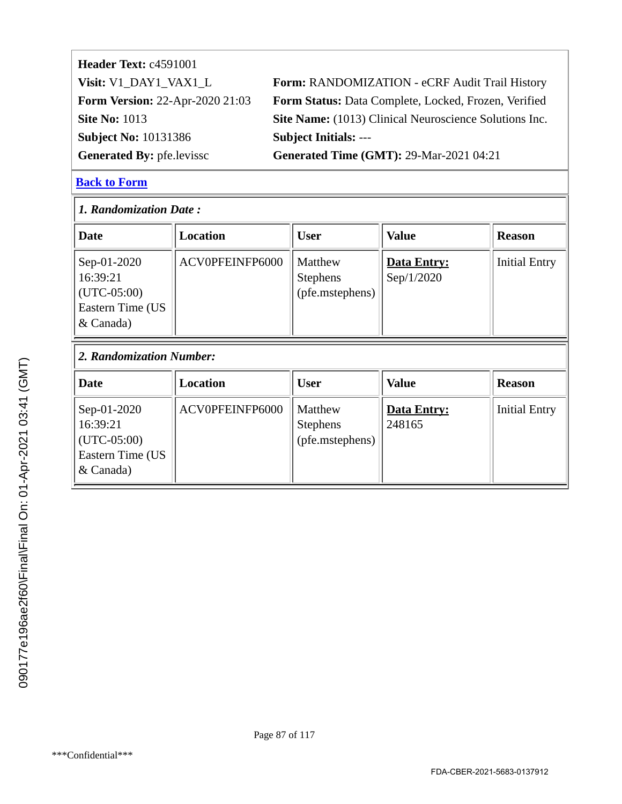| Header Text: c4591001                  |                                                        |
|----------------------------------------|--------------------------------------------------------|
| Visit: V1_DAY1_VAX1_L                  | Form: RANDOMIZATION - eCRF Audit Trail History         |
| <b>Form Version: 22-Apr-2020 21:03</b> | Form Status: Data Complete, Locked, Frozen, Verified   |
| <b>Site No: 1013</b>                   | Site Name: (1013) Clinical Neuroscience Solutions Inc. |
| <b>Subject No: 10131386</b>            | <b>Subject Initials: ---</b>                           |
| <b>Generated By: pfe.levissc</b>       | <b>Generated Time (GMT): 29-Mar-2021 04:21</b>         |
|                                        |                                                        |

| 1. Randomization Date:                                                    |                 |                                               |                                  |                      |  |  |
|---------------------------------------------------------------------------|-----------------|-----------------------------------------------|----------------------------------|----------------------|--|--|
| Date                                                                      | <b>Location</b> | <b>User</b>                                   | <b>Value</b>                     | <b>Reason</b>        |  |  |
| Sep-01-2020<br>16:39:21<br>$(UTC-05:00)$<br>Eastern Time (US<br>& Canada) | ACV0PFEINFP6000 | Matthew<br><b>Stephens</b><br>(pfe.mstephens) | <b>Data Entry:</b><br>Sep/1/2020 | <b>Initial Entry</b> |  |  |
| 2. Randomization Number:                                                  |                 |                                               |                                  |                      |  |  |
|                                                                           |                 |                                               |                                  |                      |  |  |
| <b>Date</b>                                                               | <b>Location</b> | <b>User</b>                                   | <b>Value</b>                     | <b>Reason</b>        |  |  |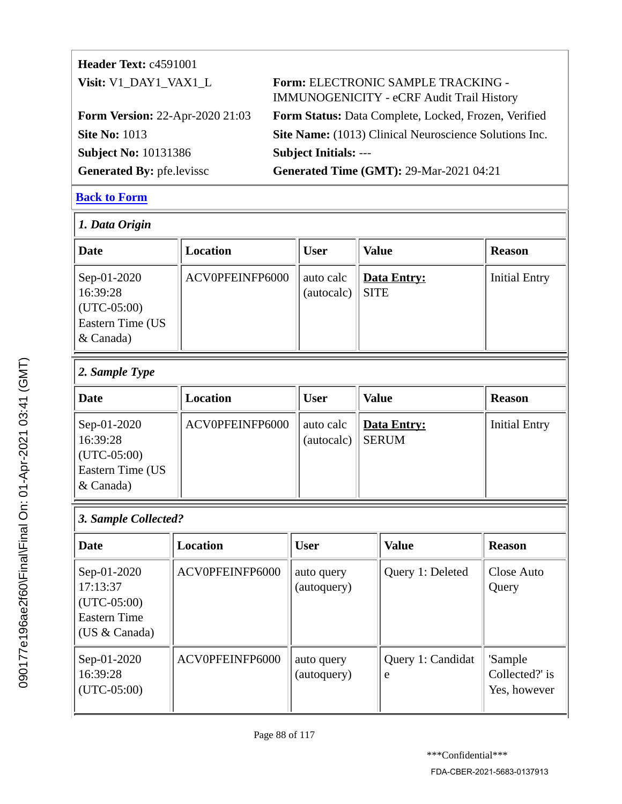| <b>Header Text: c4591001</b>           |                                                                                        |
|----------------------------------------|----------------------------------------------------------------------------------------|
| Visit: V1_DAY1_VAX1_L                  | Form: ELECTRONIC SAMPLE TRACKING -<br><b>IMMUNOGENICITY - eCRF Audit Trail History</b> |
| <b>Form Version: 22-Apr-2020 21:03</b> | Form Status: Data Complete, Locked, Frozen, Verified                                   |
| <b>Site No: 1013</b>                   | Site Name: (1013) Clinical Neuroscience Solutions Inc.                                 |
| <b>Subject No: 10131386</b>            | <b>Subject Initials: ---</b>                                                           |
| <b>Generated By: pfe.levissc</b>       | <b>Generated Time (GMT): 29-Mar-2021 04:21</b>                                         |

| $ 1.$ Data Origin                                                                     |                 |                         |                            |                      |  |  |
|---------------------------------------------------------------------------------------|-----------------|-------------------------|----------------------------|----------------------|--|--|
| Date                                                                                  | Location        | <b>User</b>             | <b>Value</b>               | <b>Reason</b>        |  |  |
| Sep-01-2020<br>16:39:28<br>$ $ (UTC-05:00)<br><b>Eastern Time (US</b><br>$\&$ Canada) | ACV0PFEINFP6000 | auto calc<br>(autocalc) | Data Entry:<br><b>SITE</b> | <b>Initial Entry</b> |  |  |

# *2. Sample Type*

| Date                                                                      | Location        | <b>User</b>             | <b>Value</b>                | <b>Reason</b>        |
|---------------------------------------------------------------------------|-----------------|-------------------------|-----------------------------|----------------------|
| Sep-01-2020<br>16:39:28<br>$(UTC-05:00)$<br>Eastern Time (US<br>& Canada) | ACV0PFEINFP6000 | auto calc<br>(autocalc) | Data Entry:<br><b>SERUM</b> | <b>Initial Entry</b> |

# *3. Sample Collected?*

| <b>Date</b>                                                                         | <b>Location</b> | <b>User</b>               | <b>Value</b>           | <b>Reason</b>                             |
|-------------------------------------------------------------------------------------|-----------------|---------------------------|------------------------|-------------------------------------------|
| Sep-01-2020<br>17:13:37<br>$(UTC-05:00)$<br><b>Eastern Time</b><br>(US $& Canada$ ) | ACV0PFEINFP6000 | auto query<br>(autoquery) | Query 1: Deleted       | Close Auto<br>Query                       |
| Sep-01-2020<br>16:39:28<br>$(UTC-05:00)$                                            | ACV0PFEINFP6000 | auto query<br>(autoquery) | Query 1: Candidat<br>e | 'Sample<br>Collected?' is<br>Yes, however |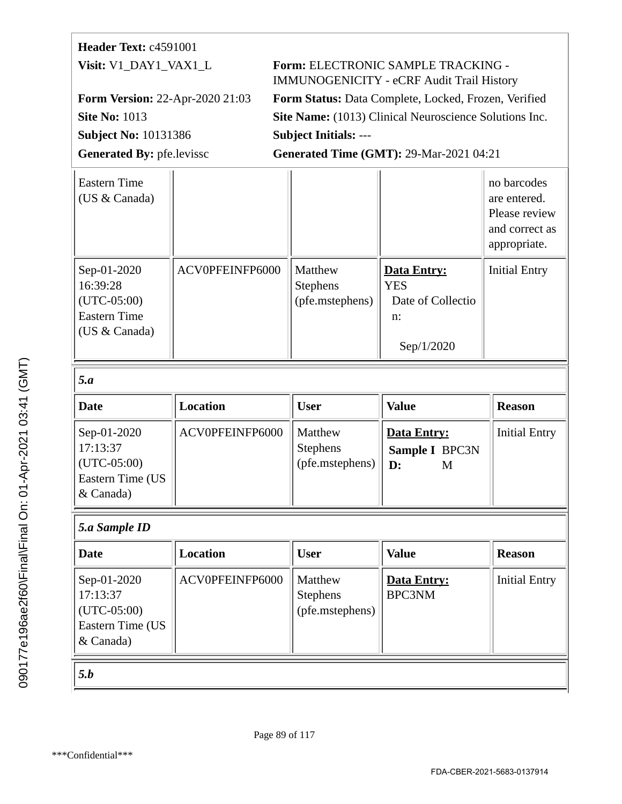# **Header Text:** c4591001

**Subject No:** 10131386 **Subject Initials:** ---

**Visit:** V1\_DAY1\_VAX1\_L **Form:** ELECTRONIC SAMPLE TRACKING - IMMUNOGENICITY - eCRF Audit Trail History **Form Version:** 22-Apr-2020 21:03 **Form Status:** Data Complete, Locked, Frozen, Verified **Site No: 1013 Site Name:** (1013) Clinical Neuroscience Solutions Inc.

Generated By: pfe.levissc **Generated Time (GMT): 29-Mar-2021 04:21** 

| <b>Eastern Time</b><br>(US & Canada)                                             |                 |                                               |                                                                           | no barcodes<br>are entered.<br>Please review<br>and correct as<br>appropriate. |
|----------------------------------------------------------------------------------|-----------------|-----------------------------------------------|---------------------------------------------------------------------------|--------------------------------------------------------------------------------|
| Sep-01-2020<br>16:39:28<br>$(UTC-05:00)$<br><b>Eastern Time</b><br>(US & Canada) | ACV0PFEINFP6000 | Matthew<br>Stephens<br>(pfe.mstephens)        | <b>Data Entry:</b><br><b>YES</b><br>Date of Collectio<br>n:<br>Sep/1/2020 | <b>Initial Entry</b>                                                           |
| 5.a                                                                              |                 |                                               |                                                                           |                                                                                |
| <b>Date</b>                                                                      | <b>Location</b> | <b>User</b>                                   | <b>Value</b>                                                              | <b>Reason</b>                                                                  |
| Sep-01-2020<br>17:13:37<br>$(UTC-05:00)$<br>Eastern Time (US<br>& Canada)        | ACV0PFEINFP6000 | Matthew<br><b>Stephens</b><br>(pfe.mstephens) | <b>Data Entry:</b><br>Sample I BPC3N<br>$\mathbf{D}$ :<br>M               | <b>Initial Entry</b>                                                           |
| 5.a Sample ID                                                                    |                 |                                               |                                                                           |                                                                                |
| <b>Date</b>                                                                      | <b>Location</b> | <b>User</b>                                   | <b>Value</b>                                                              | <b>Reason</b>                                                                  |
| Sep-01-2020<br>17:13:37                                                          | ACV0PFEINFP6000 | Matthew                                       | <b>Data Entry:</b>                                                        | <b>Initial Entry</b>                                                           |
| $(UTC-05:00)$<br>Eastern Time (US<br>& Canada)                                   |                 | <b>Stephens</b><br>(pfe.mstephens)            | <b>BPC3NM</b>                                                             |                                                                                |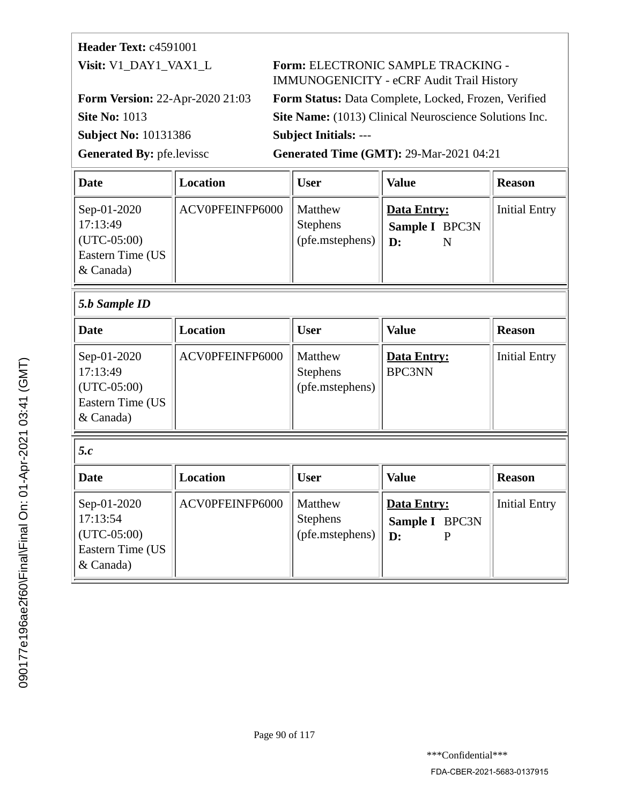# **Header Text:** c4591001

**Subject No:** 10131386 **Subject Initials:** ---

# **Visit:** V1\_DAY1\_VAX1\_L **Form:** ELECTRONIC SAMPLE TRACKING - IMMUNOGENICITY - eCRF Audit Trail History

**Form Version:** 22-Apr-2020 21:03 **Form Status:** Data Complete, Locked, Frozen, Verified **Site No: 1013 Site Name:** (1013) Clinical Neuroscience Solutions Inc.

Generated By: pfe.levissc **Generated Time (GMT): 29-Mar-2021 04:21** 

| <b>Date</b>                                                                    | Location        | <b>User</b>                                   | <b>Value</b>                                         | <b>Reason</b>        |
|--------------------------------------------------------------------------------|-----------------|-----------------------------------------------|------------------------------------------------------|----------------------|
| Sep-01-2020<br>17:13:49<br>$ $ (UTC-05:00)<br>Eastern Time (US<br>$\&$ Canada) | ACV0PFEINFP6000 | Matthew<br><b>Stephens</b><br>(pfe.mstephens) | Data Entry:<br>Sample I BPC3N<br>$\mathbf{D}$ :<br>N | <b>Initial Entry</b> |
| $\vert$ 5.b Sample ID                                                          |                 |                                               |                                                      |                      |
| <b>Date</b>                                                                    | <b>Location</b> | <b>User</b>                                   | <b>Value</b>                                         | <b>Reason</b>        |

| ~~~~                                                                      |                 | ັບບັນ                                         |                                      | -------              |  |  |
|---------------------------------------------------------------------------|-----------------|-----------------------------------------------|--------------------------------------|----------------------|--|--|
| Sep-01-2020<br>17:13:49<br>$(UTC-05:00)$<br>Eastern Time (US<br>& Canada) | ACV0PFEINFP6000 | Matthew<br><b>Stephens</b><br>(pfe.mstephens) | <b>Data Entry:</b><br><b>BPC3NN</b>  | <b>Initial Entry</b> |  |  |
| 5.c                                                                       |                 |                                               |                                      |                      |  |  |
| <b>Date</b>                                                               | Location        | <b>User</b>                                   | <b>Value</b>                         | <b>Reason</b>        |  |  |
| Sep-01-2020<br>17:13:54                                                   | ACV0PFEINFP6000 | Matthew<br><b>Stephens</b>                    | <b>Data Entry:</b><br>Sample I BPC3N | <b>Initial Entry</b> |  |  |

(pfe.mstephens)

**D:**

P

(UTC-05:00) Eastern Time (US

& Canada)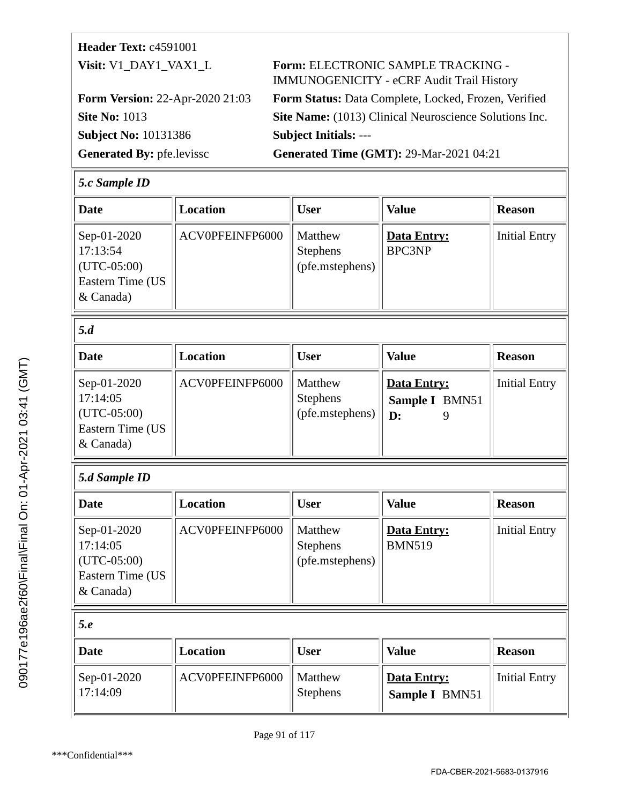| <b>Header Text: c4591001</b>           |                                                                                        |
|----------------------------------------|----------------------------------------------------------------------------------------|
| Visit: V1_DAY1_VAX1_L                  | Form: ELECTRONIC SAMPLE TRACKING -<br><b>IMMUNOGENICITY - eCRF Audit Trail History</b> |
| <b>Form Version: 22-Apr-2020 21:03</b> | Form Status: Data Complete, Locked, Frozen, Verified                                   |
| <b>Site No: 1013</b>                   | Site Name: (1013) Clinical Neuroscience Solutions Inc.                                 |
| <b>Subject No: 10131386</b>            | <b>Subject Initials: ---</b>                                                           |
| Generated By: pfe.levissc              | <b>Generated Time (GMT): 29-Mar-2021 04:21</b>                                         |

#### *5.c Sample ID*

| <b>Date</b>                                                               | <b>Location</b> | <b>User</b>                                   | <b>Value</b>                                    | <b>Reason</b>        |
|---------------------------------------------------------------------------|-----------------|-----------------------------------------------|-------------------------------------------------|----------------------|
| Sep-01-2020<br>17:13:54<br>$(UTC-05:00)$<br>Eastern Time (US<br>& Canada) | ACV0PFEINFP6000 | Matthew<br><b>Stephens</b><br>(pfe.mstephens) | <b>Data Entry:</b><br><b>BPC3NP</b>             | <b>Initial Entry</b> |
| 5.d                                                                       |                 |                                               |                                                 |                      |
| <b>Date</b>                                                               | <b>Location</b> | <b>User</b>                                   | <b>Value</b>                                    | <b>Reason</b>        |
| Sep-01-2020<br>17:14:05<br>$(UTC-05:00)$<br>Eastern Time (US<br>& Canada) | ACV0PFEINFP6000 | Matthew<br><b>Stephens</b><br>(pfe.mstephens) | <b>Data Entry:</b><br>Sample I BMN51<br>D:<br>9 | <b>Initial Entry</b> |
| 5.d Sample ID                                                             |                 |                                               |                                                 |                      |
| <b>Date</b>                                                               | Location        | <b>User</b>                                   | <b>Value</b>                                    | <b>Reason</b>        |
| Sep-01-2020<br>17:14:05<br>$(UTC-05:00)$<br>Eastern Time (US<br>& Canada) | ACV0PFEINFP6000 | Matthew<br><b>Stephens</b><br>(pfe.mstephens) | Data Entry:<br><b>BMN519</b>                    | <b>Initial Entry</b> |

| 5.e                     |                 |                            |                               |               |
|-------------------------|-----------------|----------------------------|-------------------------------|---------------|
| Date                    | Location        | <b>User</b>                | <b>Value</b>                  | <b>Reason</b> |
| Sep-01-2020<br>17:14:09 | ACV0PFEINFP6000 | Matthew<br><b>Stephens</b> | Data Entry:<br>Sample I BMN51 | Initial Entry |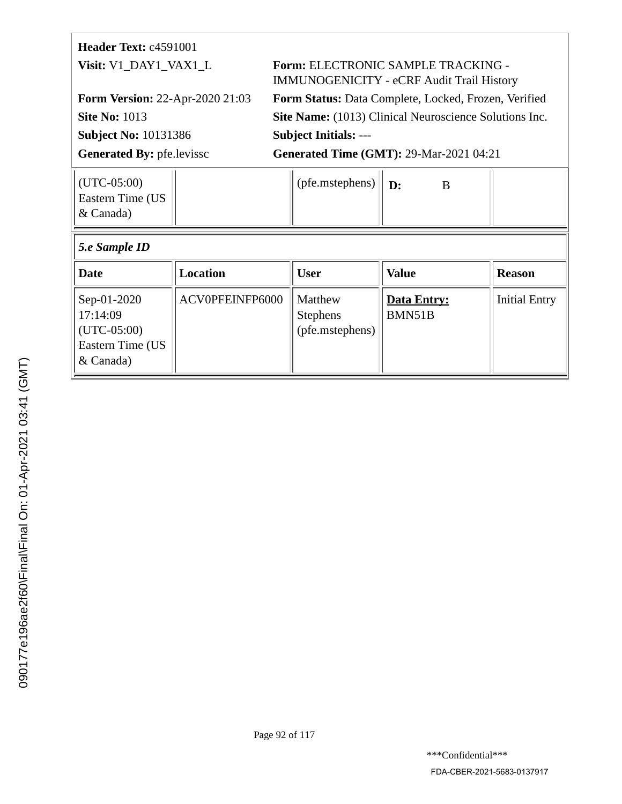| <b>Header Text:</b> $c4591001$                 |                                                                                               |  |  |  |
|------------------------------------------------|-----------------------------------------------------------------------------------------------|--|--|--|
| Visit: V1 DAY1 VAX1 L                          | <b>Form: ELECTRONIC SAMPLE TRACKING -</b><br><b>IMMUNOGENICITY - eCRF Audit Trail History</b> |  |  |  |
| <b>Form Version: 22-Apr-2020 21:03</b>         | <b>Form Status: Data Complete, Locked, Frozen, Verified</b>                                   |  |  |  |
| <b>Site No: 1013</b>                           | Site Name: (1013) Clinical Neuroscience Solutions Inc.                                        |  |  |  |
| <b>Subject No: 10131386</b>                    | <b>Subject Initials: ---</b>                                                                  |  |  |  |
| <b>Generated By: pfe.levissc</b>               | <b>Generated Time (GMT): 29-Mar-2021 04:21</b>                                                |  |  |  |
| $(UTC-05:00)$<br>Eastern Time (US<br>& Canada) | (pfe.mstephens)<br>$\mathbf{D}$<br>B                                                          |  |  |  |
| 5.e Sample ID                                  |                                                                                               |  |  |  |

 $\begin{array}{|c|c|c|c|c|}\n\hline\n\textbf{Date} & \textbf{I} & \textbf{Location} \\
\hline\n\textbf{E} & \textbf{D} & \textbf{I} & \textbf{I} \\
\hline\n\textbf{D} & \textbf{D} & \textbf{I} & \textbf{I} \\
\hline\n\textbf{D} & \textbf{D} & \textbf{I} & \textbf{I} \\
\hline\n\textbf{D} & \textbf{D} & \textbf{I} & \textbf{I} \\
\hline\n\textbf{D} & \textbf{D} & \textbf{I} & \textbf{I} \\
\hline\n\textbf{D} & \textbf{D} &$ 

Stephens

(pfe.mstephens)

**Data Entry:** BMN51B

Initial Entry

ACV0PFEINFP6000 | Matthew

Sep-01-2020 17:14:09 (UTC-05:00) Eastern Time (US

& Canada)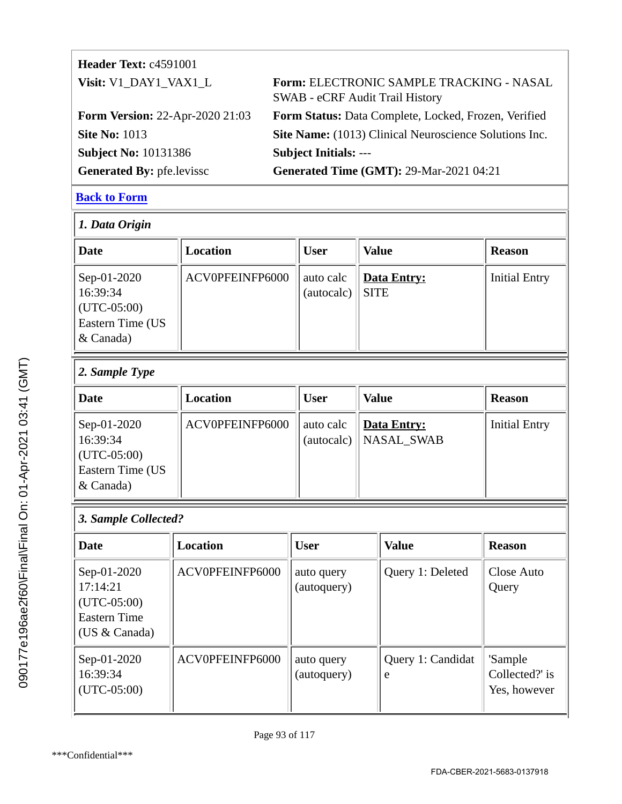| <b>Header Text: c4591001</b>           |                                                                                    |
|----------------------------------------|------------------------------------------------------------------------------------|
| Visit: V1 DAY1 VAX1 L                  | Form: ELECTRONIC SAMPLE TRACKING - NASAL<br><b>SWAB - eCRF Audit Trail History</b> |
| <b>Form Version: 22-Apr-2020 21:03</b> | Form Status: Data Complete, Locked, Frozen, Verified                               |
| <b>Site No: 1013</b>                   | Site Name: (1013) Clinical Neuroscience Solutions Inc.                             |
| <b>Subject No: 10131386</b>            | <b>Subject Initials: ---</b>                                                       |
| <b>Generated By: pfe.levissc</b>       | <b>Generated Time (GMT): 29-Mar-2021 04:21</b>                                     |

| 1. Data Origin                                                                        |                 |                         |                                   |                      |  |  |
|---------------------------------------------------------------------------------------|-----------------|-------------------------|-----------------------------------|----------------------|--|--|
| Date                                                                                  | Location        | <b>User</b>             | <b>Value</b>                      | <b>Reason</b>        |  |  |
| Sep-01-2020<br>16:39:34<br>$ $ (UTC-05:00)<br><b>Eastern Time (US</b><br>$\&$ Canada) | ACV0PFEINFP6000 | auto calc<br>(autocalc) | <b>Data Entry:</b><br><b>SITE</b> | <b>Initial Entry</b> |  |  |

# *2. Sample Type*

| Date                                                                      | Location        | <b>User</b> | <b>Value</b>                             | <b>Reason</b>        |
|---------------------------------------------------------------------------|-----------------|-------------|------------------------------------------|----------------------|
| Sep-01-2020<br>16:39:34<br>$(UTC-05:00)$<br>Eastern Time (US<br>& Canada) | ACV0PFEINFP6000 | auto calc   | Data Entry:<br>$(autocalc)$   NASAL_SWAB | <b>Initial Entry</b> |

#### *3. Sample Collected?*

| Date                                                                                | Location        | <b>User</b>               | <b>Value</b>           | <b>Reason</b>                             |
|-------------------------------------------------------------------------------------|-----------------|---------------------------|------------------------|-------------------------------------------|
| Sep-01-2020<br>17:14:21<br>$(UTC-05:00)$<br><b>Eastern Time</b><br>(US $& Canada$ ) | ACV0PFEINFP6000 | auto query<br>(autoquery) | Query 1: Deleted       | Close Auto<br>Query                       |
| Sep-01-2020<br>16:39:34<br>$(UTC-05:00)$                                            | ACV0PFEINFP6000 | auto query<br>(autoquery) | Query 1: Candidat<br>e | 'Sample<br>Collected?' is<br>Yes, however |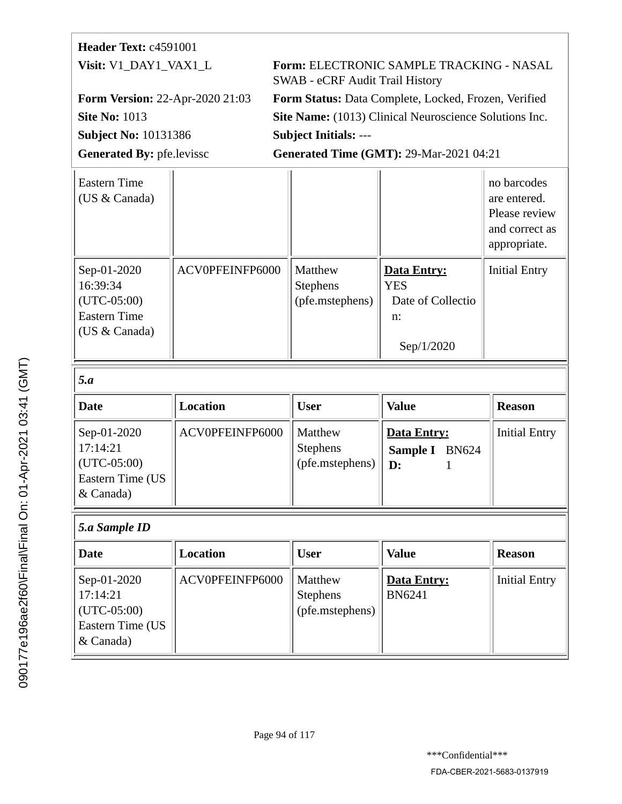# **Header Text:** c4591001 **Visit:** V1\_DAY1\_VAX1\_L **Form:** ELECTRONIC SAMPLE TRACKING - NASAL SWAB - eCRF Audit Trail History **Form Version:** 22-Apr-2020 21:03 **Form Status:** Data Complete, Locked, Frozen, Verified **Site No: 1013 Site Name:** (1013) Clinical Neuroscience Solutions Inc. **Subject No:** 10131386 **Subject Initials:** --- Generated By: pfe.levissc **Generated Time (GMT): 29-Mar-2021 04:21**

| Eastern Time<br>(US & Canada)                                                    |                 |                                               |                                                                       | no barcodes<br>are entered.<br>Please review<br>and correct as<br>appropriate. |
|----------------------------------------------------------------------------------|-----------------|-----------------------------------------------|-----------------------------------------------------------------------|--------------------------------------------------------------------------------|
| Sep-01-2020<br>16:39:34<br>$(UTC-05:00)$<br><b>Eastern Time</b><br>(US & Canada) | ACV0PFEINFP6000 | Matthew<br><b>Stephens</b><br>(pfe.mstephens) | Data Entry:<br><b>YES</b><br>Date of Collectio<br>$n$ :<br>Sep/1/2020 | <b>Initial Entry</b>                                                           |
| 5.a                                                                              |                 |                                               |                                                                       |                                                                                |

| <b>Date</b>                                                                 | Location        | <b>User</b>                                   | <b>Value</b>                                  | <b>Reason</b>        |
|-----------------------------------------------------------------------------|-----------------|-----------------------------------------------|-----------------------------------------------|----------------------|
| Sep-01-2020<br>17:14:21<br>$ $ (UTC-05:00)<br>Eastern Time (US<br>& Canada) | ACV0PFEINFP6000 | Matthew<br><b>Stephens</b><br>(pfe.mstephens) | Data Entry:<br>Sample I<br><b>BN624</b><br>D: | <b>Initial Entry</b> |

#### *5.a Sample ID*

| <b>Date</b>                                                                           | Location        | <b>User</b>                                   | <b>Value</b>                 | <b>Reason</b>        |
|---------------------------------------------------------------------------------------|-----------------|-----------------------------------------------|------------------------------|----------------------|
| Sep-01-2020<br>17:14:21<br>$ $ (UTC-05:00)<br><b>Eastern Time (US</b><br>$\&$ Canada) | ACV0PFEINFP6000 | Matthew<br><b>Stephens</b><br>(pfe.mstephens) | Data Entry:<br><b>BN6241</b> | <b>Initial Entry</b> |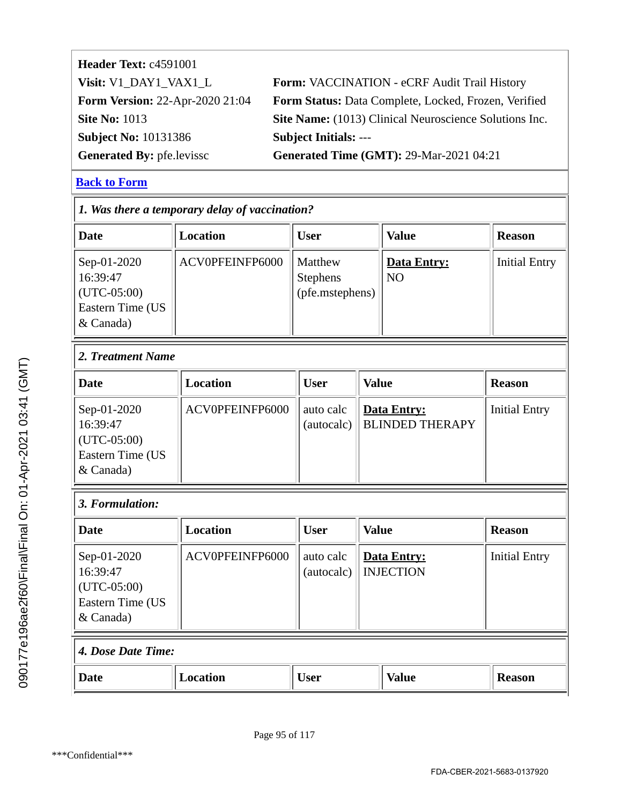| Form: VACCINATION - eCRF Audit Trail History                |
|-------------------------------------------------------------|
| <b>Form Status:</b> Data Complete, Locked, Frozen, Verified |
| Site Name: (1013) Clinical Neuroscience Solutions Inc.      |
| <b>Subject Initials: ---</b>                                |
| <b>Generated Time (GMT): 29-Mar-2021 04:21</b>              |
|                                                             |

| 1. Was there a temporary delay of vaccination?                            |                 |                                        |              |                                              |                      |
|---------------------------------------------------------------------------|-----------------|----------------------------------------|--------------|----------------------------------------------|----------------------|
| <b>Date</b>                                                               | <b>Location</b> | <b>User</b>                            |              | <b>Value</b>                                 | <b>Reason</b>        |
| Sep-01-2020<br>16:39:47<br>$(UTC-05:00)$<br>Eastern Time (US<br>& Canada) | ACV0PFEINFP6000 | Matthew<br>Stephens<br>(pfe.mstephens) |              | <b>Data Entry:</b><br>N <sub>O</sub>         | <b>Initial Entry</b> |
| 2. Treatment Name                                                         |                 |                                        |              |                                              |                      |
| <b>Date</b>                                                               | <b>Location</b> | <b>User</b>                            | <b>Value</b> |                                              | <b>Reason</b>        |
| Sep-01-2020<br>16:39:47<br>$(UTC-05:00)$<br>Eastern Time (US<br>& Canada) | ACV0PFEINFP6000 | auto calc<br>(autocalc)                |              | <b>Data Entry:</b><br><b>BLINDED THERAPY</b> | <b>Initial Entry</b> |
| 3. Formulation:                                                           |                 |                                        |              |                                              |                      |
| <b>Date</b>                                                               | <b>Location</b> | <b>User</b>                            | <b>Value</b> |                                              | <b>Reason</b>        |
| Sep-01-2020<br>16:39:47<br>$(UTC-05:00)$<br>Eastern Time (US<br>& Canada) | ACV0PFEINFP6000 | auto calc<br>(autocalc)                |              | <b>Data Entry:</b><br><b>INJECTION</b>       | <b>Initial Entry</b> |
| 4. Dose Date Time:                                                        |                 |                                        |              |                                              |                      |
| <b>Date</b>                                                               | <b>Location</b> | <b>User</b>                            |              | <b>Value</b>                                 | <b>Reason</b>        |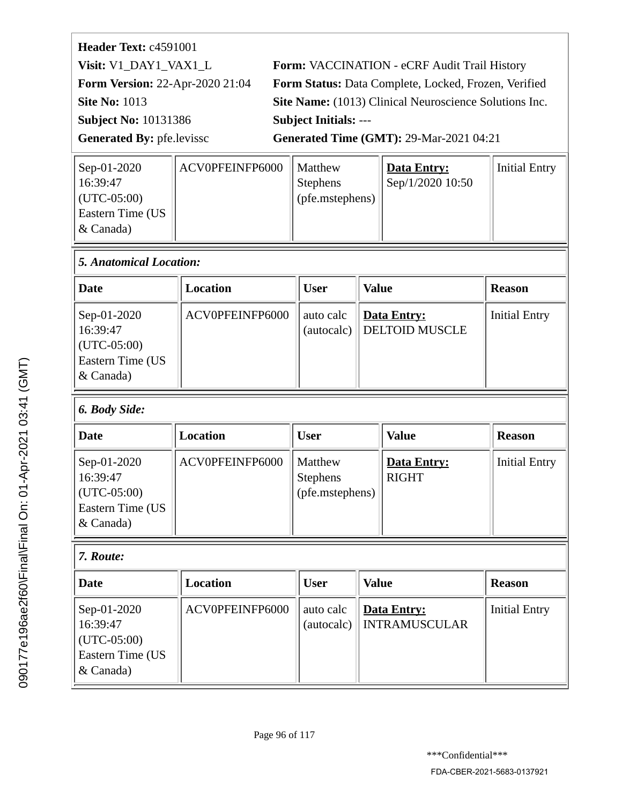| Header Text: c4591001                  |                                                        |
|----------------------------------------|--------------------------------------------------------|
| Visit: V1_DAY1_VAX1_L                  | Form: VACCINATION - eCRF Audit Trail History           |
| <b>Form Version: 22-Apr-2020 21:04</b> | Form Status: Data Complete, Locked, Frozen, Verified   |
| <b>Site No: 1013</b>                   | Site Name: (1013) Clinical Neuroscience Solutions Inc. |
| <b>Subject No: 10131386</b>            | <b>Subject Initials: ---</b>                           |
| <b>Generated By: pfe.levissc</b>       | <b>Generated Time (GMT): 29-Mar-2021 04:21</b>         |
|                                        |                                                        |

| ACV0PFEINFP6000 |                                                     | Initial Entry |
|-----------------|-----------------------------------------------------|---------------|
|                 | Sep/1/2020 10:50                                    |               |
|                 |                                                     |               |
|                 |                                                     |               |
|                 |                                                     |               |
|                 | I Matthew<br><b>Stephens</b><br>$ $ (pfe.mstephens) | Data Entry:   |

| $\vert$ 5. Anatomical Location:                                             |                 |           |                                          |                      |
|-----------------------------------------------------------------------------|-----------------|-----------|------------------------------------------|----------------------|
| Date                                                                        | Location        | User      | <b>Value</b>                             | <b>Reason</b>        |
| Sep-01-2020<br>16:39:47<br>$ $ (UTC-05:00)<br>Eastern Time (US<br>& Canada) | ACV0PFEINFP6000 | auto calc | Data Entry:<br>(autocalc) DELTOID MUSCLE | <b>Initial Entry</b> |

# *6. Body Side:*

| Date                                                                            | <b>Location</b> | <b>User</b>                                       | <b>Value</b>                | <b>Reason</b>        |
|---------------------------------------------------------------------------------|-----------------|---------------------------------------------------|-----------------------------|----------------------|
| Sep-01-2020<br>16:39:47<br>$\vert$ (UTC-05:00)<br>Eastern Time (US<br>& Canada) | ACV0PFEINFP6000 | Matthew<br><b>Stephens</b><br>$ $ (pfe.mstephens) | Data Entry:<br><b>RIGHT</b> | <b>Initial Entry</b> |

# *7. Route:*

| Date                                                                        | Location        | <b>User</b> | <b>Value</b>                              | <b>Reason</b>        |
|-----------------------------------------------------------------------------|-----------------|-------------|-------------------------------------------|----------------------|
| Sep-01-2020<br>16:39:47<br>$ $ (UTC-05:00)<br>Eastern Time (US<br>& Canada) | ACV0PFEINFP6000 | auto calc   | Data Entry:<br>(autocalc)   INTRAMUSCULAR | <b>Initial Entry</b> |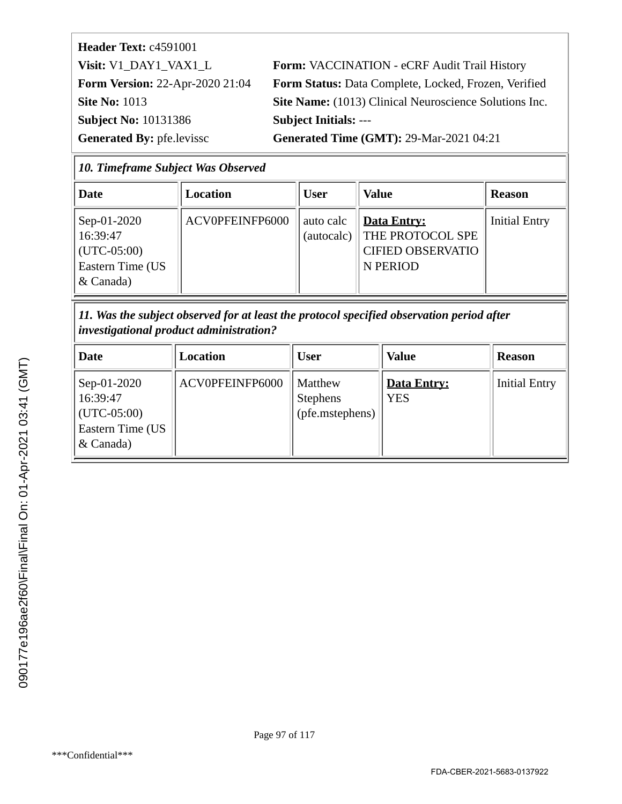| Header Text: c4591001                  |
|----------------------------------------|
| Visit: V1_DAY1_VAX1 L                  |
| <b>Form Version: 22-Apr-2020 21:04</b> |
| <b>Site No: 1013</b>                   |
| <b>Subject No: 10131386</b>            |
| <b>Generated By: pfellevissc</b>       |

Form: VACCINATION - eCRF Audit Trail History Form Status: Data Complete, Locked, Frozen, Verified **Site Name:** (1013) Clinical Neuroscience Solutions Inc. **Subject Initials: ---**

**Generated Time (GMT): 29-Mar-2021 04:21** 

| <b>10. Timeframe Subject Was Observed</b> |  |  |
|-------------------------------------------|--|--|
|                                           |  |  |

| Date                                                                                  | Location        | <b>User</b> | <b>Value</b>                                                                              | <b>Reason</b>        |
|---------------------------------------------------------------------------------------|-----------------|-------------|-------------------------------------------------------------------------------------------|----------------------|
| Sep-01-2020<br>16:39:47<br>$ $ (UTC-05:00)<br><b>Eastern Time (US</b><br>$\&$ Canada) | ACV0PFEINFP6000 | auto calc   | <b>Data Entry:</b><br>(autocalc) THE PROTOCOL SPE<br><b>CIFIED OBSERVATIO</b><br>N PERIOD | <b>Initial Entry</b> |

*11. Was the subject observed for at least the protocol specified observation period after investigational product administration?*

| Date                                                                      | Location        | User                                          | <b>Value</b>              | <b>Reason</b>        |
|---------------------------------------------------------------------------|-----------------|-----------------------------------------------|---------------------------|----------------------|
| Sep-01-2020<br>16:39:47<br>$(UTC-05:00)$<br>Eastern Time (US<br>& Canada) | ACV0PFEINFP6000 | Matthew<br><b>Stephens</b><br>(pfe.mstephens) | Data Entry:<br><b>YES</b> | <b>Initial Entry</b> |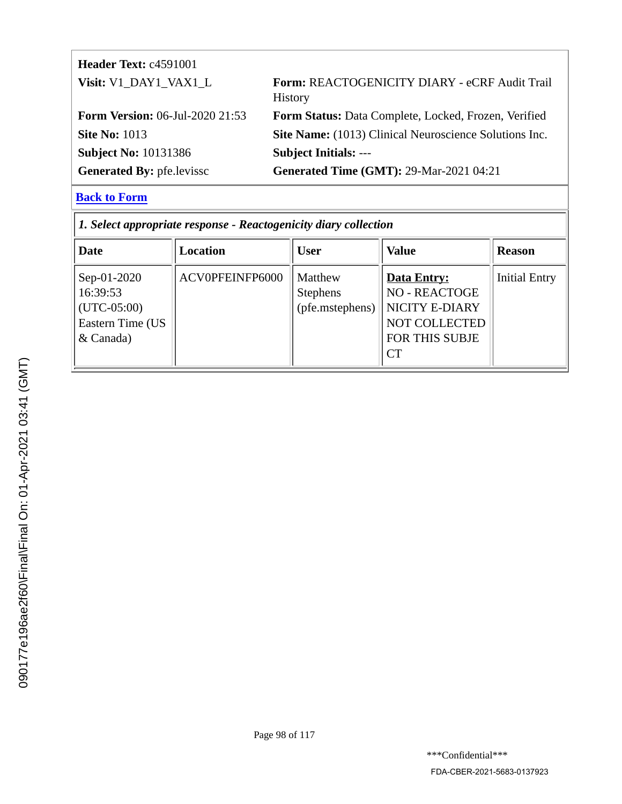| <b>Header Text: c4591001</b>           |                                                                 |
|----------------------------------------|-----------------------------------------------------------------|
| Visit: V1_DAY1_VAX1_L                  | Form: REACTOGENICITY DIARY - eCRF Audit Trail<br><b>History</b> |
| <b>Form Version:</b> 06-Jul-2020 21:53 | Form Status: Data Complete, Locked, Frozen, Verified            |
| <b>Site No: 1013</b>                   | Site Name: (1013) Clinical Neuroscience Solutions Inc.          |
| <b>Subject No: 10131386</b>            | <b>Subject Initials: ---</b>                                    |
| <b>Generated By: pfe.levissc</b>       | <b>Generated Time (GMT): 29-Mar-2021 04:21</b>                  |

| 1. Select appropriate response - Reactogenicity diary collection            |                 |                                                      |                                                                                                              |                      |  |
|-----------------------------------------------------------------------------|-----------------|------------------------------------------------------|--------------------------------------------------------------------------------------------------------------|----------------------|--|
| Date                                                                        | Location        | <b>User</b>                                          | <b>Value</b>                                                                                                 | <b>Reason</b>        |  |
| Sep-01-2020<br>16:39:53<br>$(UTC-05:00)$<br>Eastern Time (US<br>$&$ Canada) | ACV0PFEINFP6000 | <b>Matthew</b><br><b>Stephens</b><br>(pfe.mstephens) | <b>Data Entry:</b><br><b>NO - REACTOGE</b><br>NICITY E-DIARY<br>NOT COLLECTED<br>FOR THIS SUBJE<br><b>CT</b> | <b>Initial Entry</b> |  |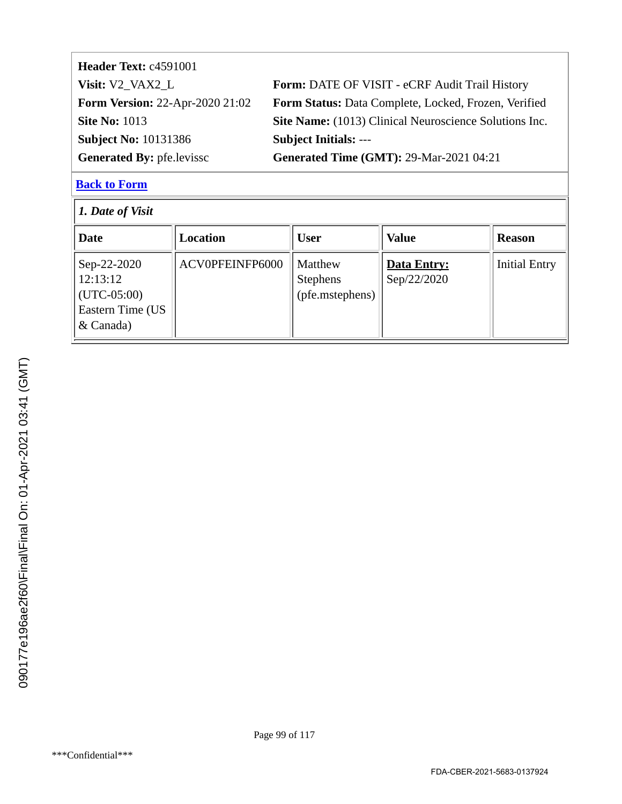| Header Text: c4591001                  |                                                        |
|----------------------------------------|--------------------------------------------------------|
| Visit: V2_VAX2_L                       | Form: DATE OF VISIT - eCRF Audit Trail History         |
| <b>Form Version: 22-Apr-2020 21:02</b> | Form Status: Data Complete, Locked, Frozen, Verified   |
| <b>Site No: 1013</b>                   | Site Name: (1013) Clinical Neuroscience Solutions Inc. |
| <b>Subject No: 10131386</b>            | <b>Subject Initials: ---</b>                           |
| <b>Generated By: pfe.levissc</b>       | <b>Generated Time (GMT): 29-Mar-2021 04:21</b>         |

| 1. Date of Visit                                                                |                 |                                               |                                   |                      |  |
|---------------------------------------------------------------------------------|-----------------|-----------------------------------------------|-----------------------------------|----------------------|--|
| <b>Date</b>                                                                     | <b>Location</b> | <b>User</b>                                   | <b>Value</b>                      | <b>Reason</b>        |  |
| Sep-22-2020<br>12:13:12<br>$\vert$ (UTC-05:00)<br>Eastern Time (US<br>& Canada) | ACV0PFEINFP6000 | Matthew<br><b>Stephens</b><br>(pfe.mstephens) | <b>Data Entry:</b><br>Sep/22/2020 | <b>Initial Entry</b> |  |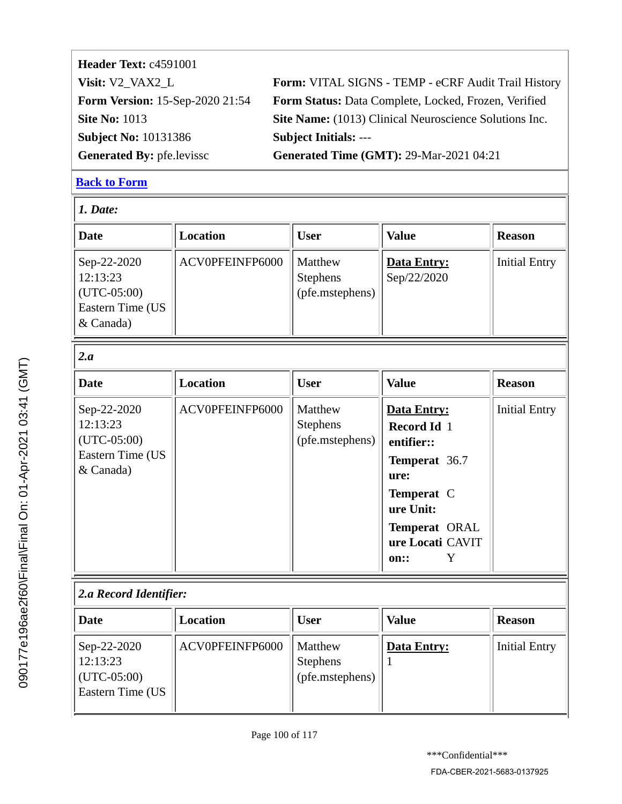| Header Text: c4591001            |                                                        |
|----------------------------------|--------------------------------------------------------|
| Visit: V2_VAX2_L                 | Form: VITAL SIGNS - TEMP - eCRF Audit Trail History    |
| Form Version: 15-Sep-2020 21:54  | Form Status: Data Complete, Locked, Frozen, Verified   |
| <b>Site No: 1013</b>             | Site Name: (1013) Clinical Neuroscience Solutions Inc. |
| <b>Subject No: 10131386</b>      | <b>Subject Initials: ---</b>                           |
| <b>Generated By: pfe.levissc</b> | <b>Generated Time (GMT): 29-Mar-2021 04:21</b>         |

| 1. Date:                                                                  |                 |                                               |                                                                                                                                                       |                      |  |
|---------------------------------------------------------------------------|-----------------|-----------------------------------------------|-------------------------------------------------------------------------------------------------------------------------------------------------------|----------------------|--|
| <b>Date</b>                                                               | <b>Location</b> | <b>User</b>                                   | <b>Value</b>                                                                                                                                          | <b>Reason</b>        |  |
| Sep-22-2020<br>12:13:23<br>$(UTC-05:00)$<br>Eastern Time (US<br>& Canada) | ACV0PFEINFP6000 | Matthew<br><b>Stephens</b><br>(pfe.mstephens) | <b>Data Entry:</b><br>Sep/22/2020                                                                                                                     | <b>Initial Entry</b> |  |
| 2.a                                                                       |                 |                                               |                                                                                                                                                       |                      |  |
| Date                                                                      | <b>Location</b> | <b>User</b>                                   | <b>Value</b>                                                                                                                                          | <b>Reason</b>        |  |
| Sep-22-2020<br>12:13:23<br>$(UTC-05:00)$<br>Eastern Time (US<br>& Canada) | ACV0PFEINFP6000 | Matthew<br><b>Stephens</b><br>(pfe.mstephens) | <b>Data Entry:</b><br>Record Id 1<br>entifier::<br>Temperat 36.7<br>ure:<br>Temperat C<br>ure Unit:<br>Temperat ORAL<br>ure Locati CAVIT<br>Y<br>on:: | <b>Initial Entry</b> |  |
| 2.a Record Identifier:                                                    |                 |                                               |                                                                                                                                                       |                      |  |
| <b>Date</b>                                                               | <b>Location</b> | <b>User</b>                                   | <b>Value</b>                                                                                                                                          | <b>Reason</b>        |  |
| Sep-22-2020<br>12:13:23<br>$(UTC-05:00)$<br>Eastern Time (US              | ACV0PFEINFP6000 | Matthew<br><b>Stephens</b><br>(pfe.mstephens) | <b>Data Entry:</b>                                                                                                                                    | <b>Initial Entry</b> |  |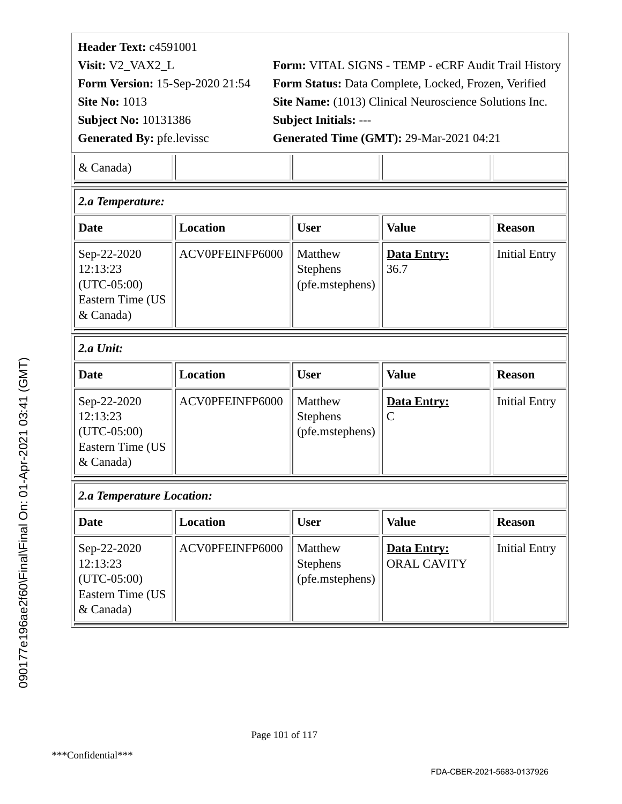| Header Text: c4591001                  |                                                        |
|----------------------------------------|--------------------------------------------------------|
| Visit: V2_VAX2_L                       | Form: VITAL SIGNS - TEMP - eCRF Audit Trail History    |
| <b>Form Version: 15-Sep-2020 21:54</b> | Form Status: Data Complete, Locked, Frozen, Verified   |
| <b>Site No: 1013</b>                   | Site Name: (1013) Clinical Neuroscience Solutions Inc. |
| <b>Subject No: 10131386</b>            | <b>Subject Initials: ---</b>                           |
| <b>Generated By: pfe.levissc</b>       | <b>Generated Time (GMT): 29-Mar-2021 04:21</b>         |
|                                        |                                                        |

| 2.a Temperature:                                                          |                 |                                                      |                            |                      |  |
|---------------------------------------------------------------------------|-----------------|------------------------------------------------------|----------------------------|----------------------|--|
| Date                                                                      | <b>Location</b> | <b>User</b>                                          | <b>Value</b>               | <b>Reason</b>        |  |
| Sep-22-2020<br>12:13:23<br>$(UTC-05:00)$<br>Eastern Time (US<br>& Canada) | ACV0PFEINFP6000 | <b>Matthew</b><br><b>Stephens</b><br>(pfe.mstephens) | <b>Data Entry:</b><br>36.7 | <b>Initial Entry</b> |  |
| $2.a$ Unit:                                                               |                 |                                                      |                            |                      |  |

| <b>Date</b>                                                                    | <b>Location</b> | <b>User</b>                            | <b>Value</b>                        | <b>Reason</b>        |
|--------------------------------------------------------------------------------|-----------------|----------------------------------------|-------------------------------------|----------------------|
| Sep-22-2020<br>12:13:23<br>$ $ (UTC-05:00)<br>Eastern Time (US<br>$\&$ Canada) | ACV0PFEINFP6000 | Matthew<br>Stephens<br>(pfe.mstephens) | <b>Data Entry:</b><br>$\mathcal{C}$ | <b>Initial Entry</b> |

| 2.a Temperature Location:                                                       |                 |                                               |                                          |                      |  |
|---------------------------------------------------------------------------------|-----------------|-----------------------------------------------|------------------------------------------|----------------------|--|
| Date                                                                            | Location        | <b>User</b>                                   | <b>Value</b>                             | <b>Reason</b>        |  |
| Sep-22-2020<br>12:13:23<br>$\vert$ (UTC-05:00)<br>Eastern Time (US<br>& Canada) | ACV0PFEINFP6000 | Matthew<br><b>Stephens</b><br>(pfe.mstephens) | <b>Data Entry:</b><br><b>ORAL CAVITY</b> | <b>Initial Entry</b> |  |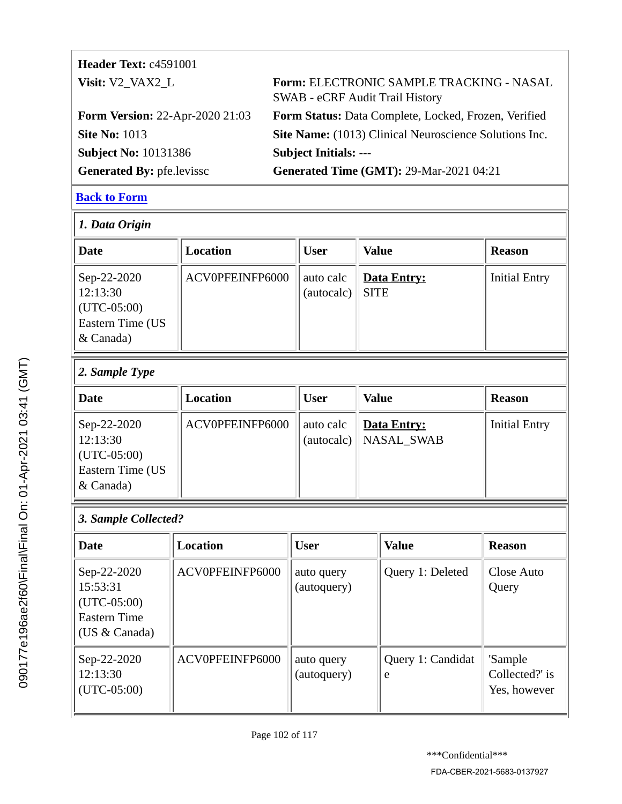| <b>Header Text: c4591001</b>             |                                                                                           |
|------------------------------------------|-------------------------------------------------------------------------------------------|
| Visit: V <sub>2</sub> VAX <sub>2</sub> L | <b>Form: ELECTRONIC SAMPLE TRACKING - NASAL</b><br><b>SWAB - eCRF Audit Trail History</b> |
| <b>Form Version: 22-Apr-2020 21:03</b>   | Form Status: Data Complete, Locked, Frozen, Verified                                      |
| <b>Site No: 1013</b>                     | Site Name: (1013) Clinical Neuroscience Solutions Inc.                                    |
| <b>Subject No: 10131386</b>              | <b>Subject Initials: ---</b>                                                              |
| <b>Generated By: pfe.levissc</b>         | <b>Generated Time (GMT): 29-Mar-2021 04:21</b>                                            |

| 1. Data Origin                                                                        |                 |                         |                            |                      |  |  |
|---------------------------------------------------------------------------------------|-----------------|-------------------------|----------------------------|----------------------|--|--|
| Date                                                                                  | Location        | <b>User</b>             | <b>Value</b>               | <b>Reason</b>        |  |  |
| Sep-22-2020<br>12:13:30<br>$ $ (UTC-05:00)<br><b>Eastern Time (US</b><br>$\&$ Canada) | ACV0PFEINFP6000 | auto calc<br>(autocalc) | Data Entry:<br><b>SITE</b> | <b>Initial Entry</b> |  |  |

# *2. Sample Type*

| <b>Date</b>                                                                 | Location        | User      | <b>Value</b>                                      | <b>Reason</b>        |
|-----------------------------------------------------------------------------|-----------------|-----------|---------------------------------------------------|----------------------|
| Sep-22-2020<br>12:13:30<br>$ $ (UTC-05:00)<br>Eastern Time (US<br>& Canada) | ACV0PFEINFP6000 | auto calc | <u>  Data Entry:</u><br>$(autocalc)$   NASAL_SWAB | <b>Initial Entry</b> |

# *3. Sample Collected?*

| Date                                                                                | Location        | <b>User</b>               | <b>Value</b>           | <b>Reason</b>                             |
|-------------------------------------------------------------------------------------|-----------------|---------------------------|------------------------|-------------------------------------------|
| Sep-22-2020<br>15:53:31<br>$(UTC-05:00)$<br><b>Eastern Time</b><br>(US $& Canada$ ) | ACV0PFEINFP6000 | auto query<br>(autoquery) | Query 1: Deleted       | Close Auto<br>Query                       |
| Sep-22-2020<br>12:13:30<br>$(UTC-05:00)$                                            | ACV0PFEINFP6000 | auto query<br>(autoquery) | Query 1: Candidat<br>e | 'Sample<br>Collected?' is<br>Yes, however |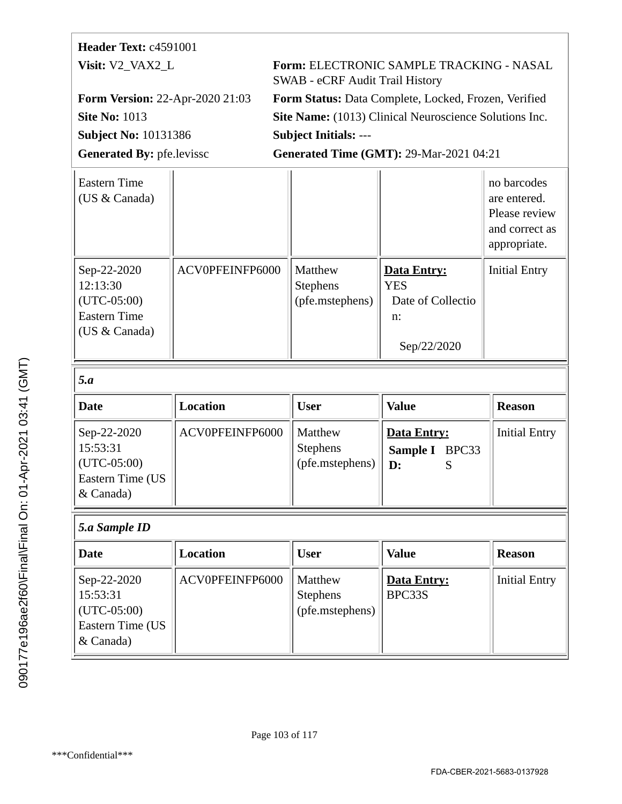# **Header Text:** c4591001

**Subject No:** 10131386 **Subject Initials:** ---

**Visit:** V2\_VAX2\_L **Form:** ELECTRONIC SAMPLE TRACKING - NASAL SWAB - eCRF Audit Trail History

**Form Version:** 22-Apr-2020 21:03 **Form Status:** Data Complete, Locked, Frozen, Verified **Site No: 1013 Site Name:** (1013) Clinical Neuroscience Solutions Inc.

Generated By: pfe.levissc **Generated Time (GMT): 29-Mar-2021 04:21** 

| <b>Eastern Time</b><br>(US & Canada)                                             |                 |                                               |                                                                     | no barcodes<br>are entered.<br>Please review<br>and correct as<br>appropriate. |
|----------------------------------------------------------------------------------|-----------------|-----------------------------------------------|---------------------------------------------------------------------|--------------------------------------------------------------------------------|
| Sep-22-2020<br>12:13:30<br>$(UTC-05:00)$<br><b>Eastern Time</b><br>(US & Canada) | ACV0PFEINFP6000 | Matthew<br>Stephens<br>(pfe.mstephens)        | Data Entry:<br><b>YES</b><br>Date of Collectio<br>n:<br>Sep/22/2020 | <b>Initial Entry</b>                                                           |
| 5.a                                                                              |                 |                                               |                                                                     |                                                                                |
| <b>Date</b>                                                                      | <b>Location</b> | <b>User</b>                                   | <b>Value</b>                                                        | <b>Reason</b>                                                                  |
| Sep-22-2020<br>15:53:31<br>$(UTC-05:00)$<br>Eastern Time (US<br>& Canada)        | ACV0PFEINFP6000 | Matthew<br><b>Stephens</b><br>(pfe.mstephens) | Data Entry:<br>Sample I<br>BPC33<br>D:<br>S                         | <b>Initial Entry</b>                                                           |
|                                                                                  |                 |                                               |                                                                     |                                                                                |

| Date                                                                            | Location        | <b>User</b>                                   | <b>Value</b>          | <b>Reason</b>        |
|---------------------------------------------------------------------------------|-----------------|-----------------------------------------------|-----------------------|----------------------|
| Sep-22-2020<br>15:53:31<br>$\vert$ (UTC-05:00)<br>Eastern Time (US<br>& Canada) | ACV0PFEINFP6000 | Matthew<br><b>Stephens</b><br>(pfe.mstephens) | Data Entry:<br>BPC33S | <b>Initial Entry</b> |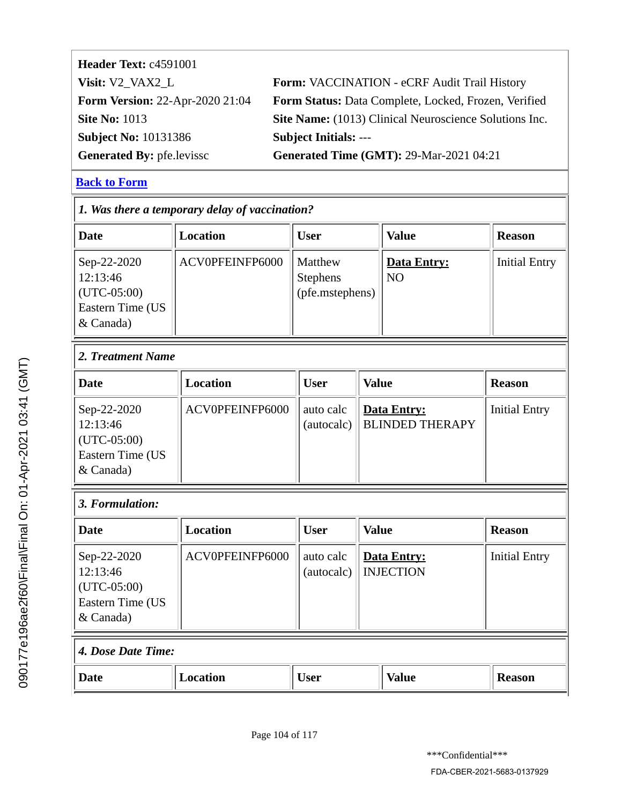| Form: VACCINATION - eCRF Audit Trail History           |
|--------------------------------------------------------|
| Form Status: Data Complete, Locked, Frozen, Verified   |
| Site Name: (1013) Clinical Neuroscience Solutions Inc. |
| <b>Subject Initials: ---</b>                           |
| <b>Generated Time (GMT): 29-Mar-2021 04:21</b>         |
|                                                        |

| 1. Was there a temporary delay of vaccination?                            |                 |                                        |              |                                       |                      |  |
|---------------------------------------------------------------------------|-----------------|----------------------------------------|--------------|---------------------------------------|----------------------|--|
| <b>Date</b>                                                               | <b>Location</b> | <b>User</b>                            |              | <b>Value</b>                          | <b>Reason</b>        |  |
| Sep-22-2020<br>12:13:46<br>$(UTC-05:00)$<br>Eastern Time (US<br>& Canada) | ACV0PFEINFP6000 | Matthew<br>Stephens<br>(pfe.mstephens) |              | <b>Data Entry:</b><br>N <sub>O</sub>  | <b>Initial Entry</b> |  |
| 2. Treatment Name                                                         |                 |                                        |              |                                       |                      |  |
| <b>Date</b>                                                               | <b>Location</b> | <b>User</b>                            | <b>Value</b> |                                       | <b>Reason</b>        |  |
| Sep-22-2020<br>12:13:46<br>$(UTC-05:00)$<br>Eastern Time (US<br>& Canada) | ACV0PFEINFP6000 | auto calc<br>(autocalc)                |              | Data Entry:<br><b>BLINDED THERAPY</b> | <b>Initial Entry</b> |  |
| 3. Formulation:                                                           |                 |                                        |              |                                       |                      |  |
| <b>Date</b>                                                               | <b>Location</b> | <b>User</b>                            | <b>Value</b> |                                       | <b>Reason</b>        |  |
| Sep-22-2020<br>12:13:46<br>$(UTC-05:00)$<br>Eastern Time (US<br>& Canada) | ACV0PFEINFP6000 | auto calc<br>(autocalc)                |              | Data Entry:<br><b>INJECTION</b>       | <b>Initial Entry</b> |  |
| 4. Dose Date Time:                                                        |                 |                                        |              |                                       |                      |  |
| <b>Date</b>                                                               | <b>Location</b> | <b>User</b>                            |              | <b>Value</b>                          | <b>Reason</b>        |  |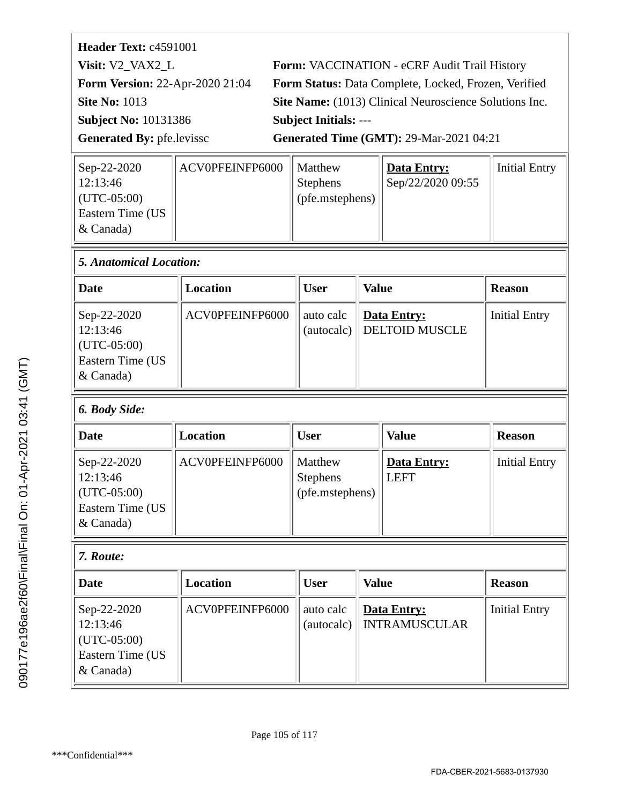| Form: VACCINATION - eCRF Audit Trail History           |
|--------------------------------------------------------|
| Form Status: Data Complete, Locked, Frozen, Verified   |
| Site Name: (1013) Clinical Neuroscience Solutions Inc. |
|                                                        |
| <b>Generated Time (GMT): 29-Mar-2021 04:21</b>         |
|                                                        |

| ACV0PFEINFP6000 | Data Entry:                                            | <b>Initial Entry</b> |
|-----------------|--------------------------------------------------------|----------------------|
|                 | Sep/22/2020 09:55                                      |                      |
|                 |                                                        |                      |
|                 |                                                        |                      |
|                 |                                                        |                      |
|                 | I Matthew<br><b>Stephens</b><br>$\int$ (pfe.mstephens) |                      |

| 5. Anatomical Location:                                                   |                 |             |                                            |                      |  |
|---------------------------------------------------------------------------|-----------------|-------------|--------------------------------------------|----------------------|--|
| Date                                                                      | Location        | <b>User</b> | <b>Value</b>                               | <b>Reason</b>        |  |
| Sep-22-2020<br>12:13:46<br>$(UTC-05:00)$<br>Eastern Time (US<br>& Canada) | ACV0PFEINFP6000 | auto calc   | Data Entry:<br>(autocalc)   DELTOID MUSCLE | <b>Initial Entry</b> |  |

# *6. Body Side:*

| <b>Date</b>                                                                 | Location        | <b>User</b>                                   | <b>Value</b>               | <b>Reason</b>        |
|-----------------------------------------------------------------------------|-----------------|-----------------------------------------------|----------------------------|----------------------|
| Sep-22-2020<br>12:13:46<br>$ $ (UTC-05:00)<br>Eastern Time (US<br>& Canada) | ACV0PFEINFP6000 | Matthew<br><b>Stephens</b><br>(pfe.mstephens) | Data Entry:<br><b>LEFT</b> | <b>Initial Entry</b> |

# *7. Route:*

| Date                                                                                  | Location        | <b>User</b> | <b>Value</b>                              | <b>Reason</b>        |
|---------------------------------------------------------------------------------------|-----------------|-------------|-------------------------------------------|----------------------|
| Sep-22-2020<br>12:13:46<br>$ $ (UTC-05:00)<br><b>Eastern Time (US</b><br>$\&$ Canada) | ACV0PFEINFP6000 | auto calc   | Data Entry:<br>(autocalc)   INTRAMUSCULAR | <b>Initial Entry</b> |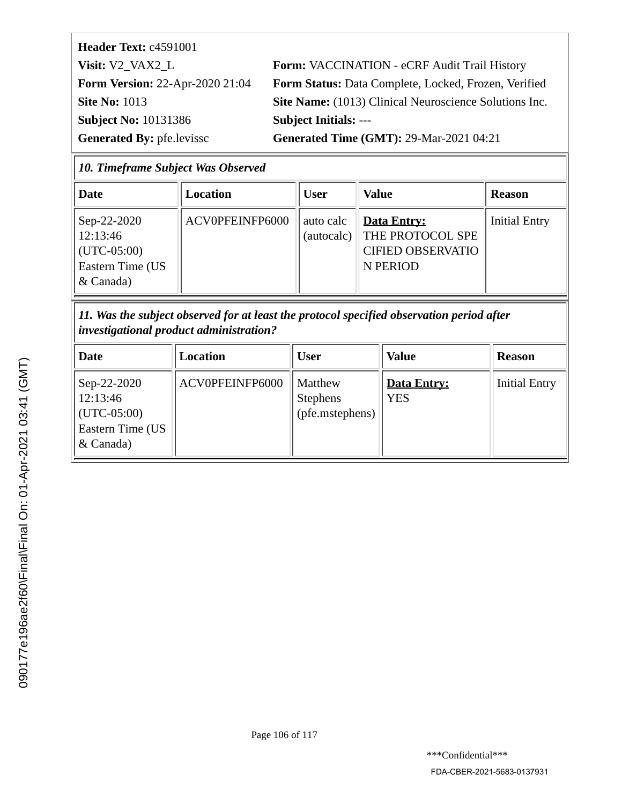**Header Text:** c4591001 **Subject No:** 10131386 **Subject Initials:** ---

**Visit:** V2\_VAX2\_L **Form:** VACCINATION - eCRF Audit Trail History **Form Version:** 22-Apr-2020 21:04 **Form Status:** Data Complete, Locked, Frozen, Verified **Site No: 1013 Site Name:** (1013) Clinical Neuroscience Solutions Inc.

Generated By: pfe.levissc **Generated Time (GMT): 29-Mar-2021 04:21** 

| 10. Timeframe Subject Was Observed |  |  |
|------------------------------------|--|--|
|                                    |  |  |

| Date                                                                                  | Location        | <b>User</b> | <b>Value</b>                                                                          | <b>Reason</b>        |
|---------------------------------------------------------------------------------------|-----------------|-------------|---------------------------------------------------------------------------------------|----------------------|
| Sep-22-2020<br>12:13:46<br>$ $ (UTC-05:00)<br><b>Eastern Time (US</b><br>$\&$ Canada) | ACV0PFEINFP6000 | auto calc   | Data Entry:<br>(autocalc)    THE PROTOCOL SPE<br><b>CIFIED OBSERVATIO</b><br>N PERIOD | <b>Initial Entry</b> |

*11. Was the subject observed for at least the protocol specified observation period after investigational product administration?*

| <b>Date</b>                                                                 | Location        | User                                          | <b>Value</b>                     | <b>Reason</b>        |
|-----------------------------------------------------------------------------|-----------------|-----------------------------------------------|----------------------------------|----------------------|
| Sep-22-2020<br>12:13:46<br>$ $ (UTC-05:00)<br>Eastern Time (US<br>& Canada) | ACV0PFEINFP6000 | Matthew<br><b>Stephens</b><br>(pfe.mstephens) | <b>Data Entry:</b><br><b>YES</b> | <b>Initial Entry</b> |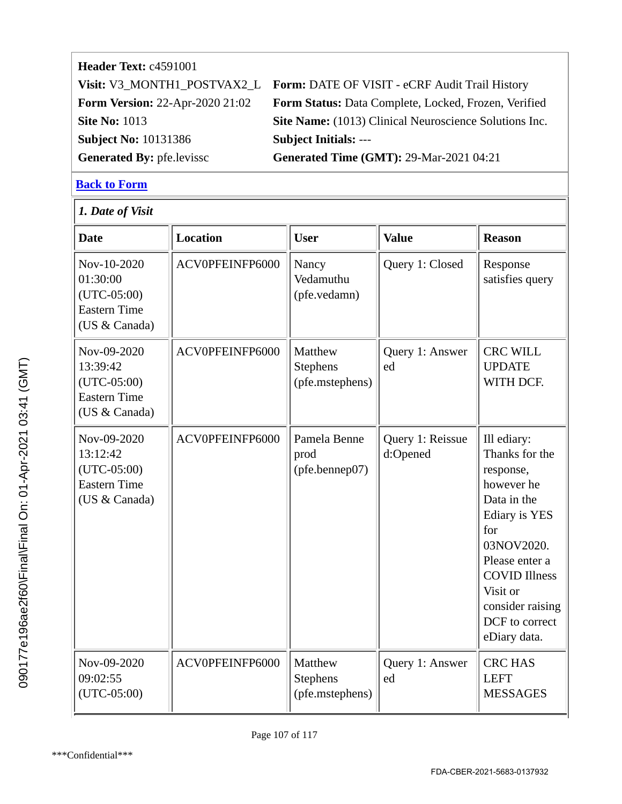# **Header Text:** c4591001 **Visit:** V3\_MONTH1\_POSTVAX2\_L **Form:** DATE OF VISIT - eCRF Audit Trail History **Form Version:** 22-Apr-2020 21:02 **Form Status:** Data Complete, Locked, Frozen, Verified **Site No: 1013 Site Name:** (1013) Clinical Neuroscience Solutions Inc. **Subject No:** 10131386 **Subject Initials:** --- **Generated By:** pfe.levissc **Generated Time (GMT):** 29-Mar-2021 04:21

#### **[Back to Form](#page-17-0)**

*1. Date of Visit*

| <b>Date</b>                                                                      | <b>Location</b> | <b>User</b>                                   | <b>Value</b>                 | <b>Reason</b>                                                                                                                                                                                                                    |  |
|----------------------------------------------------------------------------------|-----------------|-----------------------------------------------|------------------------------|----------------------------------------------------------------------------------------------------------------------------------------------------------------------------------------------------------------------------------|--|
| Nov-10-2020<br>01:30:00<br>$(UTC-05:00)$<br><b>Eastern Time</b><br>(US & Canada) | ACV0PFEINFP6000 | Nancy<br>Vedamuthu<br>(pfe.vedamn)            | Query 1: Closed              | Response<br>satisfies query                                                                                                                                                                                                      |  |
| Nov-09-2020<br>13:39:42<br>$(UTC-05:00)$<br><b>Eastern Time</b><br>(US & Canada) | ACV0PFEINFP6000 | Matthew<br>Stephens<br>(pfe.mstephens)        | Query 1: Answer<br>ed        | <b>CRC WILL</b><br><b>UPDATE</b><br>WITH DCF.                                                                                                                                                                                    |  |
| Nov-09-2020<br>13:12:42<br>$(UTC-05:00)$<br><b>Eastern Time</b><br>(US & Canada) | ACV0PFEINFP6000 | Pamela Benne<br>prod<br>(pfe.bennep07)        | Query 1: Reissue<br>d:Opened | Ill ediary:<br>Thanks for the<br>response,<br>however he<br>Data in the<br><b>Ediary is YES</b><br>for<br>03NOV2020.<br>Please enter a<br><b>COVID Illness</b><br>Visit or<br>consider raising<br>DCF to correct<br>eDiary data. |  |
| Nov-09-2020<br>09:02:55<br>$(UTC-05:00)$                                         | ACV0PFEINFP6000 | Matthew<br><b>Stephens</b><br>(pfe.mstephens) | Query 1: Answer<br>ed        | <b>CRC HAS</b><br><b>LEFT</b><br><b>MESSAGES</b>                                                                                                                                                                                 |  |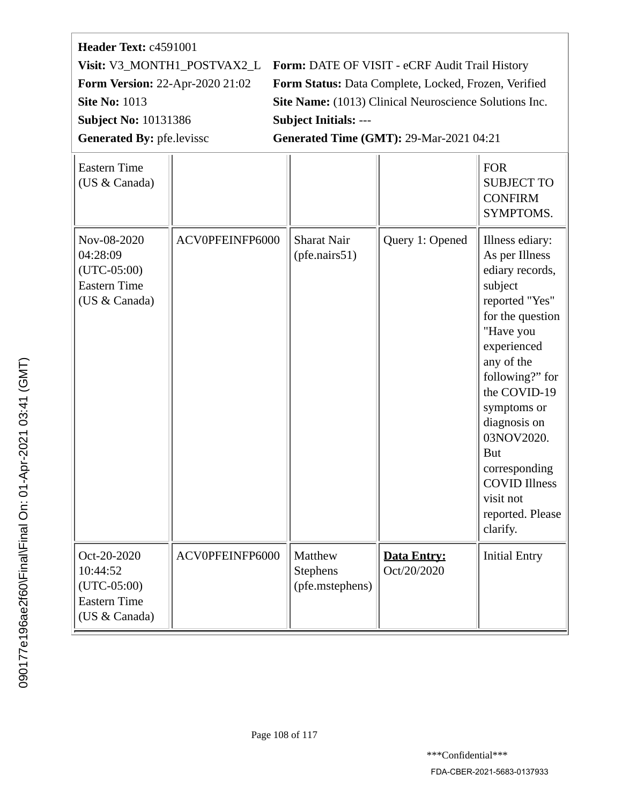# **Header Text:** c4591001 **Subject No:** 10131386 **Subject Initials:** --- Generated By: pfe.levissc **Generated Time (GMT): 29-Mar-2021 04:21**

**Visit:** V3\_MONTH1\_POSTVAX2\_L **Form:** DATE OF VISIT - eCRF Audit Trail History **Form Version:** 22-Apr-2020 21:02 **Form Status:** Data Complete, Locked, Frozen, Verified **Site No: 1013 Site Name:** (1013) Clinical Neuroscience Solutions Inc.

| <b>Eastern Time</b><br>(US & Canada)                                             |                 |                                               |                                   | <b>FOR</b><br><b>SUBJECT TO</b><br><b>CONFIRM</b><br>SYMPTOMS.                                                                                                                                                                                                                                                                      |
|----------------------------------------------------------------------------------|-----------------|-----------------------------------------------|-----------------------------------|-------------------------------------------------------------------------------------------------------------------------------------------------------------------------------------------------------------------------------------------------------------------------------------------------------------------------------------|
| Nov-08-2020<br>04:28:09<br>$(UTC-05:00)$<br><b>Eastern Time</b><br>(US & Canada) | ACV0PFEINFP6000 | <b>Sharat Nair</b><br>(pfe.nairs51)           | Query 1: Opened                   | Illness ediary:<br>As per Illness<br>ediary records,<br>subject<br>reported "Yes"<br>for the question<br>"Have you<br>experienced<br>any of the<br>following?" for<br>the COVID-19<br>symptoms or<br>diagnosis on<br>03NOV2020.<br><b>But</b><br>corresponding<br><b>COVID Illness</b><br>visit not<br>reported. Please<br>clarify. |
| Oct-20-2020<br>10:44:52<br>$(UTC-05:00)$<br><b>Eastern Time</b><br>(US & Canada) | ACV0PFEINFP6000 | Matthew<br><b>Stephens</b><br>(pfe.mstephens) | <b>Data Entry:</b><br>Oct/20/2020 | <b>Initial Entry</b>                                                                                                                                                                                                                                                                                                                |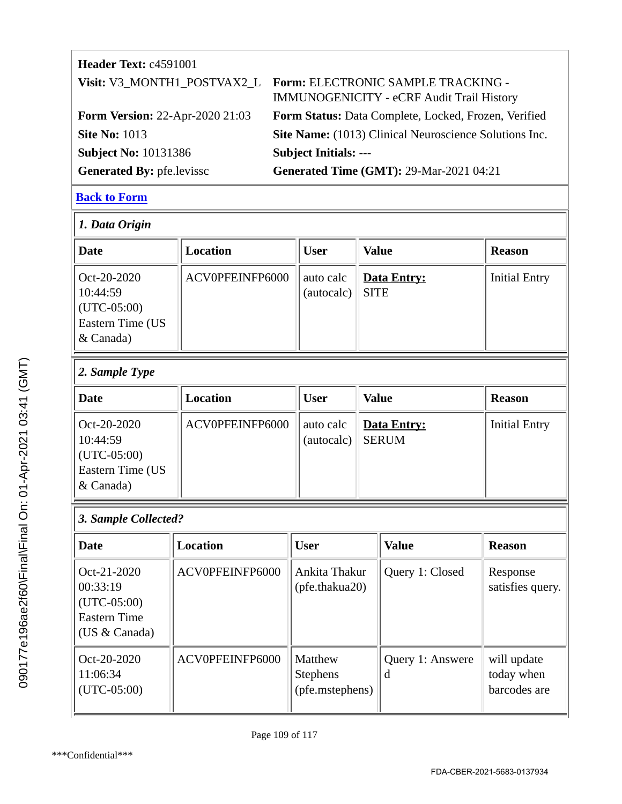| Header Text: c4591001                  |                                                                                 |
|----------------------------------------|---------------------------------------------------------------------------------|
| Visit: V3_MONTH1_POSTVAX2_L            | Form: ELECTRONIC SAMPLE TRACKING -<br>IMMUNOGENICITY - eCRF Audit Trail History |
| <b>Form Version: 22-Apr-2020 21:03</b> | Form Status: Data Complete, Locked, Frozen, Verified                            |
| <b>Site No: 1013</b>                   | Site Name: (1013) Clinical Neuroscience Solutions Inc.                          |
| <b>Subject No: 10131386</b>            | <b>Subject Initials: ---</b>                                                    |
| <b>Generated By: pfe.levissc</b>       | <b>Generated Time (GMT): 29-Mar-2021 04:21</b>                                  |

#### **[Back to Form](#page-18-0)**

| $ 1.$ Data Origin                                                                         |                 |                         |                                   |                      |  |  |
|-------------------------------------------------------------------------------------------|-----------------|-------------------------|-----------------------------------|----------------------|--|--|
| Date                                                                                      | Location        | <b>User</b>             | <b>Value</b>                      | <b>Reason</b>        |  |  |
| $ $ Oct-20-2020<br>10:44:59<br>$ $ (UTC-05:00)<br><b>Eastern Time (US</b><br>$\&$ Canada) | ACV0PFEINFP6000 | auto calc<br>(autocalc) | <b>Data Entry:</b><br><b>SITE</b> | <b>Initial Entry</b> |  |  |

# *2. Sample Type*

| <b>Date</b>                                                                   | Location        | User                    | <b>Value</b>                         | <b>Reason</b>        |
|-------------------------------------------------------------------------------|-----------------|-------------------------|--------------------------------------|----------------------|
| $Oct-20-2020$<br>10:44:59<br>$ $ (UTC-05:00)<br>Eastern Time (US<br>& Canada) | ACV0PFEINFP6000 | auto calc<br>(autocalc) | <u>  Data Entry:</u><br><b>SERUM</b> | <b>Initial Entry</b> |

### *3. Sample Collected?*

| Date                                                                               | Location        | <b>User</b>                                          | <b>Value</b>          | <b>Reason</b>                             |
|------------------------------------------------------------------------------------|-----------------|------------------------------------------------------|-----------------------|-------------------------------------------|
| $Oct-21-2020$<br>00:33:19<br>$(UTC-05:00)$<br><b>Eastern Time</b><br>(US & Canada) | ACV0PFEINFP6000 | Ankita Thakur<br>(pfe.thakua20)                      | Query 1: Closed       | Response<br>satisfies query.              |
| Oct-20-2020<br>11:06:34<br>$(UTC-05:00)$                                           | ACV0PFEINFP6000 | <b>Matthew</b><br><b>Stephens</b><br>(pfe.mstephens) | Query 1: Answere<br>d | will update<br>today when<br>barcodes are |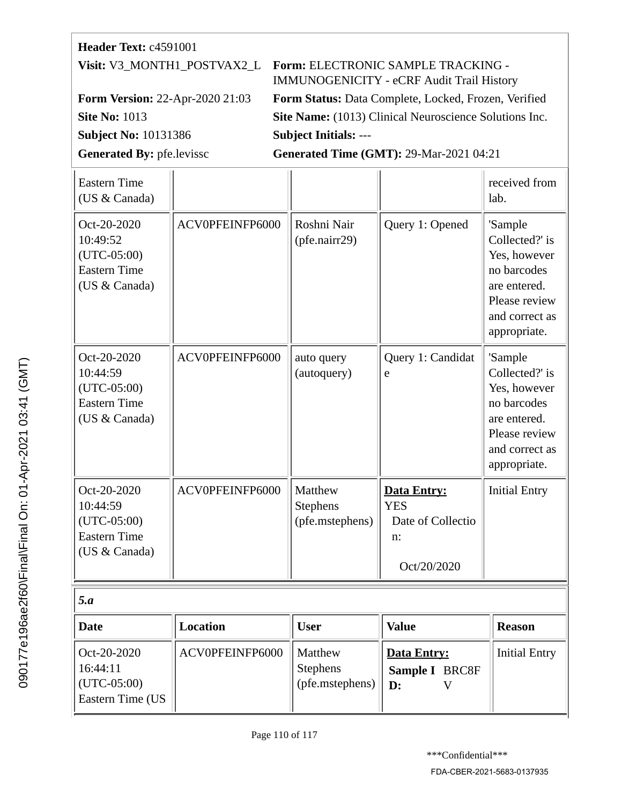| Header Text: c4591001                                                            |                 |                              |                                                                                        |                                                                                                                             |
|----------------------------------------------------------------------------------|-----------------|------------------------------|----------------------------------------------------------------------------------------|-----------------------------------------------------------------------------------------------------------------------------|
| Visit: V3 MONTH1 POSTVAX2 L                                                      |                 |                              | Form: ELECTRONIC SAMPLE TRACKING -<br><b>IMMUNOGENICITY - eCRF Audit Trail History</b> |                                                                                                                             |
| Form Version: 22-Apr-2020 21:03                                                  |                 |                              | Form Status: Data Complete, Locked, Frozen, Verified                                   |                                                                                                                             |
| <b>Site No: 1013</b>                                                             |                 |                              | Site Name: (1013) Clinical Neuroscience Solutions Inc.                                 |                                                                                                                             |
| <b>Subject No: 10131386</b>                                                      |                 | <b>Subject Initials: ---</b> |                                                                                        |                                                                                                                             |
| <b>Generated By: pfe.levissc</b>                                                 |                 |                              | <b>Generated Time (GMT): 29-Mar-2021 04:21</b>                                         |                                                                                                                             |
| <b>Eastern Time</b><br>(US & Canada)                                             |                 |                              |                                                                                        | received from<br>lab.                                                                                                       |
| Oct-20-2020<br>10:49:52<br>$(UTC-05:00)$<br><b>Eastern Time</b><br>(US & Canada) | ACV0PFEINFP6000 | Roshni Nair<br>(pfe.nairr29) | Query 1: Opened                                                                        | 'Sample<br>Collected?' is<br>Yes, however<br>no barcodes<br>are entered.<br>Please review<br>and correct as<br>appropriate. |
| Oct-20-2020<br>10:44:59<br>$(UTC-05:00)$<br><b>Eastern Time</b><br>(US & Canada) | ACV0PFEINFP6000 | auto query<br>(autoquery)    | Query 1: Candidat<br>e                                                                 | 'Sample<br>Collected?' is<br>Yes, however<br>no barcodes<br>are entered.<br>Please review<br>and correct as<br>appropriate. |
| Oct-20-2020<br>10:44:59                                                          | ACV0PFEINFP6000 | Matthew<br>Stephens          | <b>Data Entry:</b><br><b>YES</b>                                                       | <b>Initial Entry</b>                                                                                                        |

|                                                              |                 |                                               | Oct/20/2020                                            |                      |
|--------------------------------------------------------------|-----------------|-----------------------------------------------|--------------------------------------------------------|----------------------|
| 5.a                                                          |                 |                                               |                                                        |                      |
| <b>Date</b>                                                  | Location        | <b>User</b>                                   | <b>Value</b>                                           | <b>Reason</b>        |
| Oct-20-2020<br>16:44:11<br>$(UTC-05:00)$<br>Eastern Time (US | ACV0PFEINFP6000 | Matthew<br><b>Stephens</b><br>(pfe.mstephens) | <b>Data Entry:</b><br>Sample I BRC8F<br>$\mathbf{D}$ : | <b>Initial Entry</b> |

(pfe.mstephens)

Date of Collectio

n:

(UTC-05:00) Eastern Time (US & Canada)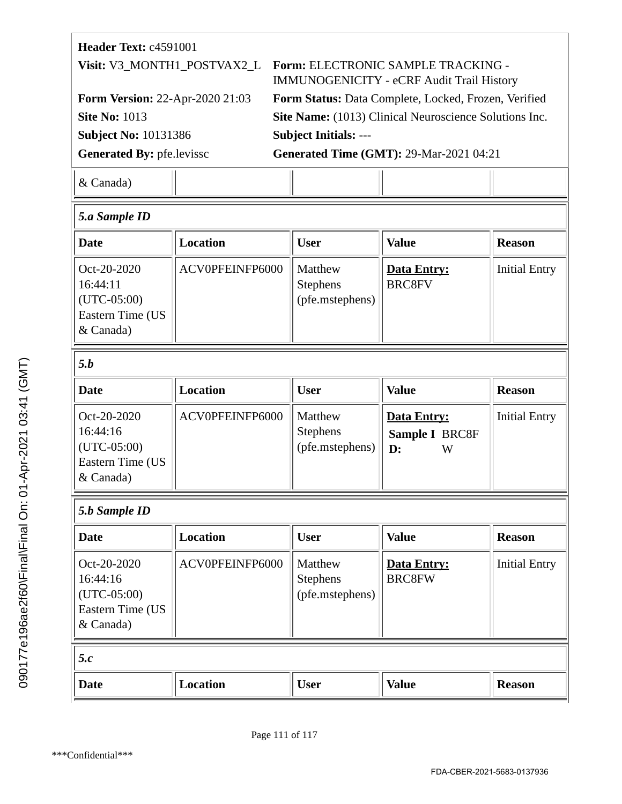| <b>Header Text: c4591001</b>           |                                                        |  |  |
|----------------------------------------|--------------------------------------------------------|--|--|
| Visit: V3_MONTH1_POSTVAX2_L            | Form: ELECTRONIC SAMPLE TRACKING -                     |  |  |
|                                        | <b>IMMUNOGENICITY - eCRF Audit Trail History</b>       |  |  |
| <b>Form Version: 22-Apr-2020 21:03</b> | Form Status: Data Complete, Locked, Frozen, Verified   |  |  |
| <b>Site No: 1013</b>                   | Site Name: (1013) Clinical Neuroscience Solutions Inc. |  |  |
| <b>Subject No: 10131386</b>            | <b>Subject Initials: ---</b>                           |  |  |
| <b>Generated By: pfe.levissc</b>       | <b>Generated Time (GMT): 29-Mar-2021 04:21</b>         |  |  |
| & Canada)                              |                                                        |  |  |
|                                        |                                                        |  |  |

| <b>Location</b> | <b>User</b>                                   | <b>Value</b>                                                | <b>Reason</b>        |
|-----------------|-----------------------------------------------|-------------------------------------------------------------|----------------------|
| ACV0PFEINFP6000 | Matthew<br><b>Stephens</b><br>(pfe.mstephens) | Data Entry:<br><b>BRC8FV</b>                                | <b>Initial Entry</b> |
|                 |                                               |                                                             |                      |
| <b>Location</b> | <b>User</b>                                   | <b>Value</b>                                                | <b>Reason</b>        |
| ACV0PFEINFP6000 | Matthew<br><b>Stephens</b><br>(pfe.mstephens) | <b>Data Entry:</b><br>Sample I BRC8F<br>$\mathbf{D}$ :<br>W | <b>Initial Entry</b> |
|                 |                                               |                                                             |                      |
| <b>Location</b> | <b>User</b>                                   | <b>Value</b>                                                | <b>Reason</b>        |
| ACV0PFEINFP6000 | Matthew<br><b>Stephens</b><br>(pfe.mstephens) | <b>Data Entry:</b><br><b>BRC8FW</b>                         | <b>Initial Entry</b> |
|                 |                                               |                                                             |                      |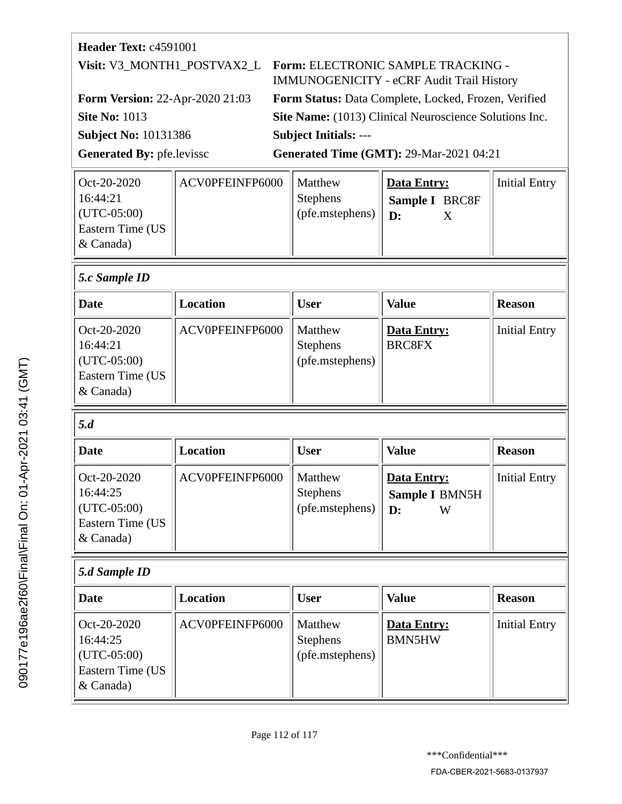| Header Text: c4591001                  |                                                                                                                    |
|----------------------------------------|--------------------------------------------------------------------------------------------------------------------|
|                                        | Visit: V3_MONTH1_POSTVAX2_L Form: ELECTRONIC SAMPLE TRACKING -<br><b>IMMUNOGENICITY - eCRF Audit Trail History</b> |
| <b>Form Version: 22-Apr-2020 21:03</b> | Form Status: Data Complete, Locked, Frozen, Verified                                                               |
| <b>Site No: 1013</b>                   | Site Name: (1013) Clinical Neuroscience Solutions Inc.                                                             |
| <b>Subject No: 10131386</b>            | <b>Subject Initials: ---</b>                                                                                       |
| <b>Generated By: pfe.levissc</b>       | <b>Generated Time (GMT): 29-Mar-2021 04:21</b>                                                                     |
|                                        |                                                                                                                    |

| $ Oct-20-2020 $         | ACV0PFEINFP6000 | Matthew         | Data Entry:           | <b>Initial Entry</b> |
|-------------------------|-----------------|-----------------|-----------------------|----------------------|
| 16:44:21                |                 | <b>Stephens</b> | <b>Sample I BRC8F</b> |                      |
| $ $ (UTC-05:00)         |                 | (pfe.mstephens) | $\mathsf{ID}$ :       |                      |
| <b>Eastern Time (US</b> |                 |                 |                       |                      |
| $\&$ Canada)            |                 |                 |                       |                      |

# *5.c Sample ID*

| Date                                                                              | <b>Location</b> | User                                          | <b>Value</b>                        | <b>Reason</b>        |
|-----------------------------------------------------------------------------------|-----------------|-----------------------------------------------|-------------------------------------|----------------------|
| $Oct-20-2020$<br>16:44:21<br>$\vert$ (UTC-05:00)<br>Eastern Time (US<br>& Canada) | ACV0PFEINFP6000 | Matthew<br><b>Stephens</b><br>(pfe.mstephens) | <b>Data Entry:</b><br><b>BRC8FX</b> | <b>Initial Entry</b> |

# *5.d*

| Date                                                                                  | Location        | User                                              | <b>Value</b>                             | <b>Reason</b>        |
|---------------------------------------------------------------------------------------|-----------------|---------------------------------------------------|------------------------------------------|----------------------|
| Oct-20-2020<br>16:44:25<br>$ $ (UTC-05:00)<br><b>Eastern Time (US</b><br>$\&$ Canada) | ACV0PFEINFP6000 | Matthew<br><b>Stephens</b><br>$ $ (pfe.mstephens) | Data Entry:<br>Sample I BMN5H<br>D:<br>W | <b>Initial Entry</b> |

# *5.d Sample ID*

| <b>Date</b>                                                                     | Location        | <b>User</b>                                   | <b>Value</b>                        | <b>Reason</b>        |
|---------------------------------------------------------------------------------|-----------------|-----------------------------------------------|-------------------------------------|----------------------|
| $ Oct-20-2020 $<br>16:44:25<br>$ $ (UTC-05:00)<br>Eastern Time (US<br>& Canada) | ACV0PFEINFP6000 | Matthew<br><b>Stephens</b><br>(pfe.mstephens) | <b>Data Entry:</b><br><b>BMN5HW</b> | <b>Initial Entry</b> |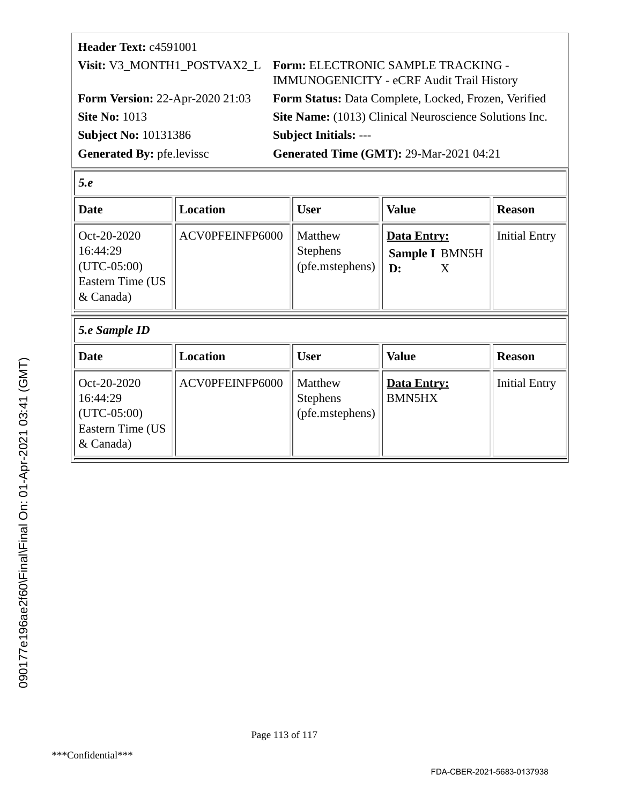| <b>Header Text: c4591001</b>           |                                                                                                             |
|----------------------------------------|-------------------------------------------------------------------------------------------------------------|
|                                        | Visit: V3_MONTH1_POSTVAX2_L Form: ELECTRONIC SAMPLE TRACKING -<br>IMMUNOGENICITY - eCRF Audit Trail History |
| <b>Form Version: 22-Apr-2020 21:03</b> | Form Status: Data Complete, Locked, Frozen, Verified                                                        |
| <b>Site No: 1013</b>                   | Site Name: (1013) Clinical Neuroscience Solutions Inc.                                                      |
| <b>Subject No: 10131386</b>            | <b>Subject Initials: ---</b>                                                                                |
| <b>Generated By: pfe.levissc</b>       | <b>Generated Time (GMT): 29-Mar-2021 04:21</b>                                                              |

16:44:29 (UTC-05:00) Eastern Time (US

& Canada)

| Date                                                                      | <b>Location</b> | <b>User</b>                                   | <b>Value</b>                                         | <b>Reason</b>        |
|---------------------------------------------------------------------------|-----------------|-----------------------------------------------|------------------------------------------------------|----------------------|
| Oct-20-2020<br>16:44:29<br>$(UTC-05:00)$<br>Eastern Time (US<br>& Canada) | ACV0PFEINFP6000 | Matthew<br><b>Stephens</b><br>(pfe.mstephens) | Data Entry:<br>Sample I BMN5H<br>$\mathbf{D}$ :<br>X | <b>Initial Entry</b> |
| 5.e Sample ID                                                             |                 |                                               |                                                      |                      |
| <b>Date</b>                                                               | Location        | <b>User</b>                                   | <b>Value</b>                                         | <b>Reason</b>        |
| Oct-20-2020                                                               | ACV0PFEINFP6000 | Matthew                                       | <b>Data Entry:</b>                                   | <b>Initial Entry</b> |

Stephens

(pfe.mstephens)

BMN5HX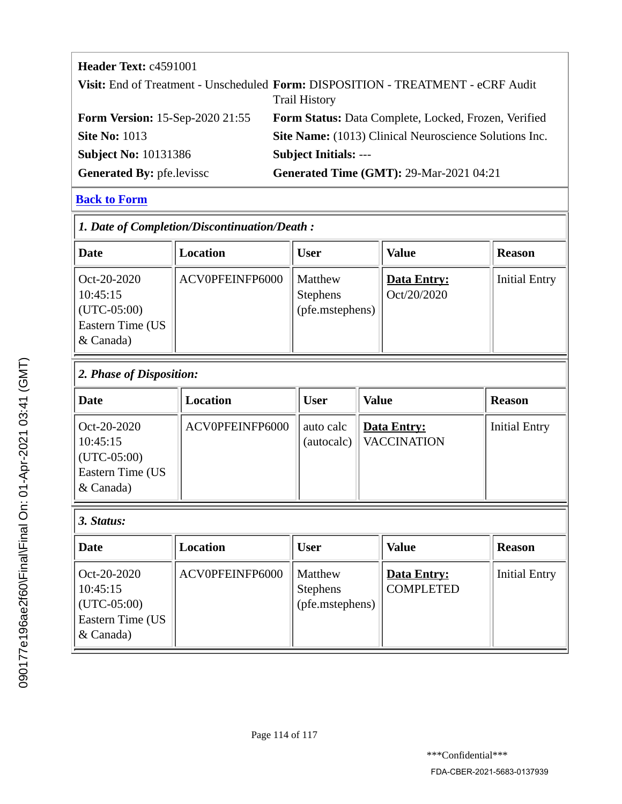## **Header Text: c4591001**

|                                        | Visit: End of Treatment - Unscheduled Form: DISPOSITION - TREATMENT - eCRF Audit<br><b>Trail History</b> |
|----------------------------------------|----------------------------------------------------------------------------------------------------------|
| <b>Form Version: 15-Sep-2020 21:55</b> | Form Status: Data Complete, Locked, Frozen, Verified                                                     |
| <b>Site No: 1013</b>                   | Site Name: (1013) Clinical Neuroscience Solutions Inc.                                                   |
| <b>Subject No: 10131386</b>            | <b>Subject Initials: ---</b>                                                                             |
| <b>Generated By: pfe.levissc</b>       | <b>Generated Time (GMT): 29-Mar-2021 04:21</b>                                                           |

#### **[Back to Form](#page-35-0)**

| 1. Date of Completion/Discontinuation/Death:                              |                 |                                               |                                   |                      |  |
|---------------------------------------------------------------------------|-----------------|-----------------------------------------------|-----------------------------------|----------------------|--|
| Date                                                                      | Location        | <b>User</b>                                   | <b>Value</b>                      | <b>Reason</b>        |  |
| Oct-20-2020<br>10:45:15<br>$(UTC-05:00)$<br>Eastern Time (US<br>& Canada) | ACV0PFEINFP6000 | Matthew<br><b>Stephens</b><br>(pfe.mstephens) | <b>Data Entry:</b><br>Oct/20/2020 | <b>Initial Entry</b> |  |

#### *2. Phase of Disposition:*

| <b>Date</b>                                                                 | Location        | <b>User</b> | <b>Value</b>                            | <b>Reason</b>        |
|-----------------------------------------------------------------------------|-----------------|-------------|-----------------------------------------|----------------------|
| Oct-20-2020<br>10:45:15<br>$ $ (UTC-05:00)<br>Eastern Time (US<br>& Canada) | ACV0PFEINFP6000 | auto calc   | Data Entry:<br>(autocalc)   VACCINATION | <b>Initial Entry</b> |

# *3. Status:*

| Date                                                                      | Location        | <b>User</b>                                   | <b>Value</b>                           | <b>Reason</b>        |
|---------------------------------------------------------------------------|-----------------|-----------------------------------------------|----------------------------------------|----------------------|
| Oct-20-2020<br>10:45:15<br>$(UTC-05:00)$<br>Eastern Time (US<br>& Canada) | ACV0PFEINFP6000 | Matthew<br><b>Stephens</b><br>(pfe.mstephens) | <b>Data Entry:</b><br><b>COMPLETED</b> | <b>Initial Entry</b> |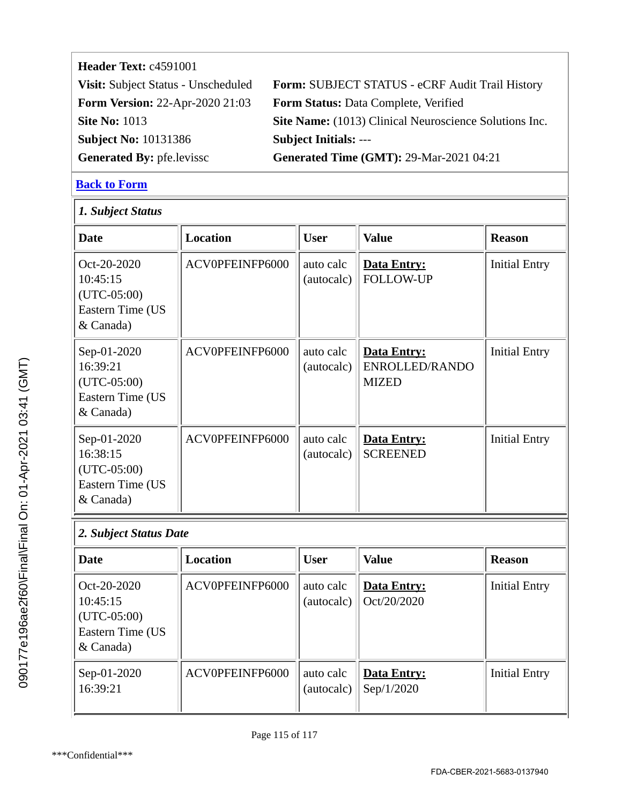# **Header Text: c4591001 Subject No:** 10131386 **Subject Initials:** ---

**Visit:** Subject Status - Unscheduled **Form:** SUBJECT STATUS - eCRF Audit Trail History **Form Version:** 22-Apr-2020 21:03 **Form Status:** Data Complete, Verified **Site No: 1013 Site Name:** (1013) Clinical Neuroscience Solutions Inc. **Generated By:** pfe.levissc **Generated Time (GMT):** 29-Mar-2021 04:21

#### **[Back to Form](#page-65-0)**

| 1. Subject Status                                                           |                 |                         |                                                      |                      |  |
|-----------------------------------------------------------------------------|-----------------|-------------------------|------------------------------------------------------|----------------------|--|
| <b>Date</b>                                                                 | <b>Location</b> | <b>User</b>             | <b>Value</b>                                         | <b>Reason</b>        |  |
| $Oct-20-2020$<br>10:45:15<br>$(UTC-05:00)$<br>Eastern Time (US<br>& Canada) | ACV0PFEINFP6000 | auto calc<br>(autocalc) | <b>Data Entry:</b><br><b>FOLLOW-UP</b>               | <b>Initial Entry</b> |  |
| Sep-01-2020<br>16:39:21<br>$(UTC-05:00)$<br>Eastern Time (US<br>& Canada)   | ACV0PFEINFP6000 | auto calc<br>(autocalc) | <b>Data Entry:</b><br>ENROLLED/RANDO<br><b>MIZED</b> | <b>Initial Entry</b> |  |
| Sep-01-2020<br>16:38:15<br>$(UTC-05:00)$<br>Eastern Time (US<br>& Canada)   | ACV0PFEINFP6000 | auto calc<br>(autocalc) | <b>Data Entry:</b><br><b>SCREENED</b>                | <b>Initial Entry</b> |  |
| 2. Subject Status Date                                                      |                 |                         |                                                      |                      |  |
| <b>Date</b>                                                                 | <b>Location</b> | <b>User</b>             | <b>Value</b>                                         | <b>Reason</b>        |  |
| Oct-20-2020<br>10:45:15<br>$(UTC-05:00)$<br>Eastern Time (US<br>& Canada)   | ACV0PFEINFP6000 | auto calc<br>(autocalc) | Data Entry:<br>Oct/20/2020                           | <b>Initial Entry</b> |  |
| Sep-01-2020<br>16:39:21                                                     | ACV0PFEINFP6000 | auto calc<br>(autocalc) | <b>Data Entry:</b><br>Sep/1/2020                     | <b>Initial Entry</b> |  |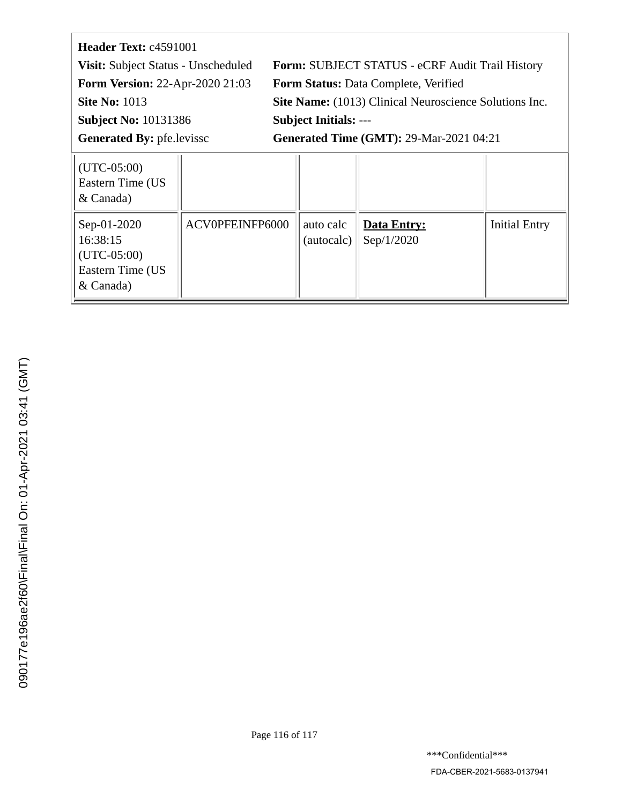| Header Text: c4591001                  |                                                        |  |  |
|----------------------------------------|--------------------------------------------------------|--|--|
| Visit: Subject Status - Unscheduled    | Form: SUBJECT STATUS - eCRF Audit Trail History        |  |  |
| <b>Form Version: 22-Apr-2020 21:03</b> | Form Status: Data Complete, Verified                   |  |  |
| <b>Site No: 1013</b>                   | Site Name: (1013) Clinical Neuroscience Solutions Inc. |  |  |
| <b>Subject No: 10131386</b>            | <b>Subject Initials: ---</b>                           |  |  |
| <b>Generated By: pfe.levissc</b>       | <b>Generated Time (GMT): 29-Mar-2021 04:21</b>         |  |  |
| $\vert$ (UTC-05:00)                    |                                                        |  |  |

| $ $ (UTC-05:00)<br>Eastern Time (US<br>& Canada)                            |                 |                         |                                  |                      |
|-----------------------------------------------------------------------------|-----------------|-------------------------|----------------------------------|----------------------|
| Sep-01-2020<br>16:38:15<br>$ $ (UTC-05:00)<br>Eastern Time (US<br>& Canada) | ACV0PFEINFP6000 | auto calc<br>(autocalc) | <b>Data Entry:</b><br>Sep/1/2020 | <b>Initial Entry</b> |